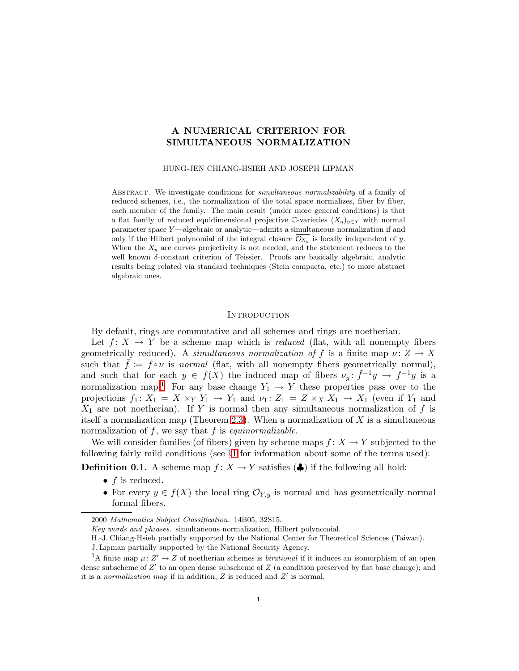## A NUMERICAL CRITERION FOR SIMULTANEOUS NORMALIZATION

HUNG-JEN CHIANG-HSIEH AND JOSEPH LIPMAN

Abstract. We investigate conditions for simultaneous normalizability of a family of reduced schemes, i.e., the normalization of the total space normalizes, fiber by fiber, each member of the family. The main result (under more general conditions) is that a flat family of reduced equidimensional projective C-varieties  $(X_y)_{y\in Y}$  with normal parameter space Y —algebraic or analytic—admits a simultaneous normalization if and only if the Hilbert polynomial of the integral closure  $\overline{\mathcal{O}_{X_y}}$  is locally independent of y. When the  $X_y$  are curves projectivity is not needed, and the statement reduces to the well known  $\delta$ -constant criterion of Teissier. Proofs are basically algebraic, analytic results being related via standard techniques (Stein compacta, etc.) to more abstract algebraic ones.

#### **INTRODUCTION**

By default, rings are commutative and all schemes and rings are noetherian.

Let  $f: X \to Y$  be a scheme map which is *reduced* (flat, with all nonempty fibers geometrically reduced). A simultaneous normalization of f is a finite map  $\nu: Z \to X$ such that  $\bar{f} := f \circ \nu$  is normal (flat, with all nonempty fibers geometrically normal), and such that for each  $y \in f(X)$  the induced map of fibers  $\nu_y: \bar{f}^{-1}y \to f^{-1}y$  is a normalization map.<sup>[1](#page-0-0)</sup> For any base change  $Y_1 \rightarrow Y$  these properties pass over to the projections  $f_1: X_1 = X \times_Y Y_1 \to Y_1$  and  $\nu_1: Z_1 = Z \times_X X_1 \to X_1$  (even if  $Y_1$  and  $X_1$  are not noetherian). If Y is normal then any simultaneous normalization of f is itself a normalization map (Theorem [2.3\)](#page-11-0). When a normalization of  $X$  is a simultaneous normalization of  $f$ , we say that  $f$  is *equinormalizable*.

We will consider families (of fibers) given by scheme maps  $f: X \to Y$  subjected to the following fairly mild conditions (see  $\S1$  $\S1$  for information about some of the terms used):

**Definition 0.1.** A scheme map  $f: X \to Y$  satisfies  $(\clubsuit)$  if the following all hold:

- $\bullet$  f is reduced.
- For every  $y \in f(X)$  the local ring  $\mathcal{O}_{Y,y}$  is normal and has geometrically normal formal fibers.

<sup>2000</sup> Mathematics Subject Classification. 14B05, 32S15.

Key words and phrases. simultaneous normalization, Hilbert polynomial.

H.-J. Chiang-Hsieh partially supported by the National Center for Theoretical Sciences (Taiwan).

J. Lipman partially supported by the National Security Agency.

<span id="page-0-0"></span><sup>&</sup>lt;sup>1</sup>A finite map  $\mu: Z' \to Z$  of noetherian schemes is *birational* if it induces an isomorphism of an open dense subscheme of  $Z'$  to an open dense subscheme of  $Z$  (a condition preserved by flat base change); and it is a normalization map if in addition,  $Z$  is reduced and  $Z'$  is normal.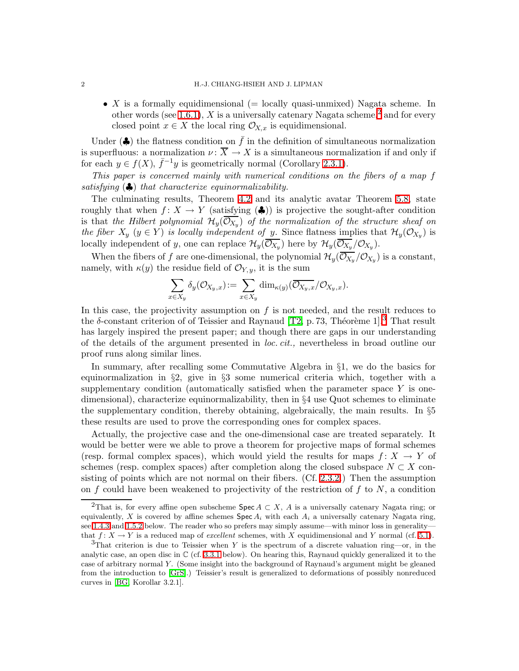• X is a formally equidimensional (= locally quasi-unmixed) Nagata scheme. In other words (see [1.6.1\)](#page-5-0), X is a universally catenary Nagata scheme,<sup>[2](#page-1-0)</sup> and for every closed point  $x \in X$  the local ring  $\mathcal{O}_{X,x}$  is equidimensional.

Under ( $\clubsuit$ ) the flatness condition on  $\bar{f}$  in the definition of simultaneous normalization is superfluous: a normalization  $\nu: \overline{X} \to X$  is a simultaneous normalization if and only if for each  $y \in f(X)$ ,  $\bar{f}^{-1}y$  is geometrically normal (Corollary [2.3.1\)](#page-11-1).

This paper is concerned mainly with numerical conditions on the fibers of a map f satisfying  $(\clubsuit)$  that characterize equinormalizability.

The culminating results, Theorem [4.2](#page-19-0) and its analytic avatar Theorem [5.8,](#page-31-0) state roughly that when  $f: X \to Y$  (satisfying  $(\clubsuit)$ ) is projective the sought-after condition is that the Hilbert polynomial  $\mathcal{H}_y(\mathcal{O}_{X_y})$  of the normalization of the structure sheaf on the fiber  $X_y$   $(y \in Y)$  is locally independent of y. Since flatness implies that  $\mathcal{H}_y(\mathcal{O}_{X_y})$  is locally independent of y, one can replace  $\mathcal{H}_y(\mathcal{O}_{X_y})$  here by  $\mathcal{H}_y(\mathcal{O}_{X_y}/\mathcal{O}_{X_y})$ .

When the fibers of f are one-dimensional, the polynomial  $\mathcal{H}_{y}(\mathcal{O}_{X_{y}}/\mathcal{O}_{X_{y}})$  is a constant, namely, with  $\kappa(y)$  the residue field of  $\mathcal{O}_{Y,y}$ , it is the sum

$$
\sum_{x \in X_y} \delta_y(\mathcal{O}_{X_y,x}) \! := \sum_{x \in X_y} \dim_{\kappa(y)}(\overline{\mathcal{O}_{X_y,x}}/\mathcal{O}_{X_y,x}).
$$

In this case, the projectivity assumption on  $f$  is not needed, and the result reduces to the  $\delta$ -constant criterion of of Teissier and Raynaud [\[T2,](#page-34-0) p. 7[3](#page-1-1), Théorème 1].<sup>3</sup> That result has largely inspired the present paper; and though there are gaps in our understanding of the details of the argument presented in loc. cit., nevertheless in broad outline our proof runs along similar lines.

In summary, after recalling some Commutative Algebra in §1, we do the basics for equinormalization in §2, give in §3 some numerical criteria which, together with a supplementary condition (automatically satisfied when the parameter space  $Y$  is onedimensional), characterize equinormalizability, then in §4 use Quot schemes to eliminate the supplementary condition, thereby obtaining, algebraically, the main results. In §5 these results are used to prove the corresponding ones for complex spaces.

Actually, the projective case and the one-dimensional case are treated separately. It would be better were we able to prove a theorem for projective maps of formal schemes (resp. formal complex spaces), which would yield the results for maps  $f: X \to Y$  of schemes (resp. complex spaces) after completion along the closed subspace  $N \subset X$  consisting of points which are not normal on their fibers. (Cf. [2.3.2.](#page-11-2)) Then the assumption on f could have been weakened to projectivity of the restriction of f to  $N$ , a condition

<span id="page-1-0"></span><sup>&</sup>lt;sup>2</sup>That is, for every affine open subscheme Spec  $A \subset X$ , A is a universally catenary Nagata ring; or equivalently, X is covered by affine schemes  $\text{Spec } A_i$  with each  $A_i$  a universally catenary Nagata ring, see [1.4.3](#page-4-0) and [1.5.2](#page-4-1) below. The reader who so prefers may simply assume—with minor loss in generality that  $f: X \to Y$  is a reduced map of excellent schemes, with X equidimensional and Y normal (cf. [5.1\)](#page-23-0).

<span id="page-1-1"></span> $3$ That criterion is due to Teissier when Y is the spectrum of a discrete valuation ring—or, in the analytic case, an open disc in  $\mathbb C$  (cf. [3.3.1](#page-14-0) below). On hearing this, Raynaud quickly generalized it to the case of arbitrary normal Y . (Some insight into the background of Raynaud's argument might be gleaned from the introduction to [\[GrS\]](#page-33-0).) Teissier's result is generalized to deformations of possibly nonreduced curves in [\[BG,](#page-33-1) Korollar 3.2.1].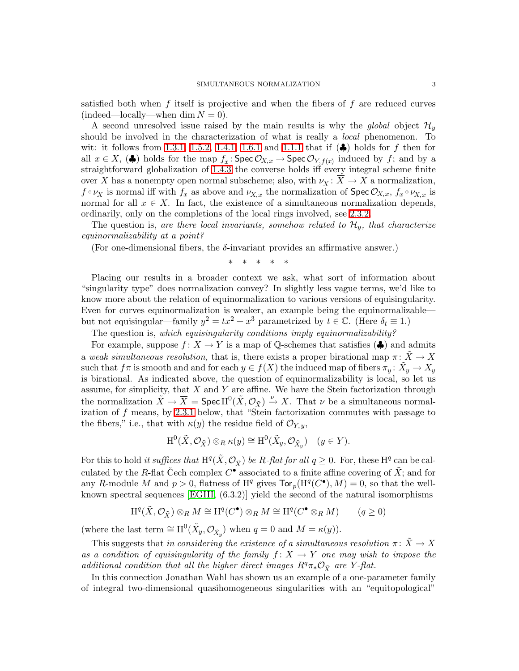satisfied both when f itself is projective and when the fibers of f are reduced curves  $(indeed—locally—when dim N = 0).$ 

A second unresolved issue raised by the main results is why the global object  $\mathcal{H}_v$ should be involved in the characterization of what is really a *local* phenomenon. To wit: it follows from [1.3.1,](#page-4-2) [1.5.2,](#page-4-1) [1.4.1,](#page-4-3) [1.6.1](#page-5-0) and [1.1.1](#page-3-1) that if  $(\clubsuit)$  holds for f then for all  $x \in X$ , ( $\clubsuit$ ) holds for the map  $f_x : \text{Spec } \mathcal{O}_{X,x} \to \text{Spec } \mathcal{O}_{Y,f(x)}$  induced by f; and by a straightforward globalization of [1.4.3](#page-4-0) the converse holds iff every integral scheme finite over X has a nonempty open normal subscheme; also, with  $\nu_X \colon \overline{X} \to X$  a normalization,  $f \circ \nu_X$  is normal iff with  $f_x$  as above and  $\nu_{X,x}$  the normalization of Spec  $\mathcal{O}_{X,x}$ ,  $f_x \circ \nu_{X,x}$  is normal for all  $x \in X$ . In fact, the existence of a simultaneous normalization depends, ordinarily, only on the completions of the local rings involved, see [2.3.2.](#page-11-2)

The question is, are there local invariants, somehow related to  $\mathcal{H}_v$ , that characterize equinormalizability at a point?

(For one-dimensional fibers, the  $\delta$ -invariant provides an affirmative answer.)

\* \* \* \* \*

Placing our results in a broader context we ask, what sort of information about "singularity type" does normalization convey? In slightly less vague terms, we'd like to know more about the relation of equinormalization to various versions of equisingularity. Even for curves equinormalization is weaker, an example being the equinormalizable but not equisingular—family  $y^2 = tx^2 + x^3$  parametrized by  $t \in \mathbb{C}$ . (Here  $\delta_t \equiv 1$ .)

The question is, which equisingularity conditions imply equinormalizability?

For example, suppose  $f: X \to Y$  is a map of Q-schemes that satisfies ( $\clubsuit$ ) and admits a weak simultaneous resolution, that is, there exists a proper birational map  $\pi \colon X \to X$ such that  $f\pi$  is smooth and and for each  $y\in f(X)$  the induced map of fibers  $\pi_y\colon\tilde X_y\to X_y$ is birational. As indicated above, the question of equinormalizability is local, so let us assume, for simplicity, that  $X$  and  $Y$  are affine. We have the Stein factorization through the normalization  $\tilde{X} \to \overline{X} = \text{Spec } H^0(\tilde{X}, \mathcal{O}_{\tilde{X}}) \xrightarrow{\nu} X$ . That  $\nu$  be a simultaneous normalization of f means, by [2.3.1](#page-11-1) below, that "Stein factorization commutes with passage to the fibers," i.e., that with  $\kappa(y)$  the residue field of  $\mathcal{O}_{Y,y}$ ,

$$
\mathrm{H}^{0}(\tilde{X}, \mathcal{O}_{\tilde{X}}) \otimes_{R} \kappa(y) \cong \mathrm{H}^{0}(\tilde{X}_{y}, \mathcal{O}_{\tilde{X}_{y}}) \quad (y \in Y).
$$

For this to hold it suffices that  $H^q(\tilde{X}, \mathcal{O}_{\tilde{X}})$  be R-flat for all  $q \geq 0$ . For, these  $H^q$  can be calculated by the R-flat Čech complex  $C^{\bullet}$  associated to a finite affine covering of  $\tilde{X}$ ; and for any R-module M and  $p > 0$ , flatness of H<sup>q</sup> gives  $\text{Tor}_p(\text{H}^q(C^{\bullet}), M) = 0$ , so that the wellknown spectral sequences [\[EGIII,](#page-33-2) (6.3.2)] yield the second of the natural isomorphisms

$$
\mathrm{H}^q(\tilde{X}, \mathcal{O}_{\tilde{X}}) \otimes_R M \cong \mathrm{H}^q(C^{\bullet}) \otimes_R M \cong \mathrm{H}^q(C^{\bullet} \otimes_R M) \qquad (q \ge 0)
$$

(where the last term  $\cong H^0(\tilde{X}_y, \mathcal{O}_{\tilde{X}_y})$  when  $q = 0$  and  $M = \kappa(y)$ ).

This suggests that in considering the existence of a simultaneous resolution  $\pi \colon \tilde{X} \to X$ as a condition of equisingularity of the family  $f: X \to Y$  one may wish to impose the additional condition that all the higher direct images  $R^q\pi_*\mathcal{O}_{\tilde{X}}$  are Y-flat.

In this connection Jonathan Wahl has shown us an example of a one-parameter family of integral two-dimensional quasihomogeneous singularities with an "equitopological"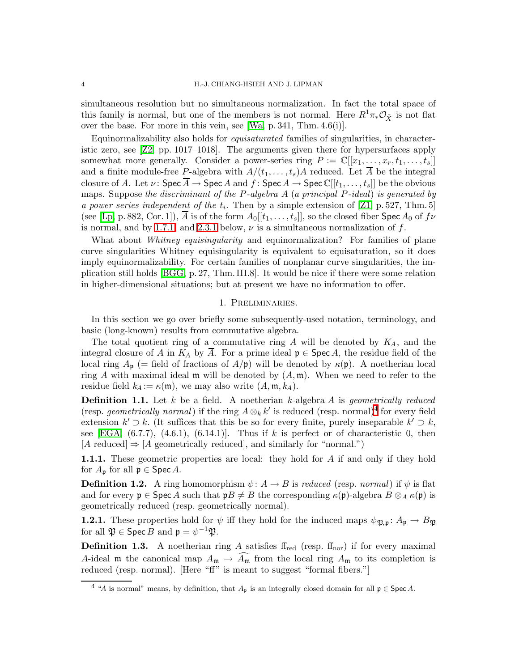simultaneous resolution but no simultaneous normalization. In fact the total space of this family is normal, but one of the members is not normal. Here  $R^1\pi_*\mathcal{O}_{\tilde{Y}}$  is not flat over the base. For more in this vein, see [\[Wa,](#page-34-1) p. 341, Thm. 4.6(i)].

Equinormalizability also holds for equisaturated families of singularities, in characteristic zero, see [\[Z2,](#page-34-2) pp. 1017–1018]. The arguments given there for hypersurfaces apply somewhat more generally. Consider a power-series ring  $P := \mathbb{C}[[x_1, \ldots, x_r, t_1, \ldots, t_s]]$ and a finite module-free P-algebra with  $A/(t_1,\ldots,t_s)A$  reduced. Let  $\overline{A}$  be the integral closure of A. Let  $\nu: \mathsf{Spec}\,\overline{A} \to \mathsf{Spec}\,A$  and  $f: \mathsf{Spec}\,A \to \mathsf{Spec}\,\mathbb{C}[[t_1,\ldots,t_s]]$  be the obvious maps. Suppose the discriminant of the P-algebra A (a principal P-ideal) is generated by a power series independent of the  $t_i$ . Then by a simple extension of [\[Z1,](#page-34-3) p. 527, Thm. 5] (see [\[Lp,](#page-33-3) p. 882, Cor. 1]), A is of the form  $A_0[[t_1,\ldots,t_s]]$ , so the closed fiber Spec  $A_0$  of  $f\nu$ is normal, and by [1.7.1,](#page-5-1) and [2.3.1](#page-11-1) below,  $\nu$  is a simultaneous normalization of f.

What about Whitney equisingularity and equinormalization? For families of plane curve singularities Whitney equisingularity is equivalent to equisaturation, so it does imply equinormalizability. For certain families of nonplanar curve singularities, the implication still holds [\[BGG,](#page-33-4) p. 27, Thm. III.8]. It would be nice if there were some relation in higher-dimensional situations; but at present we have no information to offer.

## 1. Preliminaries.

<span id="page-3-0"></span>In this section we go over briefly some subsequently-used notation, terminology, and basic (long-known) results from commutative algebra.

The total quotient ring of a commutative ring  $A$  will be denoted by  $K_A$ , and the integral closure of A in  $K_A$  by  $\overline{A}$ . For a prime ideal  $\mathfrak{p} \in \operatorname{Spec} A$ , the residue field of the local ring  $A_{\mathfrak{p}}$  (= field of fractions of  $A/\mathfrak{p}$ ) will be denoted by  $\kappa(\mathfrak{p})$ . A noetherian local ring A with maximal ideal  $\mathfrak m$  will be denoted by  $(A, \mathfrak m)$ . When we need to refer to the residue field  $k_A := \kappa(\mathfrak{m})$ , we may also write  $(A, \mathfrak{m}, k_A)$ .

<span id="page-3-3"></span>**Definition 1.1.** Let  $k$  be a field. A noetherian  $k$ -algebra  $A$  is geometrically reduced (resp. *geometrically normal*) if the ring  $A \otimes_k k'$  is reduced (resp. normal)<sup>[4](#page-3-2)</sup> for every field extension  $k' \supset k$ . (It suffices that this be so for every finite, purely inseparable  $k' \supset k$ , see [\[EGA,](#page-33-5)  $(6.7.7)$ ,  $(4.6.1)$ ,  $(6.14.1)$ ]. Thus if k is perfect or of characteristic 0, then  $[A \text{ reduced}] \Rightarrow [A \text{ geometrically reduced}]$ , and similarly for "normal.")

<span id="page-3-1"></span>**1.1.1.** These geometric properties are local: they hold for A if and only if they hold for  $A_{\mathfrak{p}}$  for all  $\mathfrak{p} \in \operatorname{Spec} A$ .

**Definition 1.2.** A ring homomorphism  $\psi: A \to B$  is reduced (resp. normal) if  $\psi$  is flat and for every  $\mathfrak{p} \in \operatorname{Spec} A$  such that  $\mathfrak{p}B \neq B$  the corresponding  $\kappa(\mathfrak{p})$ -algebra  $B \otimes_A \kappa(\mathfrak{p})$  is geometrically reduced (resp. geometrically normal).

**1.2.1.** These properties hold for  $\psi$  iff they hold for the induced maps  $\psi_{\mathfrak{P},\mathfrak{p}}\colon A_{\mathfrak{p}}\to B_{\mathfrak{P}}$ for all  $\mathfrak{P} \in \operatorname{Spec} B$  and  $\mathfrak{p} = \psi^{-1} \mathfrak{P}.$ 

**Definition 1.3.** A noetherian ring A satisfies  $f_{\text{red}}$  (resp.  $f_{\text{nor}}$ ) if for every maximal A-ideal m the canonical map  $A_{\mathfrak{m}} \to \widehat{A_{\mathfrak{m}}}$  from the local ring  $A_{\mathfrak{m}}$  to its completion is reduced (resp. normal). [Here "ff" is meant to suggest "formal fibers."]

<span id="page-3-2"></span><sup>&</sup>lt;sup>4</sup> "A is normal" means, by definition, that  $A_p$  is an integrally closed domain for all  $p \in \text{Spec } A$ .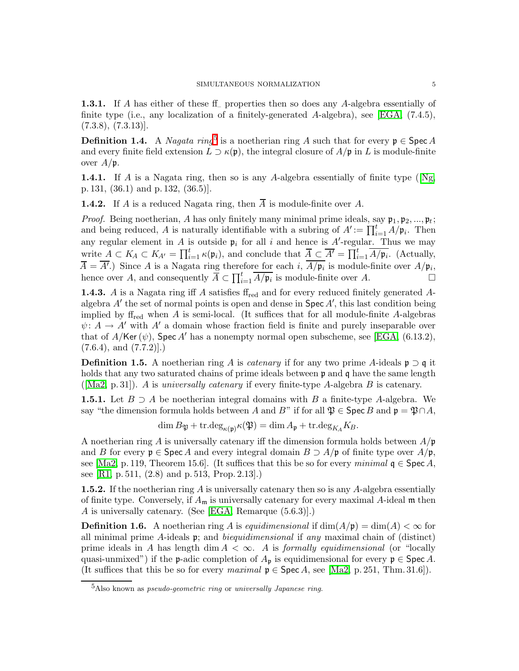<span id="page-4-2"></span>1.3.1. If A has either of these ff properties then so does any A-algebra essentially of finite type (i.e., any localization of a finitely-generated A-algebra), see [\[EGA,](#page-33-5) (7.4.5),  $(7.3.8), (7.3.13)].$ 

**Definition 1.4.** A *Nagata ring*<sup>[5](#page-4-4)</sup> is a noetherian ring A such that for every  $\mathfrak{p} \in \operatorname{Spec} A$ and every finite field extension  $L \supset \kappa(\mathfrak{p})$ , the integral closure of  $A/\mathfrak{p}$  in L is module-finite over  $A/\mathfrak{p}$ .

<span id="page-4-3"></span>**1.4.1.**If A is a Nagata ring, then so is any A-algebra essentially of finite type ( $[Ng,$ p. 131, (36.1) and p. 132, (36.5)].

<span id="page-4-6"></span>**1.4.2.** If A is a reduced Nagata ring, then  $\overline{A}$  is module-finite over A.

*Proof.* Being noetherian, A has only finitely many minimal prime ideals, say  $\mathfrak{p}_1, \mathfrak{p}_2, ..., \mathfrak{p}_t$ ; and being reduced, A is naturally identifiable with a subring of  $A' := \prod_{i=1}^t A/p_i$ . Then any regular element in A is outside  $\mathfrak{p}_i$  for all i and hence is A'-regular. Thus we may write  $A \subset K_A \subset K_{A'} = \prod_{i=1}^t \kappa(\mathfrak{p}_i)$ , and conclude that  $\overline{A} \subset \overline{A'} = \prod_{i=1}^t \overline{A/\mathfrak{p}_i}$ . (Actually,  $\overline{A} = \overline{A'}$ .) Since A is a Nagata ring therefore for each i,  $A/\mathfrak{p}_i$  is module-finite over  $A/\mathfrak{p}_i$ , hence over A, and consequently  $\overline{A} \subset \prod_{i=1}^t \overline{A/\mathfrak{p}_i}$  is module-finite over A.

<span id="page-4-0"></span>**1.4.3.** A is a Nagata ring iff A satisfies  $f_{\text{red}}$  and for every reduced finitely generated Aalgebra A′ the set of normal points is open and dense in Spec A′ , this last condition being implied by  $f_{\text{red}}$  when A is semi-local. (It suffices that for all module-finite A-algebras  $\psi: A \to A'$  with A' a domain whose fraction field is finite and purely inseparable over that of  $A/\text{Ker}(\psi)$ , Spec A' has a nonempty normal open subscheme, see [\[EGA,](#page-33-5) (6.13.2),  $(7.6.4)$ , and  $(7.7.2)$ .

**Definition 1.5.** A noetherian ring A is *catenary* if for any two prime A-ideals  $\mathfrak{p} \supset \mathfrak{q}$  it holds that any two saturated chains of prime ideals between **p** and **q** have the same length ( $[Ma2, p. 31]$  $[Ma2, p. 31]$ ). A is universally catenary if every finite-type A-algebra B is catenary.

**1.5.1.** Let  $B \supseteq A$  be noetherian integral domains with B a finite-type A-algebra. We say "the dimension formula holds between A and B" if for all  $\mathfrak{P} \in \operatorname{Spec} B$  and  $\mathfrak{p} = \mathfrak{P} \cap A$ ,

$$
\dim B_{\mathfrak{P}} + \operatorname{tr.deg}_{\kappa(\mathfrak{p})}\kappa(\mathfrak{P}) = \dim A_{\mathfrak{p}} + \operatorname{tr.deg}_{K_A}K_B.
$$

A noetherian ring A is universally catenary iff the dimension formula holds between  $A/\mathfrak{p}$ and B for every  $\mathfrak{p} \in \operatorname{Spec} A$  and every integral domain  $B \supset A/\mathfrak{p}$  of finite type over  $A/\mathfrak{p}$ , see [\[Ma2,](#page-33-6) p. 119, Theorem 15.6]. (It suffices that this be so for every *minimal*  $q \in \text{Spec } A$ , see [\[R1,](#page-34-5) p. 511, (2.8) and p. 513, Prop. 2.13].)

<span id="page-4-1"></span>**1.5.2.** If the noetherian ring A is universally catenary then so is any A-algebra essentially of finite type. Conversely, if  $A_m$  is universally catenary for every maximal A-ideal  $m$  then A is universally catenary. (See [\[EGA,](#page-33-5) Remarque (5.6.3)].)

<span id="page-4-5"></span>**Definition 1.6.** A noetherian ring A is equidimensional if  $dim(A/\mathfrak{p}) = dim(A) < \infty$  for all minimal prime A-ideals  $\mathfrak{p}$ ; and *biequidimensional* if any maximal chain of (distinct) prime ideals in A has length dim  $A < \infty$ . A is *formally equidimensional* (or "locally quasi-unmixed") if the p-adic completion of  $A_p$  is equidimensional for every  $p \in \text{Spec } A$ . (It suffices that this be so for every maximal  $p \in \text{Spec } A$ , see [\[Ma2,](#page-33-6) p. 251, Thm. 31.6]).

<span id="page-4-4"></span><sup>&</sup>lt;sup>5</sup>Also known as *pseudo-geometric ring* or *universally Japanese ring*.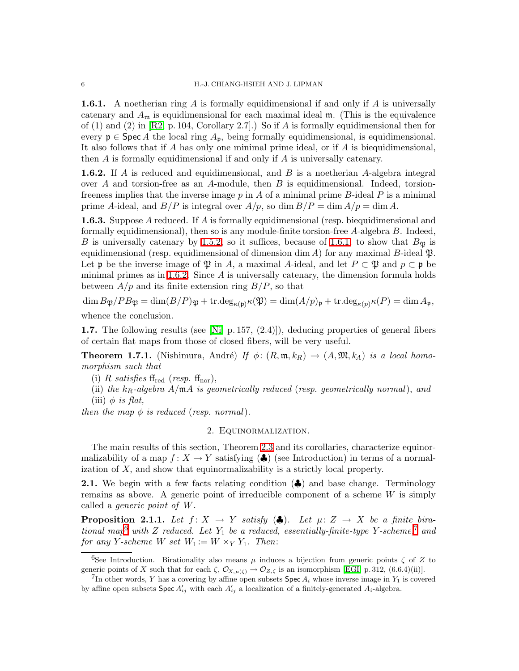<span id="page-5-0"></span>**1.6.1.** A noetherian ring A is formally equidimensional if and only if A is universally catenary and  $A_m$  is equidimensional for each maximal ideal  $m$ . (This is the equivalence of  $(1)$  and  $(2)$  in [\[R2,](#page-34-6) p. 104, Corollary 2.7].) So if A is formally equidimensional then for every  $\mathfrak{p} \in \text{Spec } A$  the local ring  $A_{\mathfrak{p}}$ , being formally equidimensional, is equidimensional. It also follows that if A has only one minimal prime ideal, or if A is biequidimensional, then  $A$  is formally equidimensional if and only if  $A$  is universally catenary.

<span id="page-5-2"></span>**1.6.2.** If A is reduced and equidimensional, and B is a noetherian A-algebra integral over A and torsion-free as an A-module, then B is equidimensional. Indeed, torsionfreeness implies that the inverse image  $p$  in A of a minimal prime B-ideal P is a minimal prime A-ideal, and  $B/P$  is integral over  $A/p$ , so dim  $B/P = \dim A/p = \dim A$ .

<span id="page-5-6"></span>**1.6.3.** Suppose A reduced. If A is formally equidimensional (resp. biequidimensional and formally equidimensional), then so is any module-finite torsion-free  $A$ -algebra  $B$ . Indeed, B is universally catenary by [1.5.2,](#page-4-1) so it suffices, because of [1.6.1,](#page-5-0) to show that  $B_{\mathfrak{P}}$  is equidimensional (resp. equidimensional of dimension dim A) for any maximal B-ideal  $\mathfrak{P}$ . Let p be the inverse image of  $\mathfrak P$  in A, a maximal A-ideal, and let  $P \subset \mathfrak P$  and  $p \subset \mathfrak p$  be minimal primes as in [1.6.2.](#page-5-2) Since  $A$  is universally catenary, the dimension formula holds between  $A/p$  and its finite extension ring  $B/P$ , so that

 $\dim B_{\mathfrak{P}}/PB_{\mathfrak{P}} = \dim(B/P)_{\mathfrak{P}} + \text{tr.deg}_{\kappa(\mathfrak{p})}\kappa(\mathfrak{P}) = \dim(A/p)_{\mathfrak{p}} + \text{tr.deg}_{\kappa(p)}\kappa(P) = \dim A_{\mathfrak{p}},$ 

whence the conclusion.

**1.7.** The following results (see [\[Ni,](#page-34-7) p. 157,  $(2.4)$ ]), deducing properties of general fibers of certain flat maps from those of closed fibers, will be very useful.

<span id="page-5-1"></span>**Theorem 1.7.1.** (Nishimura, André) If  $\phi$ :  $(R, \mathfrak{m}, k_R) \rightarrow (A, \mathfrak{M}, k_A)$  is a local homomorphism such that

(i) R satisfies  $f_{\text{red}}$  (resp.  $f_{\text{nor}}$ ),

(ii) the  $k_R$ -algebra  $A/\mathfrak{m}A$  is geometrically reduced (resp. geometrically normal), and (iii)  $\phi$  is flat,

then the map  $\phi$  is reduced (resp. normal).

#### 2. Equinormalization.

The main results of this section, Theorem [2.3](#page-11-0) and its corollaries, characterize equinormalizability of a map  $f: X \to Y$  satisfying  $(\clubsuit)$  (see Introduction) in terms of a normalization of X, and show that equinormalizability is a strictly local property.

2.1. We begin with a few facts relating condition (♦) and base change. Terminology remains as above. A generic point of irreducible component of a scheme  $W$  is simply called a generic point of W.

<span id="page-5-5"></span>**Proposition 2.1.1.** Let  $f: X \to Y$  satisfy  $(\clubsuit)$ . Let  $\mu: Z \to X$  be a finite bira-tional map<sup>[6](#page-5-3)</sup> with Z reduced. Let  $Y_1$  be a reduced, essentially-finite-type Y-scheme,<sup>[7](#page-5-4)</sup> and for any Y-scheme W set  $W_1 := W \times_Y Y_1$ . Then:

<span id="page-5-3"></span><sup>6</sup>See Introduction. Birationality also means  $\mu$  induces a bijection from generic points  $\zeta$  of Z to generic points of X such that for each  $\zeta$ ,  $\mathcal{O}_{X,\mu(\zeta)} \to \mathcal{O}_{Z,\zeta}$  is an isomorphism [\[EGI,](#page-33-7) p. 312, (6.6.4)(ii)].

<span id="page-5-4"></span><sup>&</sup>lt;sup>7</sup>In other words, Y has a covering by affine open subsets **Spec**  $A_i$  whose inverse image in  $Y_1$  is covered by affine open subsets  $Spec A'_{ij}$  with each  $A'_{ij}$  a localization of a finitely-generated  $A_i$ -algebra.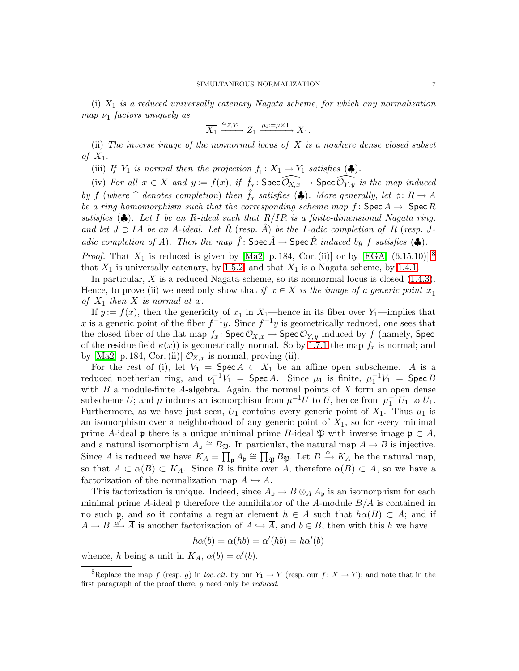(i)  $X_1$  is a reduced universally catenary Nagata scheme, for which any normalization  $map \nu_1$  factors uniquely as

$$
\overline{X_1} \xrightarrow{\alpha_{Z,Y_1}} Z_1 \xrightarrow{\mu_1:=\mu\times 1} X_1.
$$

(ii) The inverse image of the nonnormal locus of  $X$  is a nowhere dense closed subset of  $X_1$ .

(iii) If  $Y_1$  is normal then the projection  $f_1: X_1 \to Y_1$  satisfies  $(\clubsuit)$ .

(iv) For all  $x \in X$  and  $y := f(x)$ , if  $\hat{f}_x : \text{Spec } \widehat{O_{X,x}} \to \text{Spec } \widehat{O_{Y,y}}$  is the map induced by f (where  $\hat{ }$  denotes completion) then  $\hat{f}_x$  satisfies ( $\clubsuit$ ). More generally, let  $\phi: R \to A$ be a ring homomorphism such that the corresponding scheme map f:  $\text{Spec } A \to \text{Spec } R$ satisfies ( $\clubsuit$ ). Let I be an R-ideal such that  $R/IR$  is a finite-dimensional Nagata ring, and let  $J \supset I$ A be an A-ideal. Let  $\hat{R}$  (resp.  $\hat{A}$ ) be the I-adic completion of R (resp. Jadic completion of A). Then the map  $\hat{f}$ : Spec  $\hat{A} \rightarrow$  Spec  $\hat{R}$  induced by f satisfies ( $\clubsuit$ ). *Proof.* That  $X_1$  is reduced is given by [\[Ma2,](#page-33-6) p. 184, Cor. (ii)] or by [\[EGA,](#page-33-5) (6.15.10)];<sup>[8](#page-6-0)</sup>

that  $X_1$  is universally catenary, by [1.5.2;](#page-4-1) and that  $X_1$  is a Nagata scheme, by [1.4.1.](#page-4-3)

In particular, X is a reduced Nagata scheme, so its nonnormal locus is closed [\(1.4.3\)](#page-4-0). Hence, to prove (ii) we need only show that if  $x \in X$  is the image of a generic point  $x_1$ of  $X_1$  then X is normal at x.

If  $y := f(x)$ , then the genericity of  $x_1$  in  $X_1$ —hence in its fiber over  $Y_1$ —implies that x is a generic point of the fiber  $f^{-1}y$ . Since  $f^{-1}y$  is geometrically reduced, one sees that the closed fiber of the flat map  $f_x$ : Spec  $\mathcal{O}_{X,x} \to \text{Spec } \mathcal{O}_{Y,y}$  induced by f (namely, Spec of the residue field  $\kappa(x)$  is geometrically normal. So by [1.7.1](#page-5-1) the map  $f_x$  is normal; and by [\[Ma2,](#page-33-6) p. 184, Cor. (ii)]  $\mathcal{O}_{X,x}$  is normal, proving (ii).

For the rest of (i), let  $V_1$  = Spec  $A \subset X_1$  be an affine open subscheme. A is a reduced noetherian ring, and  $\nu_1^{-1}V_1 = \text{Spec } \overline{A}$ . Since  $\mu_1$  is finite,  $\mu_1^{-1}V_1 = \text{Spec } B$ with  $B$  a module-finite A-algebra. Again, the normal points of  $X$  form an open dense subscheme U; and  $\mu$  induces an isomorphism from  $\mu^{-1}U$  to U, hence from  $\mu_1^{-1}U_1$  to U<sub>1</sub>. Furthermore, as we have just seen,  $U_1$  contains every generic point of  $X_1$ . Thus  $\mu_1$  is an isomorphism over a neighborhood of any generic point of  $X_1$ , so for every minimal prime A-ideal **p** there is a unique minimal prime B-ideal  $\mathfrak{P}$  with inverse image  $\mathfrak{p} \subset A$ , and a natural isomorphism  $A_{\mathfrak{p}} \cong B_{\mathfrak{P}}$ . In particular, the natural map  $A \to B$  is injective. Since A is reduced we have  $K_A = \prod_{\mathfrak{p}} A_{\mathfrak{p}} \cong \prod_{\mathfrak{P}} B_{\mathfrak{P}}$ . Let  $B \xrightarrow{\alpha} K_A$  be the natural map, so that  $A \subset \alpha(B) \subset K_A$ . Since B is finite over A, therefore  $\alpha(B) \subset \overline{A}$ , so we have a factorization of the normalization map  $A \hookrightarrow \overline{A}$ .

This factorization is unique. Indeed, since  $A_{\mathfrak{p}} \to B \otimes_A A_{\mathfrak{p}}$  is an isomorphism for each minimal prime A-ideal  $\mathfrak p$  therefore the annihilator of the A-module  $B/A$  is contained in no such p, and so it contains a regular element  $h \in A$  such that  $h\alpha(B) \subset A$ ; and if  $A \to B \xrightarrow{\dot{\alpha'}} \overline{A}$  is another factorization of  $A \hookrightarrow \overline{A}$ , and  $b \in B$ , then with this h we have

$$
h\alpha(b) = \alpha(hb) = \alpha'(hb) = h\alpha'(b)
$$

whence, h being a unit in  $K_A$ ,  $\alpha(b) = \alpha'(b)$ .

<span id="page-6-0"></span><sup>&</sup>lt;sup>8</sup>Replace the map f (resp. q) in loc. cit. by our  $Y_1 \to Y$  (resp. our  $f: X \to Y$ ); and note that in the first paragraph of the proof there, g need only be *reduced*.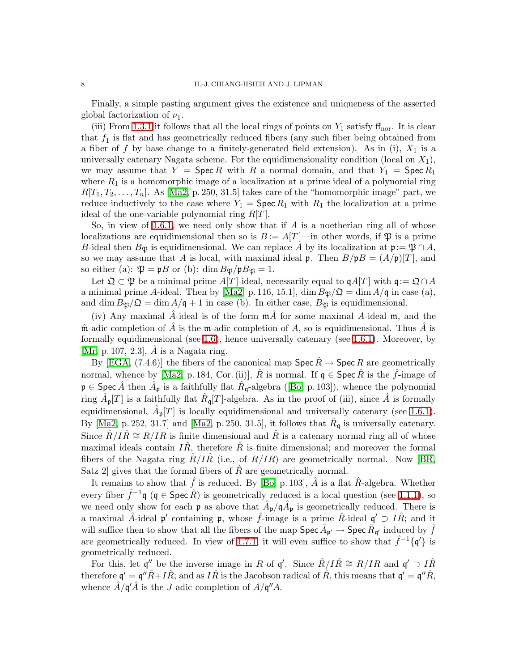Finally, a simple pasting argument gives the existence and uniqueness of the asserted global factorization of  $\nu_1$ .

(iii) From [1.3.1](#page-4-2) it follows that all the local rings of points on  $Y_1$  satisfy  $ff_{\text{nor}}$ . It is clear that  $f_1$  is flat and has geometrically reduced fibers (any such fiber being obtained from a fiber of f by base change to a finitely-generated field extension). As in (i),  $X_1$  is a universally catenary Nagata scheme. For the equidimensionality condition (local on  $X_1$ ), we may assume that  $Y = \text{Spec } R$  with R a normal domain, and that  $Y_1 = \text{Spec } R_1$ where  $R_1$  is a homomorphic image of a localization at a prime ideal of a polynomial ring  $R[T_1, T_2, \ldots, T_n]$ . As [\[Ma2,](#page-33-6) p. 250, 31.5] takes care of the "homomorphic image" part, we reduce inductively to the case where  $Y_1 = \text{Spec } R_1$  with  $R_1$  the localization at a prime ideal of the one-variable polynomial ring  $R[T]$ .

So, in view of [1.6.1,](#page-5-0) we need only show that if  $A$  is a noetherian ring all of whose localizations are equidimensional then so is  $B := A[T]$ —in other words, if  $\mathfrak P$  is a prime B-ideal then  $B_{\mathfrak{P}}$  is equidimensional. We can replace A by its localization at  $\mathfrak{p}:=\mathfrak{P}\cap A$ , so we may assume that A is local, with maximal ideal **p**. Then  $B/pB = (A/p)[T]$ , and so either (a):  $\mathfrak{P} = \mathfrak{p}B$  or (b): dim  $B_{\mathfrak{P}}/\mathfrak{p}B_{\mathfrak{P}} = 1$ .

Let  $\mathfrak{Q} \subset \mathfrak{P}$  be a minimal prime A[T]-ideal, necessarily equal to  $\mathfrak{q}A[T]$  with  $\mathfrak{q} := \mathfrak{Q} \cap A$ a minimal prime A-ideal. Then by [\[Ma2,](#page-33-6) p. 116, 15.1],  $\dim B_{\mathfrak{B}}/\mathfrak{Q} = \dim A/\mathfrak{q}$  in case (a), and dim  $B_{\mathfrak{P}}/\mathfrak{Q} = \dim A/\mathfrak{q} + 1$  in case (b). In either case,  $B_{\mathfrak{P}}$  is equidimensional.

(iv) Any maximal  $\hat{A}$ -ideal is of the form  $m\hat{A}$  for some maximal  $A$ -ideal m, and the  $\hat{\mathfrak{m}}$ -adic completion of  $\hat{A}$  is the  $\mathfrak{m}$ -adic completion of A, so is equidimensional. Thus  $\hat{A}$  is formally equidimensional (see [1.6\)](#page-4-5), hence universally catenary (see [1.6.1\)](#page-5-0). Moreover, by [\[Mr,](#page-34-8) p. 107, 2.3],  $A$  is a Nagata ring.

By [\[EGA,](#page-33-5) (7.4.6)] the fibers of the canonical map  $\operatorname{Spec} R \to \operatorname{Spec} R$  are geometrically normal, whence by [\[Ma2,](#page-33-6) p. 184, Cor. (ii)],  $\hat{R}$  is normal. If  $\mathfrak{q} \in \mathsf{Spec}\,\hat{R}$  is the  $\hat{f}$ -image of  $\mathfrak{p} \in \text{Spec } \hat{A}$  $\mathfrak{p} \in \text{Spec } \hat{A}$  $\mathfrak{p} \in \text{Spec } \hat{A}$  then  $\hat{A}_{\mathfrak{p}}$  is a faithfully flat  $\hat{R}_{\mathfrak{q}}$ -algebra ([\[Bo,](#page-33-8) p. 103]), whence the polynomial ring  $\hat{A}_{\mathfrak{p}}[T]$  is a faithfully flat  $\hat{R}_{\mathfrak{q}}[T]$ -algebra. As in the proof of (iii), since  $\hat{A}$  is formally equidimensional,  $\hat{A}_{\mathfrak{p}}[T]$  is locally equidimensional and universally catenary (see [1.6.1\)](#page-5-0). By [\[Ma2,](#page-33-6) p. 252, 31.7] and [Ma2, p. 250, 31.5], it follows that  $\hat{R}_{\mathfrak{q}}$  is universally catenary. Since  $R/I\hat{R} \cong R/I\hat{R}$  is finite dimensional and  $\hat{R}$  is a catenary normal ring all of whose maximal ideals contain  $I\hat{R}$ , therefore  $\hat{R}$  is finite dimensional; and moreover the formal fibers of the Nagata ring  $R/IR$  (i.e., of  $R/IR$ ) are geometrically normal. Now [\[BR,](#page-33-9) Satz 2 gives that the formal fibers of  $\hat{R}$  are geometrically normal.

It remains to show that  $\hat{f}$  is reduced. By [\[Bo,](#page-33-8) p. 103],  $\hat{A}$  is a flat  $\hat{R}$ -algebra. Whether every fiber  $\hat{f}^{-1}\mathfrak{q}$  ( $\mathfrak{q} \in \text{Spec } \hat{R}$ ) is geometrically reduced is a local question (see [1.1.1\)](#page-3-1), so we need only show for each  $\mathfrak{p}$  as above that  $\hat{A}_{\mathfrak{p}}/\mathfrak{q}\hat{A}_{\mathfrak{p}}$  is geometrically reduced. There is a maximal  $\hat{A}$ -ideal p' containing p, whose  $\hat{f}$ -image is a prime  $\hat{R}$ -ideal  $g' \supset I\hat{R}$ ; and it will suffice then to show that all the fibers of the map  $\mathsf{Spec}\,\hat{A}_{\mathfrak{p}'} \to \mathsf{Spec}\,\hat{R}_{\mathfrak{q}'}$  induced by  $\hat{f}$ are geometrically reduced. In view of [1.7.1,](#page-5-1) it will even suffice to show that  $\hat{f}^{-1}\{\mathfrak{q}'\}$  is geometrically reduced.

For this, let  $\mathfrak{q}''$  be the inverse image in R of  $\mathfrak{q}'$ . Since  $\hat{R}/I\hat{R} \cong R/IR$  and  $\mathfrak{q}' \supset I\hat{R}$ therefore  $\mathfrak{q}'=\mathfrak{q}''\hat{R}+I\hat{R};$  and as  $I\hat{R}$  is the Jacobson radical of  $\hat{R},$  this means that  $\mathfrak{q}'=\mathfrak{q}''\hat{R},$ whence  $\hat{A}/\mathfrak{q}'\hat{A}$  is the *J*-adic completion of  $A/\mathfrak{q}''A$ .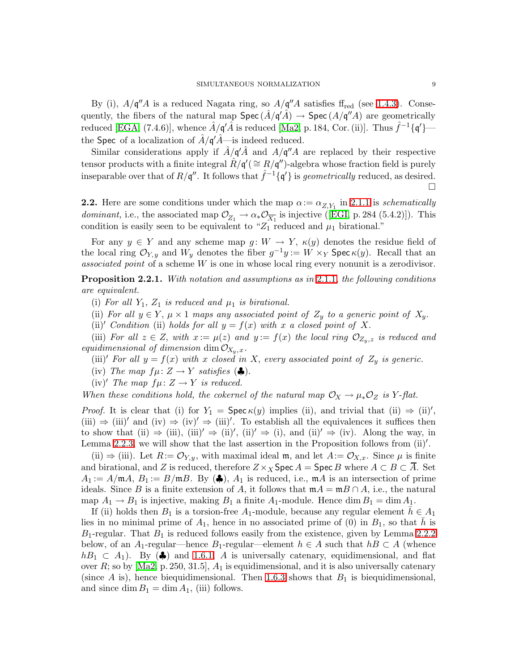By (i),  $A/\mathfrak{q}''A$  is a reduced Nagata ring, so  $A/\mathfrak{q}''A$  satisfies f<sub>red</sub> (see [1.4.3\)](#page-4-0). Consequently, the fibers of the natural map  $Spec(\hat{A}/\mathfrak{q}'\hat{A}) \to Spec(A/\mathfrak{q}''A)$  are geometrically reduced [\[EGA,](#page-33-5) (7.4.6)], whence  $\hat{A}/\mathfrak{q}'\hat{A}$  is reduced [\[Ma2,](#page-33-6) p. 184, Cor. (ii)]. Thus  $\hat{f}^{-1}\{\mathfrak{q}'\}$  the Spec of a localization of  $\hat{A}/\mathfrak{q}'\hat{A}$ —is indeed reduced.

Similar considerations apply if  $\hat{A}/q'\hat{A}$  and  $A/q''A$  are replaced by their respective tensor products with a finite integral  $\hat{R}/\mathfrak{q}' (\cong R/\mathfrak{q}'')$ -algebra whose fraction field is purely inseparable over that of  $R/\mathfrak{q}''$ . It follows that  $\hat{f}^{-1}\{\mathfrak{q}'\}$  is *geometrically* reduced, as desired.  $\Box$ 

<span id="page-8-1"></span>**2.2.** Here are some conditions under which the map  $\alpha := \alpha_{Z,Y_1}$  in [2.1.1](#page-5-5) is *schematically dominant*,i.e., the associated map  $\mathcal{O}_{Z_1} \to \alpha_* \mathcal{O}_{\overline{X_1}}$  is injective ([\[EGI,](#page-33-7) p. 284 (5.4.2)]). This condition is easily seen to be equivalent to " $Z_1$  reduced and  $\mu_1$  birational."

For any  $y \in Y$  and any scheme map  $g: W \to Y$ ,  $\kappa(y)$  denotes the residue field of the local ring  $\mathcal{O}_{Y,y}$  and  $W_y$  denotes the fiber  $g^{-1}y := W \times_Y \mathsf{Spec} \kappa(y)$ . Recall that an associated point of a scheme W is one in whose local ring every nonunit is a zerodivisor.

<span id="page-8-0"></span>**Proposition 2.2.1.** With notation and assumptions as in [2.1.1,](#page-5-5) the following conditions are equivalent.

- (i) For all  $Y_1$ ,  $Z_1$  is reduced and  $\mu_1$  is birational.
- (ii) For all  $y \in Y$ ,  $\mu \times 1$  maps any associated point of  $Z_y$  to a generic point of  $X_y$ .
- (ii)' Condition (ii) holds for all  $y = f(x)$  with x a closed point of X.

(iii) For all  $z \in Z$ , with  $x := \mu(z)$  and  $y := f(x)$  the local ring  $\mathcal{O}_{Z_v,z}$  is reduced and equidimensional of dimension dim  $\mathcal{O}_{X_y,x}$ .

- (iii)' For all  $y = f(x)$  with x closed in X, every associated point of  $Z_y$  is generic.
- (iv) The map  $f\mu: Z \to Y$  satisfies  $(\clubsuit)$ .
- (iv)' The map  $f\mu: Z \to Y$  is reduced.

When these conditions hold, the cokernel of the natural map  $\mathcal{O}_X \to \mu_* \mathcal{O}_Z$  is Y-flat.

*Proof.* It is clear that (i) for  $Y_1 = \text{Spec } \kappa(y)$  implies (ii), and trivial that (ii)  $\Rightarrow$  (ii)',  $(iii) \Rightarrow (iii)'$  and  $(iv) \Rightarrow (iv)' \Rightarrow (iii)'$ . To establish all the equivalences it suffices then to show that (ii)  $\Rightarrow$  (iii), (iii)'  $\Rightarrow$  (ii)', (ii)'  $\Rightarrow$  (i), and (ii)'  $\Rightarrow$  (iv). Along the way, in Lemma [2.2.3,](#page-9-0) we will show that the last assertion in the Proposition follows from (ii)'.

(ii)  $\Rightarrow$  (iii). Let  $R:=\mathcal{O}_{Y,y}$ , with maximal ideal m, and let  $A:=\mathcal{O}_{X,x}$ . Since  $\mu$  is finite and birational, and Z is reduced, therefore  $Z\times_X$  Spec  $A =$  Spec B where  $A \subset B \subset \overline{A}$ . Set  $A_1 := A/\mathfrak{m}A$ ,  $B_1 := B/\mathfrak{m}B$ . By  $(\clubsuit)$ ,  $A_1$  is reduced, i.e.,  $\mathfrak{m}A$  is an intersection of prime ideals. Since B is a finite extension of A, it follows that  $mA = mB \cap A$ , i.e., the natural map  $A_1 \rightarrow B_1$  is injective, making  $B_1$  a finite  $A_1$ -module. Hence dim  $B_1 = \dim A_1$ .

If (ii) holds then  $B_1$  is a torsion-free  $A_1$ -module, because any regular element  $h \in A_1$ lies in no minimal prime of  $A_1$ , hence in no associated prime of (0) in  $B_1$ , so that h is  $B_1$ -regular. That  $B_1$  is reduced follows easily from the existence, given by Lemma [2.2.2](#page-9-1) below, of an A<sub>1</sub>-regular—hence B<sub>1</sub>-regular—element  $h \in A$  such that  $hB \subset A$  (whence  $h_{B_1} \subset A_1$ ). By ( $\clubsuit$ ) and [1.6.1,](#page-5-0) A is universally catenary, equidimensional, and flat over R; so by  $[Ma2, p. 250, 31.5], A_1$  is equidimensional, and it is also universally catenary (since A is), hence biequidimensional. Then [1.6.3](#page-5-6) shows that  $B_1$  is biequidimensional, and since  $\dim B_1 = \dim A_1$ , (iii) follows.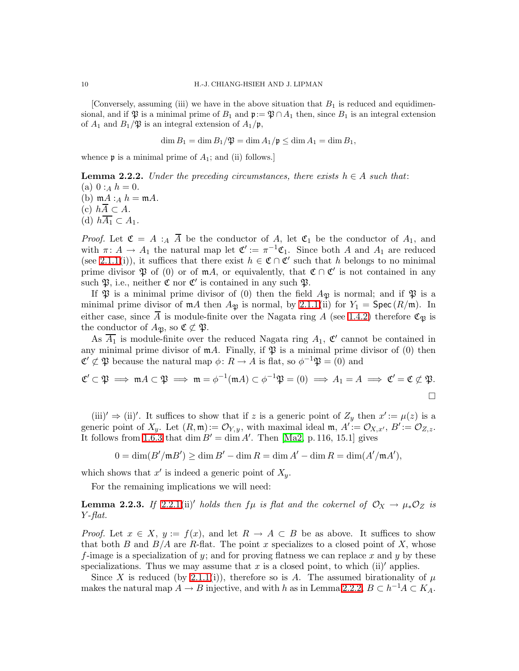[Conversely, assuming (iii) we have in the above situation that  $B_1$  is reduced and equidimensional, and if  $\mathfrak{P}$  is a minimal prime of  $B_1$  and  $\mathfrak{p}:=\mathfrak{P}\cap A_1$  then, since  $B_1$  is an integral extension of  $A_1$  and  $B_1/\mathfrak{P}$  is an integral extension of  $A_1/\mathfrak{p}$ ,

$$
\dim B_1 = \dim B_1/\mathfrak{P} = \dim A_1/\mathfrak{p} \le \dim A_1 = \dim B_1,
$$

<span id="page-9-1"></span>whence  $\mathfrak p$  is a minimal prime of  $A_1$ ; and (ii) follows.]

**Lemma 2.2.2.** Under the preceding circumstances, there exists  $h \in A$  such that: (a)  $0:_{A} h = 0$ . (b)  $mA :_A h = mA$ . (c)  $h\overline{A} \subset A$ .

(d)  $h\overline{A_1} \subset A_1$ .

*Proof.* Let  $\mathfrak{C} = A :_A \overline{A}$  be the conductor of A, let  $\mathfrak{C}_1$  be the conductor of  $A_1$ , and with  $\pi: A \to A_1$  the natural map let  $\mathfrak{C}' := \pi^{-1} \mathfrak{C}_1$ . Since both A and  $A_1$  are reduced (see [2.1.1\(](#page-5-5)i)), it suffices that there exist  $h \in \mathfrak{C} \cap \mathfrak{C}'$  such that h belongs to no minimal prime divisor  $\mathfrak P$  of (0) or of mA, or equivalently, that  $\mathfrak C \cap \mathfrak C'$  is not contained in any such  $\mathfrak{P}$ , i.e., neither  $\mathfrak{C}$  nor  $\mathfrak{C}'$  is contained in any such  $\mathfrak{P}$ .

If  $\mathfrak P$  is a minimal prime divisor of (0) then the field  $A_{\mathfrak P}$  is normal; and if  $\mathfrak P$  is a minimal prime divisor of  $mA$  then  $A_{\mathfrak{B}}$  is normal, by [2.1.1\(](#page-5-5)ii) for  $Y_1 = \text{Spec}(R/\mathfrak{m})$ . In either case, since  $\overline{A}$  is module-finite over the Nagata ring A (see [1.4.2\)](#page-4-6) therefore  $\mathfrak{C}_{\mathfrak{B}}$  is the conductor of  $A_{\mathfrak{B}}$ , so  $\mathfrak{C} \not\subset \mathfrak{P}$ .

As  $\overline{A_1}$  is module-finite over the reduced Nagata ring  $A_1$ ,  $\mathfrak{C}'$  cannot be contained in any minimal prime divisor of  $mA$ . Finally, if  $\mathfrak P$  is a minimal prime divisor of (0) then  $\mathfrak{C}' \not\subset \mathfrak{P}$  because the natural map  $\phi \colon R \to A$  is flat, so  $\phi^{-1} \mathfrak{P} = (0)$  and

$$
\mathfrak{C}' \subset \mathfrak{P} \implies \mathfrak{m}A \subset \mathfrak{P} \implies \mathfrak{m} = \phi^{-1}(\mathfrak{m}A) \subset \phi^{-1}\mathfrak{P} = (0) \implies A_1 = A \implies \mathfrak{C}' = \mathfrak{C} \not\subset \mathfrak{P}.
$$

(iii)'  $\Rightarrow$  (ii)'. It suffices to show that if z is a generic point of  $Z_y$  then  $x' := \mu(z)$  is a generic point of  $X_y$ . Let  $(R, \mathfrak{m}) := \mathcal{O}_{Y,y}$ , with maximal ideal  $\mathfrak{m}, A' := \mathcal{O}_{X,x'}$ ,  $B' := \mathcal{O}_{Z,z}$ . It follows from [1.6.3](#page-5-6) that  $\dim B' = \dim A'$ . Then [\[Ma2,](#page-33-6) p. 116, 15.1] gives

 $0 = \dim(B'/mB') \ge \dim B' - \dim R = \dim A' - \dim R = \dim(A'/mA'),$ 

which shows that  $x'$  is indeed a generic point of  $X_y$ .

For the remaining implications we will need:

<span id="page-9-0"></span>**Lemma 2.2.3.** If [2.2.1\(](#page-8-0)ii)′ holds then  $f\mu$  is flat and the cokernel of  $\mathcal{O}_X \to \mu_* \mathcal{O}_Z$  is Y-flat.

*Proof.* Let  $x \in X$ ,  $y := f(x)$ , and let  $R \to A \subset B$  be as above. It suffices to show that both B and  $B/A$  are R-flat. The point x specializes to a closed point of X, whose f-image is a specialization of y; and for proving flatness we can replace x and y by these specializations. Thus we may assume that x is a closed point, to which (ii)' applies.

Since X is reduced (by [2.1.1\(](#page-5-5)i)), therefore so is A. The assumed birationality of  $\mu$ makes the natural map  $A \to B$  injective, and with h as in Lemma [2.2.2,](#page-9-1)  $B \subset h^{-1}A \subset K_A$ .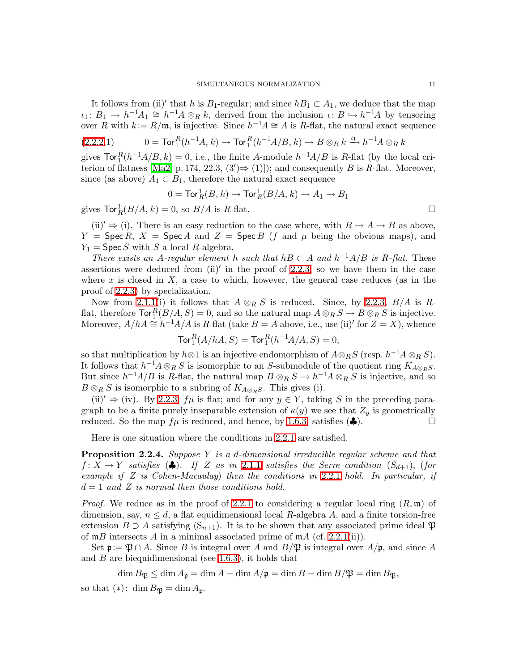It follows from (ii)' that h is  $B_1$ -regular; and since  $hB_1 \subset A_1$ , we deduce that the map  $\iota_1: B_1 \to h^{-1}A_1 \cong h^{-1}A \otimes_R k$ , derived from the inclusion  $\iota: B \hookrightarrow h^{-1}A$  by tensoring over R with  $k := R/\mathfrak{m}$ , is injective. Since  $h^{-1}A \cong A$  is R-flat, the natural exact sequence

$$
(2.2.2.1) \t 0 = \operatorname{Tor}_1^R(h^{-1}A, k) \to \operatorname{Tor}_1^R(h^{-1}A/B, k) \to B \otimes_R k \xrightarrow{\iota_1} h^{-1}A \otimes_R k
$$

gives  $\text{Tor}_1^R(h^{-1}A/B, k) = 0$ , i.e., the finite A-module  $h^{-1}A/B$  is R-flat (by the local cri-terion of flatness [\[Ma2,](#page-33-6) p. 174, 22.3,  $(3') \Rightarrow (1)$ ]); and consequently B is R-flat. Moreover, since (as above)  $A_1 \subset B_1$ , therefore the natural exact sequence

$$
0=\operatorname{Tor}_R^1(B,k)\to \operatorname{Tor}_R^1(B/A,k)\to A_1\to B_1
$$

gives  $\text{Tor}_R^1(B/A, k) = 0$ , so  $B/A$  is  $R$ -flat.

 $(iii)' \Rightarrow (i)$ . There is an easy reduction to the case where, with  $R \rightarrow A \rightarrow B$  as above,  $Y = \text{Spec } R$ ,  $X = \text{Spec } A$  and  $Z = \text{Spec } B$  (f and  $\mu$  being the obvious maps), and  $Y_1$  = Spec S with S a local R-algebra.

There exists an A-regular element h such that  $hB \subset A$  and  $h^{-1}A/B$  is R-flat. These assertions were deduced from  $(ii)'$  in the proof of [2.2.3,](#page-9-0) so we have them in the case where x is closed in  $X$ , a case to which, however, the general case reduces (as in the proof of [2.2.3\)](#page-9-0) by specialization.

Now from [2.1.1\(](#page-5-5)i) it follows that  $A \otimes_R S$  is reduced. Since, by [2.2.3,](#page-9-0)  $B/A$  is Rflat, therefore  $\text{Tor}_1^R(B/A, S) = 0$ , and so the natural map  $A \otimes_R S \to B \otimes_R S$  is injective. Moreover,  $A/hA \cong h^{-1}A/A$  is R-flat (take  $B = A$  above, i.e., use (ii)' for  $Z = X$ ), whence

$$
\text{Tor}_1^R(A/hA, S) = \text{Tor}_1^R(h^{-1}A/A, S) = 0,
$$

so that multiplication by  $h \otimes 1$  is an injective endomorphism of  $A \otimes_R S$  (resp.  $h^{-1}A \otimes_R S$ ). It follows that  $h^{-1}A \otimes_R S$  is isomorphic to an S-submodule of the quotient ring  $K_{A \otimes_R S}$ . But since  $h^{-1}A/B$  is R-flat, the natural map  $B \otimes_R S \to h^{-1}A \otimes_R S$  is injective, and so  $B \otimes_R S$  is isomorphic to a subring of  $K_{A \otimes_R S}$ . This gives (i).

(ii)'  $\Rightarrow$  (iv). By [2.2.3,](#page-9-0)  $f\mu$  is flat; and for any  $y \in Y$ , taking S in the preceding paragraph to be a finite purely inseparable extension of  $\kappa(y)$  we see that  $Z_y$  is geometrically reduced. So the map  $f\mu$  is reduced, and hence, by [1.6.3,](#page-5-6) satisfies ( $\clubsuit$ ).

Here is one situation where the conditions in [2.2.1](#page-8-0) are satisfied.

<span id="page-10-0"></span>**Proposition 2.2.4.** Suppose Y is a d-dimensional irreducible regular scheme and that  $f: X \to Y$  satisfies  $(\clubsuit)$ . If Z as in [2.1.1](#page-5-5) satisfies the Serre condition  $(S_{d+1})$ , (for example if  $Z$  is Cohen-Macaulay) then the conditions in [2.2.1](#page-8-0) hold. In particular, if  $d=1$  and Z is normal then those conditions hold.

*Proof.* We reduce as in the proof of [2.2.1](#page-8-0) to considering a regular local ring  $(R, \mathfrak{m})$  of dimension, say,  $n \leq d$ , a flat equidimensional local R-algebra A, and a finite torsion-free extension  $B \supset A$  satisfying  $(S_{n+1})$ . It is to be shown that any associated prime ideal  $\mathfrak{P}$ of  $mB$  intersects A in a minimal associated prime of  $mA$  (cf. [2.2.1\(](#page-8-0)ii)).

Set  $\mathfrak{p}:=\mathfrak{P}\cap A$ . Since B is integral over A and  $B/\mathfrak{P}$  is integral over  $A/\mathfrak{p}$ , and since A and  $B$  are biequidimensional (see [1.6.3\)](#page-5-6), it holds that

 $\dim B_{\mathfrak{B}} \leq \dim A_{\mathfrak{p}} = \dim A - \dim A/\mathfrak{p} = \dim B - \dim B/\mathfrak{P} = \dim B_{\mathfrak{B}},$ 

so that  $(*)$ : dim  $B_{\mathfrak{P}} = \dim A_{\mathfrak{p}}$ .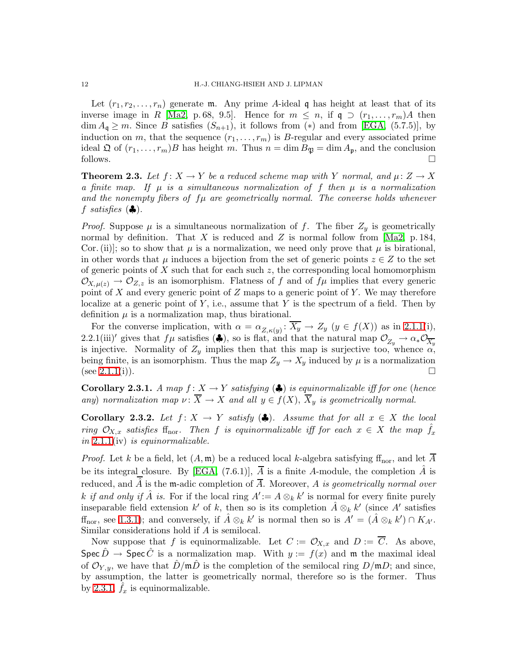Let  $(r_1, r_2, \ldots, r_n)$  generate m. Any prime A-ideal q has height at least that of its inverse image in R [\[Ma2,](#page-33-6) p. 68, 9.5]. Hence for  $m \leq n$ , if  $\mathfrak{q} \supset (r_1,\ldots,r_m)A$  then  $\dim A_{\mathfrak{q}} \geq m$ . Since B satisfies  $(S_{n+1})$ , it follows from (\*) and from [\[EGA,](#page-33-5) (5.7.5)], by induction on m, that the sequence  $(r_1,\ldots,r_m)$  is B-regular and every associated prime ideal  $\mathfrak Q$  of  $(r_1,\ldots,r_m)B$  has height m. Thus  $n=\dim B_{\mathfrak P}=\dim A_{\mathfrak p}$ , and the conclusion follows.  $\Box$ 

<span id="page-11-0"></span>**Theorem 2.3.** Let  $f: X \to Y$  be a reduced scheme map with Y normal, and  $\mu: Z \to X$ a finite map. If  $\mu$  is a simultaneous normalization of f then  $\mu$  is a normalization and the nonempty fibers of  $f\mu$  are geometrically normal. The converse holds whenever f satisfies  $(\clubsuit)$ .

*Proof.* Suppose  $\mu$  is a simultaneous normalization of f. The fiber  $Z_y$  is geometrically normal by definition. That  $X$  is reduced and  $Z$  is normal follow from [\[Ma2,](#page-33-6) p. 184, Cor. (ii)]; so to show that  $\mu$  is a normalization, we need only prove that  $\mu$  is birational, in other words that  $\mu$  induces a bijection from the set of generic points  $z \in Z$  to the set of generic points of X such that for each such  $z$ , the corresponding local homomorphism  $\mathcal{O}_{X,\mu(z)} \to \mathcal{O}_{Z,z}$  is an isomorphism. Flatness of f and of  $f\mu$  implies that every generic point of  $X$  and every generic point of  $Z$  maps to a generic point of  $Y$ . We may therefore localize at a generic point of Y, i.e., assume that Y is the spectrum of a field. Then by definition  $\mu$  is a normalization map, thus birational.

For the converse implication, with  $\alpha = \alpha_{Z,\kappa(y)} \colon X_y \to Z_y \; (y \in f(X))$  as in [2.1.1\(](#page-5-5)i), 2.2.1(iii)′ gives that  $f\mu$  satisfies ( $\clubsuit$ ), so is flat, and that the natural map  $\mathcal{O}_{Z_y} \to \alpha_* \mathcal{O}_{\overline{X_y}}$ is injective. Normality of  $Z_y$  implies then that this map is surjective too, whence  $\alpha$ , being finite, is an isomorphism. Thus the map  $Z_y \to X_y$  induced by  $\mu$  is a normalization (see [2.1.1\(](#page-5-5)i)).  $\square$ 

<span id="page-11-1"></span>Corollary 2.3.1. A map  $f: X \to Y$  satisfying  $(\clubsuit)$  is equinormalizable iff for one (hence any) normalization map  $\nu: \overline{X} \to X$  and all  $y \in f(X)$ ,  $\overline{X}_y$  is geometrically normal.

<span id="page-11-2"></span>Corollary 2.3.2. Let  $f: X \to Y$  satisfy ( $\clubsuit$ ). Assume that for all  $x \in X$  the local ring  $\mathcal{O}_{X,x}$  satisfies finor. Then f is equinormalizable iff for each  $x \in X$  the map  $f_x$ in  $2.1.1$ (iv) is equinormalizable.

*Proof.* Let k be a field, let  $(A, \mathfrak{m})$  be a reduced local k-algebra satisfying ff<sub>nor</sub>, and let  $\overline{A}$ be its integral closure. By [\[EGA,](#page-33-5) (7.6.1)],  $\overline{A}$  is a finite A-module, the completion  $\hat{A}$  is reduced, and  $\hat{A}$  is the m-adic completion of  $\overline{A}$ . Moreover, A is geometrically normal over k if and only if  $\hat{A}$  is. For if the local ring  $A' := A \otimes_k k'$  is normal for every finite purely inseparable field extension k' of k, then so is its completion  $\hat{A} \otimes_k k'$  (since A' satisfies  $f_{\text{nor, see 1.3.1}}$ ; and conversely, if  $\hat{A} \otimes_k k'$  is normal then so is  $A' = (\hat{A} \otimes_k k') \cap K_{A'}$ . Similar considerations hold if A is semilocal.

Now suppose that f is equinormalizable. Let  $C := \mathcal{O}_{X,x}$  and  $D := \overline{C}$ . As above, Spec  $\hat{D} \to \text{Spec } \hat{C}$  is a normalization map. With  $y := f(x)$  and m the maximal ideal of  $\mathcal{O}_{Y,y}$ , we have that  $\hat{D}/m\hat{D}$  is the completion of the semilocal ring  $D/mD$ ; and since, by assumption, the latter is geometrically normal, therefore so is the former. Thus by [2.3.1,](#page-11-1)  $\hat{f}_x$  is equinormalizable.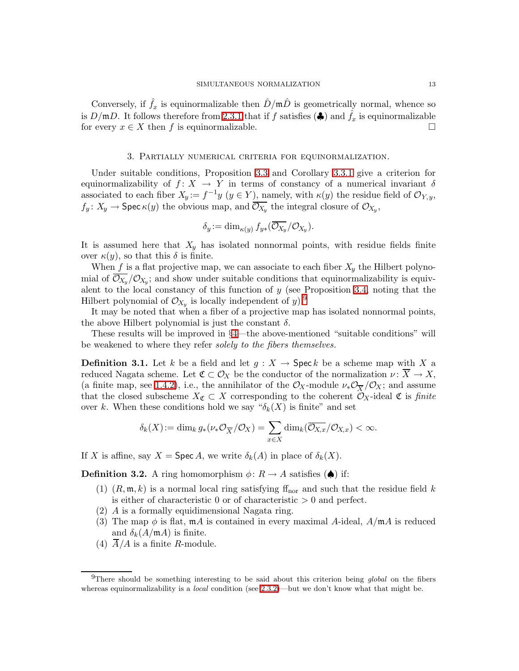Conversely, if  $\hat{f}_x$  is equinormalizable then  $\hat{D}/m\hat{D}$  is geometrically normal, whence so is  $D/\mathfrak{m}D$ . It follows therefore from [2.3.1](#page-11-1) that if f satisfies  $(\clubsuit)$  and  $\hat{f}_x$  is equinormalizable for every  $x \in X$  then f is equinormalizable.

#### 3. Partially numerical criteria for equinormalization.

Under suitable conditions, Proposition [3.3](#page-13-0) and Corollary [3.3.1](#page-14-0) give a criterion for equinormalizability of  $f: X \to Y$  in terms of constancy of a numerical invariant  $\delta$ associated to each fiber  $X_y := f^{-1}y$   $(y \in Y)$ , namely, with  $\kappa(y)$  the residue field of  $\mathcal{O}_{Y,y}$ ,  $f_y \colon X_y \to \textsf{Spec } \kappa(y)$  the obvious map, and  $\mathcal{O}_{X_y}$  the integral closure of  $\mathcal{O}_{X_y}$ ,

$$
\delta_y := \dim_{\kappa(y)} f_{y*}(\overline{\mathcal{O}_{X_y}}/\mathcal{O}_{X_y}).
$$

It is assumed here that  $X_y$  has isolated nonnormal points, with residue fields finite over  $\kappa(y)$ , so that this  $\delta$  is finite.

When f is a flat projective map, we can associate to each fiber  $X<sub>y</sub>$  the Hilbert polynomial of  $\mathcal{O}_{X_y}/\mathcal{O}_{X_y}$ ; and show under suitable conditions that equinormalizability is equivalent to the local constancy of this function of  $y$  (see Proposition [3.4,](#page-14-1) noting that the Hilbert polynomial of  $\mathcal{O}_{X_y}$  is locally independent of y).<sup>[9](#page-12-0)</sup>

It may be noted that when a fiber of a projective map has isolated nonnormal points, the above Hilbert polynomial is just the constant  $\delta$ .

These results will be improved in §[4—](#page-16-0)the above-mentioned "suitable conditions" will be weakened to where they refer solely to the fibers themselves.

**Definition 3.1.** Let k be a field and let  $g: X \to \mathsf{Spec} k$  be a scheme map with X a reduced Nagata scheme. Let  $\mathfrak{C} \subset \mathcal{O}_X$  be the conductor of the normalization  $\nu : \overline{X} \to X$ , (a finite map, see [1.4.2\)](#page-4-6), i.e., the annihilator of the  $\mathcal{O}_X$ -module  $\nu_*\mathcal{O}_{\overline{X}}/\mathcal{O}_X$ ; and assume that the closed subscheme  $X_{\mathfrak{C}} \subset X$  corresponding to the coherent  $\mathcal{O}_X$ -ideal  $\mathfrak{C}$  is finite over k. When these conditions hold we say " $\delta_k(X)$  is finite" and set

$$
\delta_k(X) := \dim_k g_*(\nu_* \mathcal{O}_{\overline{X}}/\mathcal{O}_X) = \sum_{x \in X} \dim_k(\overline{\mathcal{O}_{X,x}}/\mathcal{O}_{X,x}) < \infty.
$$

<span id="page-12-1"></span>If X is affine, say  $X = \operatorname{Spec} A$ , we write  $\delta_k(A)$  in place of  $\delta_k(X)$ .

**Definition 3.2.** A ring homomorphism  $\phi: R \to A$  satisfies  $(\spadesuit)$  if:

- (1)  $(R, \mathfrak{m}, k)$  is a normal local ring satisfying  $f_{\text{nor}}$  and such that the residue field k is either of characteristic 0 or of characteristic  $> 0$  and perfect.
- (2) A is a formally equidimensional Nagata ring.
- (3) The map  $\phi$  is flat,  $m\hat{A}$  is contained in every maximal A-ideal,  $A/m\hat{A}$  is reduced and  $\delta_k(A/\mathfrak{m} A)$  is finite.
- (4)  $\overline{A}/A$  is a finite R-module.

<span id="page-12-0"></span><sup>&</sup>lt;sup>9</sup>There should be something interesting to be said about this criterion being global on the fibers whereas equinormalizability is a *local* condition (see  $2.3.2$ )—but we don't know what that might be.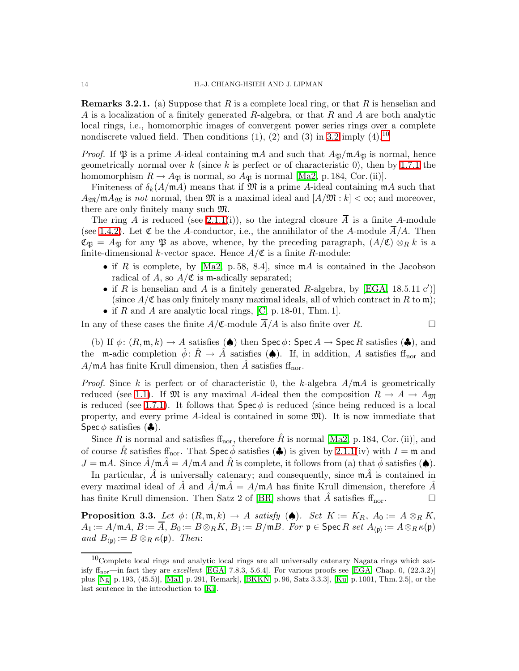<span id="page-13-2"></span>**Remarks 3.2.1.** (a) Suppose that R is a complete local ring, or that R is henselian and A is a localization of a finitely generated R-algebra, or that R and A are both analytic local rings, i.e., homomorphic images of convergent power series rings over a complete nondiscrete valued field. Then conditions  $(1)$ ,  $(2)$  and  $(3)$  in [3.2](#page-12-1) imply  $(4)$ .<sup>[10](#page-13-1)</sup>

*Proof.* If  $\mathfrak{P}$  is a prime A-ideal containing  $\mathfrak{m}A$  and such that  $A_{\mathfrak{P}}/\mathfrak{m}A_{\mathfrak{P}}$  is normal, hence geometrically normal over k (since k is perfect or of characteristic 0), then by [1.7.1](#page-5-1) the homomorphism  $R \to A_{\mathfrak{B}}$  is normal, so  $A_{\mathfrak{B}}$  is normal [\[Ma2,](#page-33-6) p. 184, Cor. (ii)].

Finiteness of  $\delta_k(A/\mathfrak{m}A)$  means that if  $\mathfrak{M}$  is a prime A-ideal containing  $\mathfrak{m}A$  such that  $A_{\mathfrak{M}}/\mathfrak{m}A_{\mathfrak{M}}$  is not normal, then  $\mathfrak{M}$  is a maximal ideal and  $[A/\mathfrak{M}:k]<\infty$ ; and moreover, there are only finitely many such M.

The ring A is reduced (see [2.1.1\(](#page-5-5)i)), so the integral closure  $\overline{A}$  is a finite A-module (see [1.4.2\)](#page-4-6). Let  $\mathfrak C$  be the A-conductor, i.e., the annihilator of the A-module  $\overline{A}/A$ . Then  $\mathfrak{C}_{\mathfrak{B}} = A_{\mathfrak{B}}$  for any  $\mathfrak{P}$  as above, whence, by the preceding paragraph,  $(A/\mathfrak{C}) \otimes_R k$  is a finite-dimensional k-vector space. Hence  $A/\mathfrak{C}$  is a finite R-module:

- if R is complete, by [\[Ma2,](#page-33-6) p. 58, 8.4], since  $mA$  is contained in the Jacobson radical of A, so  $A/\mathfrak{C}$  is m-adically separated;
- if  $R$  is henselian and  $A$  is a finitely generated  $R$ -algebra, by [\[EGA,](#page-33-5) 18.5.11 c')] (since  $A/\mathfrak{C}$  has only finitely many maximal ideals, all of which contract in R to m);
- if R and A are analytic local rings,  $[C, p. 18-01, Thm. 1].$

In any of these cases the finite  $A/\mathfrak{C}$ -module  $\overline{A}/A$  is also finite over R.

(b) If  $\phi: (R, \mathfrak{m}, k) \to A$  satisfies  $(\spadesuit)$  then  $\text{Spec } \phi: \text{Spec } A \to \text{Spec } R$  satisfies  $(\clubsuit)$ , and the m-adic completion  $\hat{\phi}$ :  $\hat{R} \to \hat{A}$  satisfies  $(\triangle)$ . If, in addition, A satisfies ff<sub>nor</sub> and  $A/\mathfrak{m}A$  has finite Krull dimension, then  $\hat{A}$  satisfies ff<sub>nor</sub>.

*Proof.* Since k is perfect or of characteristic 0, the k-algebra  $A/\mathfrak{m}A$  is geometrically reduced (see [1.1\)](#page-3-3). If M is any maximal A-ideal then the composition  $R \to A \to A_{\mathfrak{M}}$ is reduced (see [1.7.1\)](#page-5-1). It follows that  $\text{Spec } \phi$  is reduced (since being reduced is a local property, and every prime A-ideal is contained in some  $\mathfrak{M}$ ). It is now immediate that Spec  $\phi$  satisfies  $(\clubsuit)$ .

Since R is normal and satisfies  $f_{\text{nor}}$ , therefore  $\hat{R}$  is normal [\[Ma2,](#page-33-6) p. 184, Cor. (ii)], and of course  $\hat{R}$  satisfies ff<sub>nor</sub>. That  $\textsf{Spec}\,\hat{\phi}$  satisfies  $(\clubsuit)$  is given by [2.1.1\(](#page-5-5)iv) with  $I = \mathfrak{m}$  and  $J = \mathfrak{m}A$ . Since  $\hat{A}/\mathfrak{m}\hat{A} = A/\mathfrak{m}A$  and  $\hat{R}$  is complete, it follows from (a) that  $\hat{\phi}$  satisfies ( $\spadesuit$ ).

In particular,  $\hat{A}$  is universally catenary; and consequently, since  $m\hat{A}$  is contained in every maximal ideal of  $\hat{A}$  and  $\hat{A}/m\hat{A} = A/mA$  has finite Krull dimension, therefore  $\hat{A}$ has finite Krull dimension. Then Satz 2 of [\[BR\]](#page-33-9) shows that  $\hat{A}$  satisfies  $f_{\text{nor}}$ .

<span id="page-13-0"></span>**Proposition 3.3.** Let  $\phi: (R, \mathfrak{m}, k) \to A$  satisfy  $(\spadesuit)$ . Set  $K := K_R$ ,  $A_0 := A \otimes_R K$ ,  $A_1:=A/\mathfrak{m} A,\, B:=\overline{A},\, B_0:=B\otimes_R K,\, B_1:=B/\mathfrak{m} B. \ \textit{For $\mathfrak{p}\in$Spec\,} R \textit{ set } A_{\langle \mathfrak{p}\rangle}:=A\otimes_R \kappa(\mathfrak{p})$ and  $B_{\langle \mathfrak{p} \rangle} := B \otimes_R \kappa(\mathfrak{p})$ . Then:

<span id="page-13-1"></span> $10$ Complete local rings and analytic local rings are all universally catenary Nagata rings which satisfy ff<sub>nor</sub>—in fact they are *excellent* [\[EGA,](#page-33-5) 7.8.3, 5.6.4]. For various proofs see [\[EGA,](#page-33-5) Chap. 0,  $(22.3.2)$ ] plus [\[Ng,](#page-34-4) p. 193, (45.5)], [\[Ma1,](#page-33-11) p. 291, Remark], [\[BKKN,](#page-33-12) p. 96, Satz 3.3.3], [\[Ku,](#page-33-13) p. 1001, Thm. 2.5], or the last sentence in the introduction to [\[Ki\]](#page-33-14).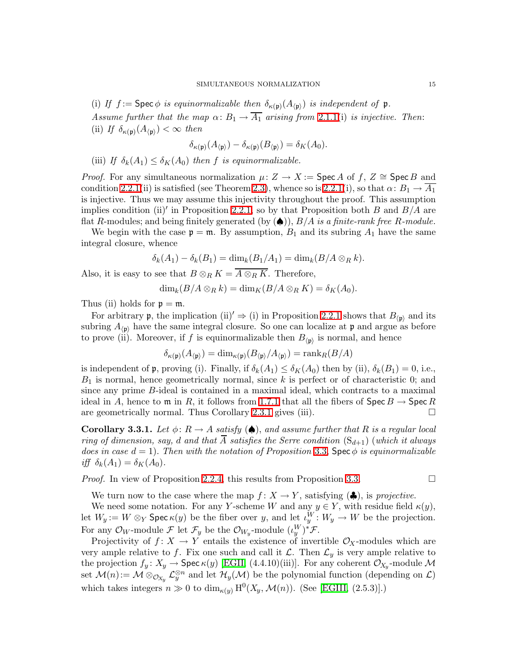(i) If  $f := \text{Spec } \phi$  is equinormalizable then  $\delta_{\kappa(\mathfrak{p})}(A_{\langle \mathfrak{p} \rangle})$  is independent of  $\mathfrak{p}$ . Assume further that the map  $\alpha: B_1 \to \overline{A_1}$  arising from [2.1.1\(](#page-5-5)i) is injective. Then: (ii) If  $\delta_{\kappa(\mathfrak{p})}(A_{\langle \mathfrak{p}\rangle}) < \infty$  then

$$
\delta_{\kappa(\mathfrak{p})}(A_{\langle\mathfrak{p}\rangle})-\delta_{\kappa(\mathfrak{p})}(B_{\langle\mathfrak{p}\rangle})=\delta_K(A_0).
$$

(iii) If  $\delta_k(A_1) \leq \delta_K(A_0)$  then f is equinormalizable.

*Proof.* For any simultaneous normalization  $\mu: Z \to X := \text{Spec } A$  of f,  $Z \cong \text{Spec } B$  and condition [2.2.1\(](#page-8-0)ii) is satisfied (see Theorem [2.3\)](#page-11-0), whence so is 2.2.1(i), so that  $\alpha: B_1 \to A_1$ is injective. Thus we may assume this injectivity throughout the proof. This assumption implies condition (ii)' in Proposition [2.2.1,](#page-8-0) so by that Proposition both  $B$  and  $B/A$  are flat R-modules; and being finitely generated (by  $(\spadesuit)$ ),  $B/A$  is a finite-rank free R-module.

We begin with the case  $\mathfrak{p} = \mathfrak{m}$ . By assumption,  $B_1$  and its subring  $A_1$  have the same integral closure, whence

$$
\delta_k(A_1) - \delta_k(B_1) = \dim_k(B_1/A_1) = \dim_k(B/A \otimes_R k).
$$

Also, it is easy to see that  $B \otimes_R K = \overline{A \otimes_R K}$ . Therefore,

$$
\dim_k(B/A\otimes_R k)=\dim_K(B/A\otimes_R K)=\delta_K(A_0).
$$

Thus (ii) holds for  $p = m$ .

For arbitrary **p**, the implication (ii)<sup>'</sup>  $\Rightarrow$  (i) in Proposition [2.2.1](#page-8-0) shows that  $B_{(p)}$  and its subring  $A_{(p)}$  have the same integral closure. So one can localize at p and argue as before to prove (ii). Moreover, if f is equinormalizable then  $B_{\langle p \rangle}$  is normal, and hence

$$
\delta_{\kappa(\mathfrak{p})}(A_{\langle\mathfrak{p}\rangle})=\dim_{\kappa(\mathfrak{p})}(B_{\langle\mathfrak{p}\rangle}/A_{\langle\mathfrak{p}\rangle})=\operatorname{rank}_{R}(B/A)
$$

is independent of p, proving (i). Finally, if  $\delta_k(A_1) \leq \delta_K(A_0)$  then by (ii),  $\delta_k(B_1) = 0$ , i.e.,  $B_1$  is normal, hence geometrically normal, since k is perfect or of characteristic 0; and since any prime B-ideal is contained in a maximal ideal, which contracts to a maximal ideal in A, hence to  $\mathfrak{m}$  in R, it follows from [1.7.1](#page-5-1) that all the fibers of  $\mathsf{Spec}\,B \to \mathsf{Spec}\,R$ <br>are geometrically normal. Thus Corollary 2.3.1 gives (iii). are geometrically normal. Thus Corollary [2.3.1](#page-11-1) gives (iii).

<span id="page-14-0"></span>Corollary 3.3.1. Let  $\phi: R \to A$  satisfy  $(\spadesuit)$ , and assume further that R is a regular local ring of dimension, say, d and that  $\overline{A}$  satisfies the Serre condition  $(S_{d+1})$  (which it always does in case  $d = 1$ ). Then with the notation of Proposition [3.3,](#page-13-0) Spec  $\phi$  is equinormalizable iff  $\delta_k(A_1) = \delta_K(A_0)$ .

*Proof.* In view of Proposition [2.2.4,](#page-10-0) this results from Proposition [3.3.](#page-13-0)

We turn now to the case where the map  $f: X \to Y$ , satisfying ( $\clubsuit$ ), is projective.

We need some notation. For any Y-scheme W and any  $y \in Y$ , with residue field  $\kappa(y)$ , let  $W_y := W \otimes_Y \mathsf{Spec} \kappa(y)$  be the fiber over y, and let  $\iota_y^W : W_y \to W$  be the projection. For any  $\mathcal{O}_W$ -module  $\mathcal{F}$  let  $\mathcal{F}_y$  be the  $\mathcal{O}_{W_y}$ -module  $(\iota_y^W)^* \mathcal{F}$ .

<span id="page-14-1"></span>Projectivity of  $f: X \to Y$  entails the existence of invertible  $\mathcal{O}_X$ -modules which are very ample relative to f. Fix one such and call it  $\mathcal{L}$ . Then  $\mathcal{L}_y$  is very ample relative to the projection  $f_y: X_y \to \textsf{Spec } \kappa(y)$  [\[EGII,](#page-33-15) (4.4.10)(iii)]. For any coherent  $\mathcal{O}_{X_y}$ -module M set  $\mathcal{M}(n) := \mathcal{M} \otimes_{\mathcal{O}_{X_y}} \mathcal{L}_y^{\otimes n}$  and let  $\mathcal{H}_y(\mathcal{M})$  be the polynomial function (depending on  $\mathcal{L}$ ) which takes integers  $n \gg 0$  to  $\dim_{\kappa(y)} H^0(X_y, \mathcal{M}(n))$ . (See [\[EGIII,](#page-33-2) (2.5.3)].)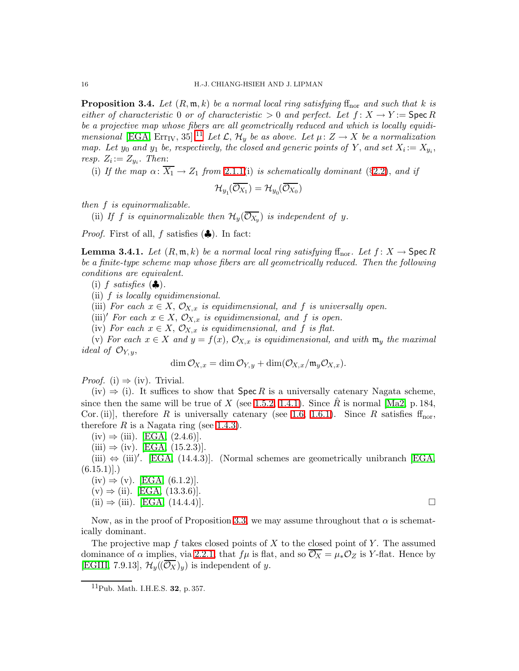**Proposition 3.4.** Let  $(R, \mathfrak{m}, k)$  be a normal local ring satisfying ff<sub>nor</sub> and such that k is either of characteristic 0 or of characteristic  $> 0$  and perfect. Let  $f: X \to Y =$  Spec R be a projective map whose fibers are all geometrically reduced and which is locally equidi-mensional [\[EGA,](#page-33-5) Err<sub>IV</sub>, 35].<sup>[11](#page-15-0)</sup> Let  $\mathcal{L}, \mathcal{H}_y$  be as above. Let  $\mu: Z \to X$  be a normalization map. Let  $y_0$  and  $y_1$  be, respectively, the closed and generic points of Y, and set  $X_i := X_{y_i}$ , resp.  $Z_i := Z_{y_i}$ . Then:

(i) If the map  $\alpha: \overline{X_1} \to Z_1$  from [2.1.1\(](#page-5-5)i) is schematically dominant (§[2.2\)](#page-8-1), and if

$$
\mathcal{H}_{y_1}(\overline{\mathcal{O}_{X_1}})=\mathcal{H}_{y_0}(\overline{\mathcal{O}_{X_0}})
$$

then f is equinormalizable.

(ii) If f is equinormalizable then  $\mathcal{H}_y(\mathcal{O}_{X_y})$  is independent of y.

<span id="page-15-1"></span>*Proof.* First of all, f satisfies  $(\clubsuit)$ . In fact:

**Lemma 3.4.1.** Let  $(R, \mathfrak{m}, k)$  be a normal local ring satisfying  $\text{ff}_{\text{nor}}$ . Let  $f: X \to \text{Spec } R$ be a finite-type scheme map whose fibers are all geometrically reduced. Then the following conditions are equivalent.

(i) f satisfies  $(\clubsuit)$ .

(ii) f is locally equidimensional.

(iii) For each  $x \in X$ ,  $\mathcal{O}_{X,x}$  is equidimensional, and f is universally open.

(iii)' For each  $x \in X$ ,  $\mathcal{O}_{X,x}$  is equidimensional, and f is open.

(iv) For each  $x \in X$ ,  $\mathcal{O}_{X,x}$  is equidimensional, and f is flat.

(v) For each  $x \in X$  and  $y = f(x)$ ,  $\mathcal{O}_{X,x}$  is equidimensional, and with  $\mathfrak{m}_y$  the maximal ideal of  $\mathcal{O}_{Y, y}$ ,

 $\dim \mathcal{O}_{X,x} = \dim \mathcal{O}_{Y,y} + \dim(\mathcal{O}_{X,x}/\mathfrak{m}_y\mathcal{O}_{X,x}).$ 

*Proof.* (i)  $\Rightarrow$  (iv). Trivial.

 $(iv) \Rightarrow (i)$ . It suffices to show that Spec R is a universally catenary Nagata scheme, since then the same will be true of X (see [1.5.2,](#page-4-1) [1.4.1\)](#page-4-3). Since R is normal  $\text{[Ma2, p. 184]}$ , Cor. (ii)], therefore R is universally catenary (see [1.6,](#page-4-5) [1.6.1\)](#page-5-0). Since R satisfies  $f_{\text{nor}}$ , therefore R is a Nagata ring (see [1.4.3\)](#page-4-0).

 $(iv) \Rightarrow (iii)$ . [\[EGA,](#page-33-5)  $(2.4.6)$ ].

 $(iii) \Rightarrow (iv).$  [\[EGA,](#page-33-5)  $(15.2.3)$ ].

(iii)  $\Leftrightarrow$  (iii)'. [\[EGA,](#page-33-5) (14.4.3)]. (Normal schemes are geometrically unibranch [EGA,  $(6.15.1)$ .

 $(iv) \Rightarrow (v)$ . [\[EGA,](#page-33-5)  $(6.1.2)$ ].  $(v)$  ⇒ (ii). [\[EGA,](#page-33-5) (13.3.6)].  $(ii) \Rightarrow (iii).$  [\[EGA,](#page-33-5)  $(14.4.4).$ ].

Now, as in the proof of Proposition [3.3,](#page-13-0) we may assume throughout that  $\alpha$  is schematically dominant.

The projective map f takes closed points of X to the closed point of Y. The assumed dominance of  $\alpha$  implies, via [2.2.1,](#page-8-0) that  $f\mu$  is flat, and so  $\overline{\mathcal{O}_X} = \mu_* \mathcal{O}_Z$  is Y-flat. Hence by [\[EGIII,](#page-33-2) 7.9.13],  $\mathcal{H}_{y}(\overline{\mathcal{O}_{X}})_{y}$  is independent of y.

<span id="page-15-0"></span> $11$ Pub. Math. I.H.E.S. 32, p. 357.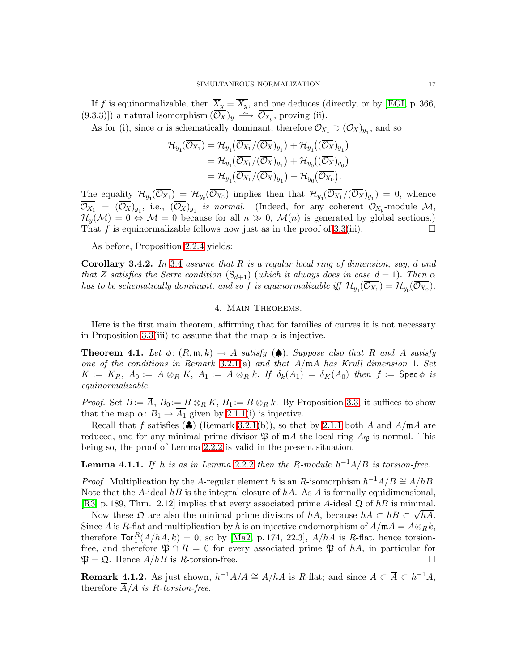If f is equinormalizable, then  $\overline{X}_y = \overline{X_y}$ , and one deduces (directly, or by [\[EGI,](#page-33-7) p. 366, (9.3.3)]) a natural isomorphism  $(\overline{\mathcal{O}_X})_y \longrightarrow \overline{\mathcal{O}_{X_y}}$ , proving (ii).

As for (i), since  $\alpha$  is schematically dominant, therefore  $\mathcal{O}_{X_1} \supset (\mathcal{O}_X)_{y_1}$ , and so

$$
\begin{aligned} \mathcal{H}_{y_1}(\overline{\mathcal{O}_{X_1}}) &= \mathcal{H}_{y_1}(\overline{\mathcal{O}_{X_1}}/(\overline{\mathcal{O}_{X}})_{y_1}) + \mathcal{H}_{y_1}((\overline{\mathcal{O}_{X}})_{y_1}) \\ &= \mathcal{H}_{y_1}(\overline{\mathcal{O}_{X_1}}/(\overline{\mathcal{O}_{X}})_{y_1}) + \mathcal{H}_{y_0}((\overline{\mathcal{O}_{X}})_{y_0}) \\ &= \mathcal{H}_{y_1}(\overline{\mathcal{O}_{X_1}}/(\overline{\mathcal{O}_{X}})_{y_1}) + \mathcal{H}_{y_0}(\overline{\mathcal{O}_{X_0}}). \end{aligned}
$$

The equality  $\mathcal{H}_{y_1}(\mathcal{O}_{X_1}) = \mathcal{H}_{y_0}(\mathcal{O}_{X_0})$  implies then that  $\mathcal{H}_{y_1}(\mathcal{O}_{X_1}/(\mathcal{O}_X)_{y_1}) = 0$ , whence  $\overline{\mathcal{O}_{X_1}} = (\overline{\mathcal{O}_X})_{y_1}$ , i.e.,  $(\overline{\mathcal{O}_X})_{y_1}$  is normal. (Indeed, for any coherent  $\mathcal{O}_{X_y}$ -module  $\mathcal{M}_y$  $\mathcal{H}_{y}(\mathcal{M}) = 0 \Leftrightarrow \mathcal{M} = 0$  because for all  $n \gg 0$ ,  $\mathcal{M}(n)$  is generated by global sections.)<br>That f is equinormalizable follows now just as in the proof of 3.3(iii). That f is equinormalizable follows now just as in the proof of  $3.3(iii)$ .

As before, Proposition [2.2.4](#page-10-0) yields:

**Corollary [3.4](#page-14-1).2.** In 3.4 assume that R is a regular local ring of dimension, say, d and that Z satisfies the Serre condition  $(S_{d+1})$  (which it always does in case  $d = 1$ ). Then  $\alpha$ has to be schematically dominant, and so  $f$  is equinormalizable iff  $\mathcal{H}_{y_1}(\overline{\mathcal{O}_{X_1}})=\mathcal{H}_{y_0}(\overline{\mathcal{O}_{X_0}}).$ 

### 4. Main Theorems.

<span id="page-16-3"></span><span id="page-16-0"></span>Here is the first main theorem, affirming that for families of curves it is not necessary in Proposition [3.3\(](#page-13-0)iii) to assume that the map  $\alpha$  is injective.

**Theorem 4.1.** Let  $\phi: (R, \mathfrak{m}, k) \to A$  satisfy  $(\spadesuit)$ . Suppose also that R and A satisfy one of the conditions in Remark [3.2.1\(](#page-13-2)a) and that  $A/\mathfrak{m}A$  has Krull dimension 1. Set  $K := K_R$ ,  $A_0 := A \otimes_R K$ ,  $A_1 := A \otimes_R k$ . If  $\delta_k(A_1) = \delta_K(A_0)$  then  $f := \mathsf{Spec} \, \phi$  is equinormalizable.

*Proof.* Set  $B := \overline{A}$ ,  $B_0 := B \otimes_R K$ ,  $B_1 := B \otimes_R k$ . By Proposition [3.3,](#page-13-0) it suffices to show that the map  $\alpha: B_1 \to \overline{A_1}$  given by [2.1.1\(](#page-5-5)i) is injective.

Recall that f satisfies ( $\clubsuit$ ) (Remark [3.2.1\(](#page-13-2)b)), so that by [2.1.1](#page-5-5) both A and A/mA are reduced, and for any minimal prime divisor  $\mathfrak P$  of  $\mathfrak m A$  the local ring  $A_{\mathfrak P}$  is normal. This being so, the proof of Lemma [2.2.2](#page-9-1) is valid in the present situation.

<span id="page-16-1"></span>**Lemma 4.1.1.** If h is as in Lemma [2.2.2](#page-9-1) then the R-module  $h^{-1}A/B$  is torsion-free.

*Proof.* Multiplication by the A-regular element h is an R-isomorphism  $h^{-1}A/B \cong A/hB$ . Note that the A-ideal hB is the integral closure of hA. As A is formally equidimensional, [\[R3,](#page-34-9) p. 189, Thm. 2.12] implies that every associated prime A-ideal  $\mathfrak Q$  of hB is minimal.

Now these  $\Omega$  are also the minimal prime divisors of hA, because  $hA \subset hB \subset \sqrt{hA}$ . Since A is R-flat and multiplication by h is an injective endomorphism of  $A/\mathfrak{m}A = A \otimes_R k$ , therefore  $\text{Tor}_{1}^{R}(A/hA, k) = 0$ ; so by [\[Ma2,](#page-33-6) p. 174, 22.3],  $A/hA$  is R-flat, hence torsionfree, and therefore  $\mathfrak{P} \cap R = 0$  for every associated prime  $\mathfrak{P}$  of hA, in particular for  $\mathfrak{P} = \mathfrak{Q}$ . Hence  $A/hB$  is R-torsion-free.  $\mathfrak{P} = \mathfrak{Q}$ . Hence  $A/hB$  is R-torsion-free.

<span id="page-16-2"></span>**Remark 4.1.2.** As just shown,  $h^{-1}A/A \cong A/hA$  is R-flat; and since  $A \subset \overline{A} \subset h^{-1}A$ , therefore  $\overline{A}/A$  is R-torsion-free.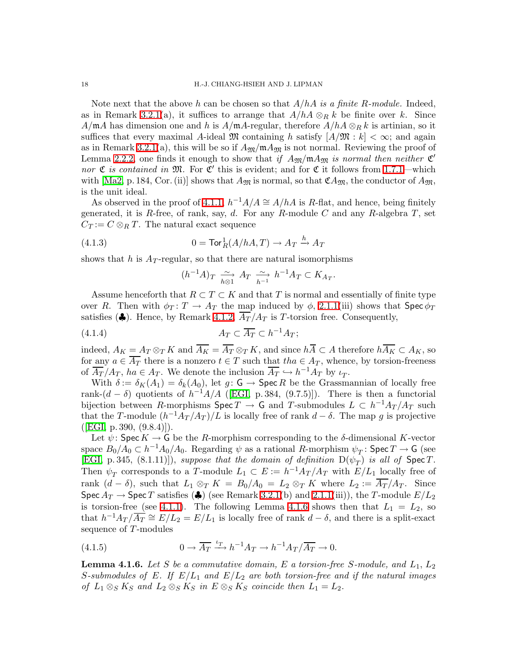Note next that the above h can be chosen so that  $A/hA$  is a finite R-module. Indeed, as in Remark [3.2.1\(](#page-13-2)a), it suffices to arrange that  $A/hA \otimes_R k$  be finite over k. Since  $A/\mathfrak{m}A$  has dimension one and h is  $A/\mathfrak{m}A$ -regular, therefore  $A/hA \otimes_R k$  is artinian, so it suffices that every maximal A-ideal  $\mathfrak{M}$  containing h satisfy  $[A/\mathfrak{M}:k]<\infty$ ; and again as in Remark [3.2.1\(](#page-13-2)a), this will be so if  $A_{\mathfrak{M}}/\mathfrak{m}A_{\mathfrak{M}}$  is not normal. Reviewing the proof of Lemma [2.2.2,](#page-9-1) one finds it enough to show that if  $A_{\mathfrak{M}}/\mathfrak{m} A_{\mathfrak{M}}$  is normal then neither  $\mathfrak{C}'$ nor  $\mathfrak C$  is contained in  $\mathfrak M$ . For  $\mathfrak C'$  this is evident; and for  $\mathfrak C$  it follows from [1.7.1—](#page-5-1)which with [\[Ma2,](#page-33-6) p. 184, Cor. (ii)] shows that  $A_{\mathfrak{M}}$  is normal, so that  $\mathfrak{C}A_{\mathfrak{M}}$ , the conductor of  $A_{\mathfrak{M}}$ , is the unit ideal.

As observed in the proof of [4.1.1,](#page-16-1)  $h^{-1}A/A \cong A/hA$  is R-flat, and hence, being finitely generated, it is R-free, of rank, say, d. For any R-module C and any R-algebra  $T$ , set  $C_T = C \otimes_R T$ . The natural exact sequence

<span id="page-17-2"></span>(4.1.3) 
$$
0 = \text{Tor}_R^1(A/hA, T) \to A_T \xrightarrow{h} A_T
$$

shows that h is  $A_T$ -regular, so that there are natural isomorphisms

<span id="page-17-3"></span>
$$
(h^{-1}A)_T \xrightarrow[h \otimes 1]{} A_T \xrightarrow[h^{-1} h^{-1}A_T \subset K_{A_T}.
$$

Assume henceforth that  $R \subset T \subset K$  and that T is normal and essentially of finite type over R. Then with  $\phi_T : T \to A_T$  the map induced by  $\phi$ , [2.1.1\(](#page-5-5)iii) shows that Spec  $\phi_T$ satisfies ( $\clubsuit$ ). Hence, by Remark [4.1.2,](#page-16-2)  $\overline{A_T}/A_T$  is T-torsion free. Consequently,

$$
(4.1.4) \t\t A_T \subset \overline{A_T} \subset h^{-1}A_T;
$$

indeed,  $A_K = A_T \otimes_T K$  and  $\overline{A_K} = \overline{A_T} \otimes_T K$ , and since  $h\overline{A} \subset A$  therefore  $h\overline{A_K} \subset A_K$ , so for any  $a \in \overline{A_T}$  there is a nonzero  $t \in T$  such that  $tha \in A_T$ , whence, by torsion-freeness of  $\overline{A_T}/A_T$ ,  $ha \in A_T$ . We denote the inclusion  $\overline{A_T} \hookrightarrow h^{-1}A_T$  by  $\iota_T$ .

With  $\delta := \delta_K(A_1) = \delta_k(A_0)$ , let  $g: G \to \text{Spec } R$  be the Grassmannian of locally free rank- $(d - \delta)$  quotients of  $h^{-1}A/A$  ([\[EGI,](#page-33-7) p. 384, (9.7.5)]). There is then a functorial bijection between R-morphisms  $\text{Spec } T \to \mathsf{G}$  and T-submodules  $L \subset h^{-1}A_T/A_T$  such that the T-module  $(h^{-1}A_T/A_T)/L$  is locally free of rank  $d-\delta$ . The map g is projective  $([EGI, p. 390, (9.8.4)]).$  $([EGI, p. 390, (9.8.4)]).$  $([EGI, p. 390, (9.8.4)]).$ 

Let  $\psi$ : Spec  $K \to G$  be the R-morphism corresponding to the  $\delta$ -dimensional K-vector space  $B_0/A_0 \subset h^{-1}A_0/A_0$ . Regarding  $\psi$  as a rational R-morphism  $\psi_T$ : Spec  $T \to G$  (see [\[EGI,](#page-33-7) p. 345, (8.1.11)]), suppose that the domain of definition  $D(\psi_T)$  is all of  $Spec T$ . Then  $\psi_T$  corresponds to a T-module  $L_1 \subset E := h^{-1} A_T / A_T$  with  $E/L_1$  locally free of rank  $(d - \delta)$ , such that  $L_1 \otimes_T K = B_0/A_0 = L_2 \otimes_T K$  where  $L_2 := \overline{A_T}/A_T$ . Since Spec  $A_T \to \text{Spec } T$  satisfies ( $\clubsuit$ ) (see Remark [3.2.1\(](#page-13-2)b) and [2.1.1\(](#page-5-5)iii)), the T-module  $E/L_2$ is torsion-free (see [4.1.1\)](#page-16-1). The following Lemma [4.1.6](#page-17-0) shows then that  $L_1 = L_2$ , so that  $h^{-1}A_T/\overline{A_T} \cong E/L_2 = E/L_1$  is locally free of rank  $d - \delta$ , and there is a split-exact sequence of T-modules

<span id="page-17-1"></span><span id="page-17-0"></span>(4.1.5) 
$$
0 \to \overline{A_T} \xrightarrow{t_T} h^{-1} A_T \to h^{-1} A_T / \overline{A_T} \to 0.
$$

**Lemma 4.1.6.** Let S be a commutative domain, E a torsion-free S-module, and  $L_1$ ,  $L_2$ S-submodules of E. If  $E/L_1$  and  $E/L_2$  are both torsion-free and if the natural images of  $L_1 \otimes_S K_S$  and  $L_2 \otimes_S K_S$  in  $E \otimes_S K_S$  coincide then  $L_1 = L_2$ .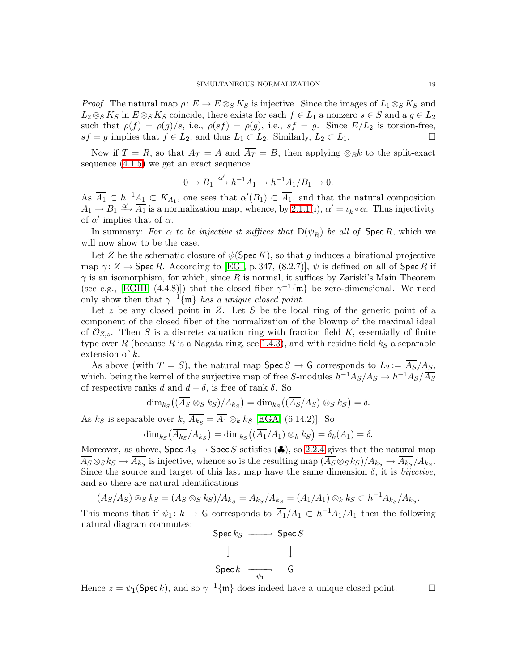*Proof.* The natural map  $\rho: E \to E \otimes_S K_S$  is injective. Since the images of  $L_1 \otimes_S K_S$  and  $L_2 \otimes_S K_S$  in  $E \otimes_S K_S$  coincide, there exists for each  $f \in L_1$  a nonzero  $s \in S$  and a  $g \in L_2$ such that  $\rho(f) = \rho(g)/s$ , i.e.,  $\rho(s) = \rho(g)$ , i.e.,  $sf = g$ . Since  $E/L_2$  is torsion-free,  $sf = g$  implies that  $f \in L_2$ , and thus  $L_1 \subset L_2$ . Similarly,  $L_2 \subset L_1$ .

Now if  $T = R$ , so that  $A_T = A$  and  $\overline{A_T} = B$ , then applying  $\otimes_R k$  to the split-exact sequence [\(4.1.5\)](#page-17-1) we get an exact sequence

$$
0 \to B_1 \xrightarrow{\alpha'} h^{-1}A_1 \to h^{-1}A_1/B_1 \to 0.
$$

As  $\overline{A_1} \subset h^{-1}A_1 \subset K_{A_1}$ , one sees that  $\alpha'(B_1) \subset \overline{A_1}$ , and that the natural composition  $A_1 \rightarrow B_1 \xrightarrow{\alpha'} \overline{A_1}$  is a normalization map, whence, by [2.1.1\(](#page-5-5)i),  $\alpha' = \iota_k \circ \alpha$ . Thus injectivity of  $\alpha'$  implies that of  $\alpha$ .

In summary: For  $\alpha$  to be injective it suffices that  $D(\psi_R)$  be all of Spec R, which we will now show to be the case.

Let Z be the schematic closure of  $\psi(\mathsf{Spec}\, K)$ , so that g induces a birational projective map  $\gamma: Z \to \mathrm{Spec} R$ . According to [\[EGI,](#page-33-7) p. 347, (8.2.7)],  $\psi$  is defined on all of Spec R if  $\gamma$  is an isomorphism, for which, since R is normal, it suffices by Zariski's Main Theorem (see e.g., [\[EGIII,](#page-33-2) (4.4.8)]) that the closed fiber  $\gamma^{-1}\{\mathfrak{m}\}\$  be zero-dimensional. We need only show then that  $\gamma^{-1}\{\mathfrak{m}\}\$  has a unique closed point.

Let z be any closed point in  $Z$ . Let S be the local ring of the generic point of a component of the closed fiber of the normalization of the blowup of the maximal ideal of  $\mathcal{O}_{Z,z}$ . Then S is a discrete valuation ring with fraction field K, essentially of finite type over R (because R is a Nagata ring, see [1.4.3\)](#page-4-0), and with residue field  $k<sub>S</sub>$  a separable extension of k.

As above (with  $T = S$ ), the natural map  $\operatorname{Spec} S \to G$  corresponds to  $L_2 := \overline{A_S}/A_S$ , which, being the kernel of the surjective map of free S-modules  $h^{-1}A_S/A_S \rightarrow h^{-1}A_S/\overline{A_S}$ of respective ranks d and  $d - \delta$ , is free of rank  $\delta$ . So

$$
\dim_{k_S}((\overline{A_S}\otimes_S k_S)/A_{k_S})=\dim_{k_S}((\overline{A_S}/A_S)\otimes_S k_S)=\delta.
$$

As  $k_S$  is separable over  $k, A_{k_S} = A_1 \otimes_k k_S$  [\[EGA,](#page-33-5) (6.14.2)]. So

$$
\dim_{k_S}(\overline{A_{k_S}}/A_{k_S}) = \dim_{k_S}((\overline{A_1}/A_1) \otimes_k k_S) = \delta_k(A_1) = \delta.
$$

Moreover, as above,  $\text{Spec } A_S \to \text{Spec } S$  satisfies  $(\clubsuit)$ , so [2.2.4](#page-10-0) gives that the natural map  $A_S \otimes_S k_S \to A_{k_S}$  is injective, whence so is the resulting map  $(A_S \otimes_S k_S)/A_{k_S} \to A_{k_S}/A_{k_S}$ . Since the source and target of this last map have the same dimension  $\delta$ , it is *bijective*, and so there are natural identifications

$$
(\overline{A_S}/A_S) \otimes_S k_S = (\overline{A_S} \otimes_S k_S)/A_{k_S} = \overline{A_{k_S}}/A_{k_S} = (\overline{A_1}/A_1) \otimes_k k_S \subset h^{-1}A_{k_S}/A_{k_S}.
$$

This means that if  $\psi_1: k \to \mathsf{G}$  corresponds to  $\overline{A_1}/A_1 \subset h^{-1}A_1/A_1$  then the following natural diagram commutes:

$$
\begin{array}{ccc}\n\text{Spec } k_S & \longrightarrow & \text{Spec } S \\
\downarrow & & \downarrow \\
\text{Spec } k & \longrightarrow & \text{G} \\
\end{array}
$$

Hence  $z = \psi_1(\text{Spec } k)$ , and so  $\gamma^{-1}\{\mathfrak{m}\}\)$  does indeed have a unique closed point.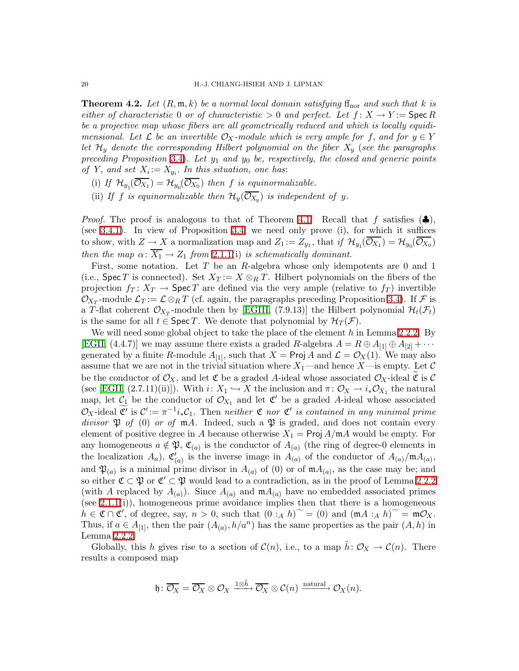<span id="page-19-0"></span>**Theorem 4.2.** Let  $(R, \mathfrak{m}, k)$  be a normal local domain satisfying f<sub>nor</sub> and such that k is either of characteristic 0 or of characteristic  $> 0$  and perfect. Let  $f: X \to Y =$  Spec R be a projective map whose fibers are all geometrically reduced and which is locally equidimensional. Let  $\mathcal L$  be an invertible  $\mathcal O_X$ -module which is very ample for f, and for  $y \in Y$ let  $\mathcal{H}_y$  denote the corresponding Hilbert polynomial on the fiber  $X_y$  (see the paragraphs preceding Proposition [3.4\)](#page-14-1). Let  $y_1$  and  $y_0$  be, respectively, the closed and generic points of Y, and set  $X_i := X_{y_i}$ . In this situation, one has:

- (i) If  $\mathcal{H}_{y_1}(\mathcal{O}_{X_1}) = \mathcal{H}_{y_0}(\mathcal{O}_{X_0})$  then f is equinormalizable.
- (ii) If f is equinormalizable then  $\mathcal{H}_y(\overline{O_{X_y}})$  is independent of y.

*Proof.* The proof is analogous to that of Theorem [4.1.](#page-16-3) Recall that f satisfies  $(\clubsuit)$ , (see [3.4.1\)](#page-15-1). In view of Proposition [3.4,](#page-14-1) we need only prove (i), for which it suffices to show, with  $Z \to X$  a normalization map and  $Z_1 := Z_{y_1}$ , that if  $\mathcal{H}_{y_1}(\mathcal{O}_{X_1}) = \mathcal{H}_{y_0}(\mathcal{O}_{X_0})$ then the map  $\alpha \colon \overline{X_1} \to Z_1$  from [2.1.1\(](#page-5-5)i) is schematically dominant.

First, some notation. Let T be an R-algebra whose only idempotents are 0 and 1 (i.e., Spec T is connected). Set  $X_T := X \otimes_R T$ . Hilbert polynomials on the fibers of the projection  $f_T: X_T \to \mathsf{Spec}\, T$  are defined via the very ample (relative to  $f_T$ ) invertible  $\mathcal{O}_{X_T}$ -module  $\mathcal{L}_T := \mathcal{L} \otimes_R T$  (cf. again, the paragraphs preceding Proposition [3.4\)](#page-14-1). If  $\mathcal{F}$  is a T-flat coherent  $\mathcal{O}_{X_T}$ -module then by [\[EGIII,](#page-33-2) (7.9.13)] the Hilbert polynomial  $\mathcal{H}_t(\mathcal{F}_t)$ is the same for all  $t \in \text{Spec } T$ . We denote that polynomial by  $\mathcal{H}_T(\mathcal{F})$ .

We will need some global object to take the place of the element  $h$  in Lemma [2.2.2.](#page-9-1) By [\[EGII,](#page-33-15) (4.4.7)] we may assume there exists a graded R-algebra  $A = R \oplus A_{11} \oplus A_{21} + \cdots$ generated by a finite R-module  $A_{[1]}$ , such that  $X = \text{Proj } A$  and  $\mathcal{L} = \mathcal{O}_X(1)$ . We may also assume that we are not in the trivial situation where  $X_1$ —and hence  $X$ —is empty. Let  $\mathcal C$ be the conductor of  $\mathcal{O}_X$ , and let  $\mathfrak C$  be a graded A-ideal whose associated  $\mathcal{O}_X$ -ideal  $\mathfrak C$  is  $\mathcal C$ (see [\[EGII,](#page-33-15) (2.7.11)(ii)]). With  $i: X_1 \hookrightarrow X$  the inclusion and  $\pi: \mathcal{O}_X \to i_* \mathcal{O}_{X_1}$  the natural map, let  $C_1$  be the conductor of  $\mathcal{O}_{X_1}$  and let  $\mathfrak{C}'$  be a graded A-ideal whose associated  $\mathcal{O}_X$ -ideal  $\mathfrak{C}'$  is  $\mathcal{C}' := \pi^{-1}i_*\mathcal{C}_1$ . Then neither  $\mathfrak{C}$  nor  $\mathfrak{C}'$  is contained in any minimal prime divisor  $\mathfrak P$  of (0) or of  $m\Lambda$ . Indeed, such a  $\mathfrak P$  is graded, and does not contain every element of positive degree in A because otherwise  $X_1 = \text{Proj } A/\text{m}A$  would be empty. For any homogeneous  $a \notin \mathfrak{P}, \mathfrak{C}_{(a)}$  is the conductor of  $A_{(a)}$  (the ring of degree-0 elements in the localization  $A_a$ ),  $\mathfrak{C}'_{(a)}$  is the inverse image in  $A_{(a)}$  of the conductor of  $A_{(a)}/mA_{(a)}$ , and  $\mathfrak{P}_{(a)}$  is a minimal prime divisor in  $A_{(a)}$  of (0) or of  $\mathfrak{m}A_{(a)}$ , as the case may be; and so either  $\mathfrak{C} \subset \mathfrak{P}$  or  $\mathfrak{C}' \subset \mathfrak{P}$  would lead to a contradiction, as in the proof of Lemma [2.2.2](#page-9-1) (with A replaced by  $A_{(a)}$ ). Since  $A_{(a)}$  and  $mA_{(a)}$  have no embedded associated primes (see [2.1.1\(](#page-5-5)i)), homogeneous prime avoidance implies then that there is a homogeneous  $h \in \mathfrak{C} \cap \mathfrak{C}'$ , of degree, say,  $n > 0$ , such that  $(0 :_A h)^\sim = (0)$  and  $(\mathfrak{m} A :_A h)^\sim = \mathfrak{m} \mathcal{O}_X$ . Thus, if  $a \in A_{[1]}$ , then the pair  $(A_{(a)}, h/a^n)$  has the same properties as the pair  $(A, h)$  in Lemma [2.2.2.](#page-9-1)

Globally, this h gives rise to a section of  $\mathcal{C}(n)$ , i.e., to a map  $\tilde{h}: \mathcal{O}_X \to \mathcal{C}(n)$ . There results a composed map

$$
\mathfrak{h}\colon\overline{\mathcal{O}_X}=\overline{\mathcal{O}_X}\otimes\mathcal{O}_X\xrightarrow{1\otimes\tilde{h}}\overline{\mathcal{O}_X}\otimes\mathcal{C}(n)\xrightarrow{\text{natural}}\mathcal{O}_X(n).
$$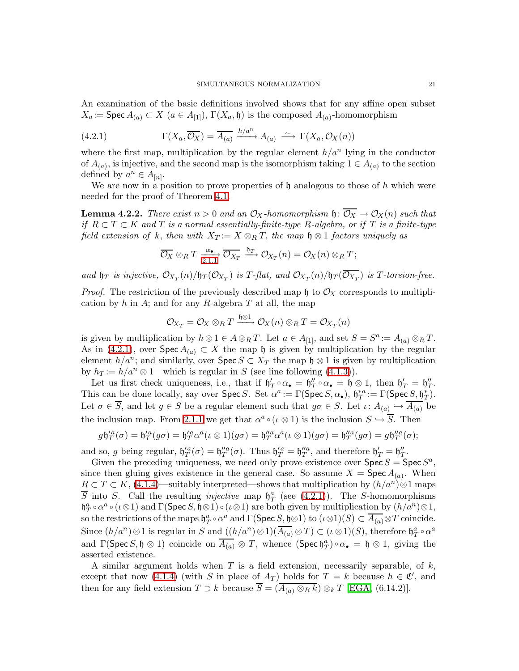An examination of the basic definitions involved shows that for any affine open subset  $X_a := \mathsf{Spec}\, A_{(a)} \subset X \ (a \in A_{[1]}), \ \Gamma(X_a, \mathfrak{h})$  is the composed  $A_{(a)}$ -homomorphism

<span id="page-20-0"></span>(4.2.1) 
$$
\Gamma(X_a, \overline{\mathcal{O}_X}) = \overline{A_{(a)}} \xrightarrow{h/a^n} A_{(a)} \xrightarrow{\sim} \Gamma(X_a, \mathcal{O}_X(n))
$$

where the first map, multiplication by the regular element  $h/a^n$  lying in the conductor of  $A_{(a)}$ , is injective, and the second map is the isomorphism taking  $1 \in A_{(a)}$  to the section defined by  $a^n \in A_{[n]}.$ 

<span id="page-20-1"></span>We are now in a position to prove properties of  $\mathfrak h$  analogous to those of h which were needed for the proof of Theorem [4.1.](#page-16-3)

**Lemma 4.2.2.** There exist  $n > 0$  and an  $\mathcal{O}_X$ -homomorphism  $\mathfrak{h}: \overline{\mathcal{O}_X} \to \mathcal{O}_X(n)$  such that if  $R \subset T \subset K$  and T is a normal essentially-finite-type R-algebra, or if T is a finite-type field extension of k, then with  $X_T := X \otimes_R T$ , the map  $\mathfrak{h} \otimes 1$  factors uniquely as

$$
\overline{\mathcal{O}_X} \otimes_R T \xrightarrow[2.1.1]{\alpha_{\bullet}} \overline{\mathcal{O}_{X_T}} \xrightarrow{\mathfrak{h}_T} \mathcal{O}_{X_T}(n) = \mathcal{O}_X(n) \otimes_R T;
$$

and  $\mathfrak{h}_T$  is injective,  $\mathcal{O}_{X_T}(n)/\mathfrak{h}_T(\mathcal{O}_{X_T})$  is  $T$ -flat, and  $\mathcal{O}_{X_T}(n)/\mathfrak{h}_T(\mathcal{O}_{X_T})$  is  $T$ -torsion-free.

*Proof.* The restriction of the previously described map h to  $\mathcal{O}_X$  corresponds to multiplication by h in A; and for any R-algebra T at all, the map

$$
\mathcal{O}_{X_T} = \mathcal{O}_X \otimes_R T \xrightarrow{\mathfrak{h} \otimes 1} \mathcal{O}_X(n) \otimes_R T = \mathcal{O}_{X_T}(n)
$$

is given by multiplication by  $h \otimes 1 \in A \otimes_R T$ . Let  $a \in A_{[1]}$ , and set  $S = S^a := A_{(a)} \otimes_R T$ . As in [\(4.2.1\)](#page-20-0), over  $\text{Spec } A_{(a)} \subset X$  the map  $\mathfrak h$  is given by multiplication by the regular element  $h/a^n$ ; and similarly, over  $\text{Spec } S \subset X_T$  the map  $\mathfrak{h} \otimes 1$  is given by multiplication by  $h_T := h/a^n \otimes 1$ —which is regular in S (see line following [\(4.1.3\)](#page-17-2)).

Let us first check uniqueness, i.e., that if  $\mathfrak{h}'_T \circ \alpha_{\bullet} = \mathfrak{h}''_T \circ \alpha_{\bullet} = \mathfrak{h} \otimes 1$ , then  $\mathfrak{h}'_T = \mathfrak{h}''_T$ . This can be done locally, say over  $\text{Spec } S$ . Set  $\alpha^a := \Gamma(\text{Spec } S, \alpha_{\bullet}), \mathfrak{h}_T^{*a} := \Gamma(\text{Spec } S, \mathfrak{h}_T^*)$ . Let  $\sigma \in S$ , and let  $g \in S$  be a regular element such that  $g\sigma \in S$ . Let  $\iota: A_{(a)} \hookrightarrow A_{(a)}$  be the inclusion map. From [2.1.1](#page-5-5) we get that  $\alpha^a \circ (\iota \otimes 1)$  is the inclusion  $S \hookrightarrow \overline{S}$ . Then

$$
g\mathfrak{h}_T'^a(\sigma) = \mathfrak{h}_T'^a(g\sigma) = \mathfrak{h}_T'^a\alpha^a(\iota\otimes 1)(g\sigma) = \mathfrak{h}_T''^a\alpha^a(\iota\otimes 1)(g\sigma) = \mathfrak{h}_T''^a(g\sigma) = g\mathfrak{h}_T''^a(\sigma);
$$

and so, g being regular,  $\mathfrak{h}'_T^a(\sigma) = \mathfrak{h}''_T^a(\sigma)$ . Thus  $\mathfrak{h}'_T^a = \mathfrak{h}''_T^a$ , and therefore  $\mathfrak{h}'_T = \mathfrak{h}''_T$ .

Given the preceding uniqueness, we need only prove existence over  $\textsf{Spec}\,S = \textsf{Spec}\,S^a$ , since then gluing gives existence in the general case. So assume  $X = \text{Spec } A_{(a)}$ . When  $R \subset T \subset K$ , [\(4.1.4\)](#page-17-3)—suitably interpreted—shows that multiplication by  $(h/a^n) \otimes 1$  maps  $\overline{S}$  into S. Call the resulting *injective* map  $\mathfrak{h}_T^a$  (see [\(4.2.1\)](#page-20-0)). The S-homomorphisms  $\mathfrak{h}^a_T \circ \alpha^a \circ (\iota \otimes 1)$  and  $\Gamma(\mathsf{Spec}\,S, \mathfrak{h} \otimes 1) \circ (\iota \otimes 1)$  are both given by multiplication by  $(h/a^n) \otimes 1$ , so the restrictions of the maps  $\mathfrak{h}_T^a \circ \alpha^a$  and  $\Gamma(\mathsf{Spec}\, S, \mathfrak{h} \otimes 1)$  to  $(\iota \otimes 1)(S) \subset \overline{A_{(a)}} \otimes T$  coincide. Since  $(h/a^n) \otimes 1$  is regular in S and  $((h/a^n) \otimes 1)(\overline{A_{(a)}} \otimes T) \subset (\iota \otimes 1)(S)$ , therefore  $\mathfrak{h}_T^a \circ \alpha^a$ and  $\Gamma(\mathsf{Spec}\,S,\mathfrak{h}\otimes 1)$  coincide on  $\overline{A_{(a)}}\otimes T$ , whence  $(\mathsf{Spec}\,\mathfrak{h}_T^a)\circ\alpha_\bullet = \mathfrak{h}\otimes 1$ , giving the asserted existence.

A similar argument holds when  $T$  is a field extension, necessarily separable, of  $k$ , except that now [\(4.1.4\)](#page-17-3) (with S in place of  $A_T$ ) holds for  $T = k$  because  $h \in \mathfrak{C}'$ , and then for any field extension  $T \supset k$  because  $\overline{S} = (\overline{A_{(a)} \otimes_R k}) \otimes_k T$  [\[EGA,](#page-33-5) (6.14.2)].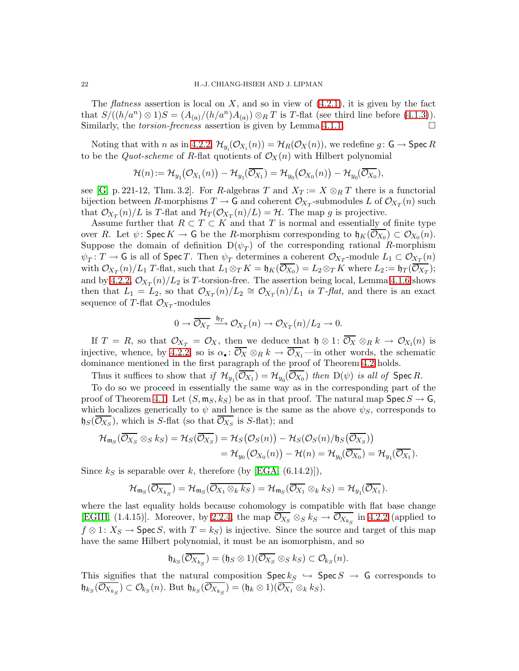The *flatness* assertion is local on  $X$ , and so in view of  $(4.2.1)$ , it is given by the fact that  $S/((h/a^n) \otimes 1)S = (A_{(a)}/(h/a^n)A_{(a)}) \otimes_R T$  is T-flat (see third line before [\(4.1.3\)](#page-17-2)). Similarly, the *torsion-freeness* assertion is given by Lemma [4.1.1.](#page-16-1)

Noting that with *n* as in [4.2.2,](#page-20-1)  $\mathcal{H}_{y_i}(\mathcal{O}_{X_i}(n)) = \mathcal{H}_R(\mathcal{O}_X(n))$ , we redefine  $g: \mathsf{G} \to \mathsf{Spec}\, R$ to be the *Quot-scheme* of R-flat quotients of  $\mathcal{O}_X(n)$  with Hilbert polynomial

$$
\mathcal{H}(n) := \mathcal{H}_{y_1}(\mathcal{O}_{X_1}(n)) - \mathcal{H}_{y_1}(\overline{\mathcal{O}_{X_1}}) = \mathcal{H}_{y_0}(\mathcal{O}_{X_0}(n)) - \mathcal{H}_{y_0}(\overline{\mathcal{O}_{X_0}}),
$$

see [\[G,](#page-33-16) p. 221-12, Thm. 3.2]. For R-algebras T and  $X_T := X \otimes_R T$  there is a functorial bijection between R-morphisms  $T \to G$  and coherent  $\mathcal{O}_{X_T}$ -submodules L of  $\mathcal{O}_{X_T}(n)$  such that  $\mathcal{O}_{X_T}(n)/L$  is T-flat and  $\mathcal{H}_T(\mathcal{O}_{X_T}(n)/L) = \mathcal{H}$ . The map g is projective.

Assume further that  $R \subset T \subset K$  and that T is normal and essentially of finite type over R. Let  $\psi$ : Spec  $K \to G$  be the R-morphism corresponding to  $\mathfrak{h}_K(\mathcal{O}_{X_0}) \subset \mathcal{O}_{X_0}(n)$ . Suppose the domain of definition  $D(\psi_T)$  of the corresponding rational R-morphism  $\psi_T: T \to G$  is all of Spec T. Then  $\psi_T$  determines a coherent  $\mathcal{O}_{X_T}$ -module  $L_1 \subset \mathcal{O}_{X_T}(n)$ with  $\mathcal{O}_{X_T}(n)/L_1$  T-flat, such that  $L_1 \otimes_T K = \mathfrak{h}_K(\mathcal{O}_{X_0}) = L_2 \otimes_T K$  where  $L_2 := \mathfrak{h}_T(\mathcal{O}_{X_T});$ and by [4.2.2,](#page-20-1)  $\mathcal{O}_{X_T}(n)/L_2$  is T-torsion-free. The assertion being local, Lemma [4.1.6](#page-17-0) shows then that  $L_1 = L_2$ , so that  $\mathcal{O}_{X_T}(n)/L_2 \cong \mathcal{O}_{X_T}(n)/L_1$  is T-flat, and there is an exact sequence of T-flat  $\mathcal{O}_{X_T}$ -modules

$$
0 \to \overline{\mathcal{O}_{X_T}} \xrightarrow{\mathfrak{h}_T} \mathcal{O}_{X_T}(n) \to \mathcal{O}_{X_T}(n)/L_2 \to 0.
$$

If  $T = R$ , so that  $\mathcal{O}_{X_T} = \mathcal{O}_X$ , then we deduce that  $\mathfrak{h} \otimes 1: \mathcal{O}_X \otimes_R k \to \mathcal{O}_{X_1}(n)$  is injective, whence, by [4.2.2,](#page-20-1) so is  $\alpha_{\bullet} : \overline{\mathcal{O}_X} \otimes_R k \to \overline{\mathcal{O}_{X_1}}$ —in other words, the schematic dominance mentioned in the first paragraph of the proof of Theorem [4.2](#page-19-0) holds.

Thus it suffices to show that if  $\mathcal{H}_{y_1}(\overline{\mathcal{O}_{X_1}}) = \mathcal{H}_{y_0}(\overline{\mathcal{O}_{X_0}})$  then  $D(\psi)$  is all of Spec R.

To do so we proceed in essentially the same way as in the corresponding part of the proof of Theorem [4.1.](#page-16-3) Let  $(S, \mathfrak{m}_S, k_S)$  be as in that proof. The natural map  $\operatorname{Spec} S \to \mathsf{G}$ , which localizes generically to  $\psi$  and hence is the same as the above  $\psi_{S}$ , corresponds to  $\mathfrak{h}_S(\mathcal{O}_{X_S})$ , which is S-flat (so that  $\mathcal{O}_{X_S}$  is S-flat); and

$$
\mathcal{H}_{\mathfrak{m}_S}(\overline{\mathcal{O}_{X_S}} \otimes_S k_S) = \mathcal{H}_S(\overline{\mathcal{O}_{X_S}}) = \mathcal{H}_S(\mathcal{O}_S(n)) - \mathcal{H}_S(\mathcal{O}_S(n)/\mathfrak{h}_S(\overline{\mathcal{O}_{X_S}}))
$$
  
= 
$$
\mathcal{H}_{y_0}(\mathcal{O}_{X_0}(n)) - \mathcal{H}(n) = \mathcal{H}_{y_0}(\overline{\mathcal{O}_{X_0}}) = \mathcal{H}_{y_1}(\overline{\mathcal{O}_{X_1}}).
$$

Since  $k<sub>S</sub>$  is separable over k, therefore (by [\[EGA,](#page-33-5) (6.14.2)]),

$$
\mathcal{H}_{\mathfrak{m}_S}(\overline{\mathcal{O}_{X_{k_S}}})=\mathcal{H}_{\mathfrak{m}_S}(\overline{\mathcal{O}_{X_1}\otimes_k k_S})=\mathcal{H}_{\mathfrak{m}_S}(\overline{\mathcal{O}_{X_1}}\otimes_k k_S)=\mathcal{H}_{y_1}(\overline{\mathcal{O}_{X_1}}).
$$

where the last equality holds because cohomology is compatible with flat base change [\[EGIII,](#page-33-2) (1.4.15)]. Moreover, by [2.2.4,](#page-10-0) the map  $\mathcal{O}_{X_S} \otimes_S k_S \to \mathcal{O}_{X_{k_S}}$  in [4.2.2](#page-20-1) (applied to  $f \otimes 1: X_S \to \mathsf{Spec}\, S$ , with  $T = k_S$ ) is injective. Since the source and target of this map have the same Hilbert polynomial, it must be an isomorphism, and so

$$
\mathfrak{h}_{k_S}(\overline{\mathcal{O}_{X_{k_S}}}) = (\mathfrak{h}_S \otimes 1)(\overline{\mathcal{O}_{X_S}} \otimes_S k_S) \subset \mathcal{O}_{k_S}(n).
$$

This signifies that the natural composition  $\text{Spec } k_S \hookrightarrow \text{Spec } S \to \text{G}$  corresponds to  $\mathfrak{h}_{k_S}(\mathcal{O}_{X_{k_S}}) \subset \mathcal{O}_{k_S}(n)$ . But  $\mathfrak{h}_{k_S}(\mathcal{O}_{X_{k_S}}) = (\mathfrak{h}_k \otimes 1)(\mathcal{O}_{X_1} \otimes_k k_S)$ .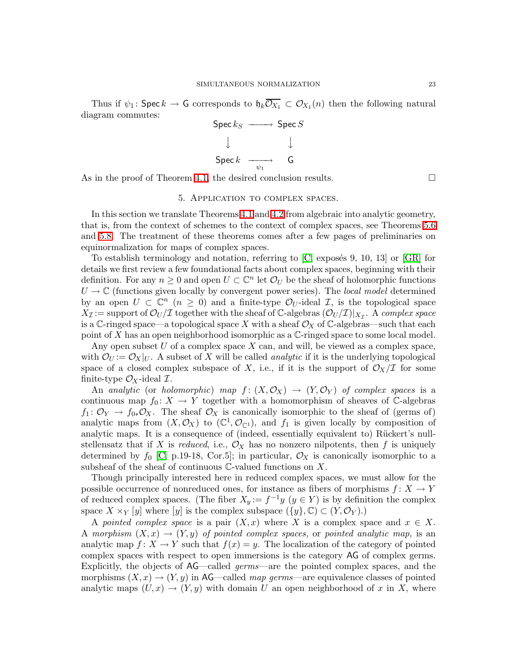Thus if  $\psi_1$ : Spec  $k \to G$  corresponds to  $\mathfrak{h}_k \mathcal{O}_{X_1} \subset \mathcal{O}_{X_1}(n)$  then the following natural diagram commutes:



As in the proof of Theorem [4.1,](#page-16-3) the desired conclusion results.  $\Box$ 

#### 5. Application to complex spaces.

In this section we translate Theorems [4.1](#page-16-3) and [4.2](#page-19-0) from algebraic into analytic geometry, that is, from the context of schemes to the context of complex spaces, see Theorems [5.6](#page-27-0) and [5.8.](#page-31-0) The treatment of these theorems comes after a few pages of preliminaries on equinormalization for maps of complex spaces.

To establish terminology and notation, referring to  $[C,$  exposes 9, 10, 13 or  $[GR]$  for details we first review a few foundational facts about complex spaces, beginning with their definition. For any  $n \geq 0$  and open  $U \subset \mathbb{C}^n$  let  $\mathcal{O}_U$  be the sheaf of holomorphic functions  $U \to \mathbb{C}$  (functions given locally by convergent power series). The local model determined by an open  $U \subset \mathbb{C}^n$  ( $n \geq 0$ ) and a finite-type  $\mathcal{O}_U$ -ideal  $\mathcal{I}$ , is the topological space  $X_{\mathcal{I}} := \text{support of } \mathcal{O}_U/\mathcal{I}$  together with the sheaf of C-algebras  $(\mathcal{O}_U/\mathcal{I})|_{X_{\mathcal{I}}}$ . A complex space is a C-ringed space—a topological space X with a sheaf  $\mathcal{O}_X$  of C-algebras—such that each point of X has an open neighborhood isomorphic as a  $\mathbb{C}\text{-ringed space to some local model.}$ 

Any open subset  $U$  of a complex space  $X$  can, and will, be viewed as a complex space, with  $\mathcal{O}_U := \mathcal{O}_X|_U$ . A subset of X will be called *analytic* if it is the underlying topological space of a closed complex subspace of X, i.e., if it is the support of  $\mathcal{O}_X/\mathcal{I}$  for some finite-type  $\mathcal{O}_X$ -ideal  $\mathcal{I}$ .

An analytic (or holomorphic) map  $f: (X, \mathcal{O}_X) \to (Y, \mathcal{O}_Y)$  of complex spaces is a continuous map  $f_0: X \to Y$  together with a homomorphism of sheaves of C-algebras  $f_1: \mathcal{O}_Y \to f_{0*} \mathcal{O}_X$ . The sheaf  $\mathcal{O}_X$  is canonically isomorphic to the sheaf of (germs of) analytic maps from  $(X, \mathcal{O}_X)$  to  $(\mathbb{C}^1, \mathcal{O}_{\mathbb{C}^1})$ , and  $f_1$  is given locally by composition of analytic maps. It is a consequence of (indeed, essentially equivalent to) Rückert's nullstellensatz that if X is reduced, i.e.,  $\mathcal{O}_X$  has no nonzero nilpotents, then f is uniquely determined by  $f_0$  [\[C,](#page-33-10) p.19-18, Cor.5]; in particular,  $\mathcal{O}_X$  is canonically isomorphic to a subsheaf of the sheaf of continuous  $\mathbb{C}\text{-value}$  functions on X.

Though principally interested here in reduced complex spaces, we must allow for the possible occurrence of nonreduced ones, for instance as fibers of morphisms  $f: X \to Y$ of reduced complex spaces. (The fiber  $X_y := f^{-1}y$   $(y \in Y)$  is by definition the complex space  $X \times_Y [y]$  where [y] is the complex subspace  $({y}, \mathbb{C}) \subset (Y, \mathcal{O}_Y)$ .

A pointed complex space is a pair  $(X, x)$  where X is a complex space and  $x \in X$ . A morphism  $(X, x) \rightarrow (Y, y)$  of pointed complex spaces, or pointed analytic map, is an analytic map  $f: X \to Y$  such that  $f(x) = y$ . The localization of the category of pointed complex spaces with respect to open immersions is the category AG of complex germs. Explicitly, the objects of AG—called germs—are the pointed complex spaces, and the morphisms  $(X, x) \rightarrow (Y, y)$  in AG—called map germs—are equivalence classes of pointed analytic maps  $(U, x) \to (Y, y)$  with domain U an open neighborhood of x in X, where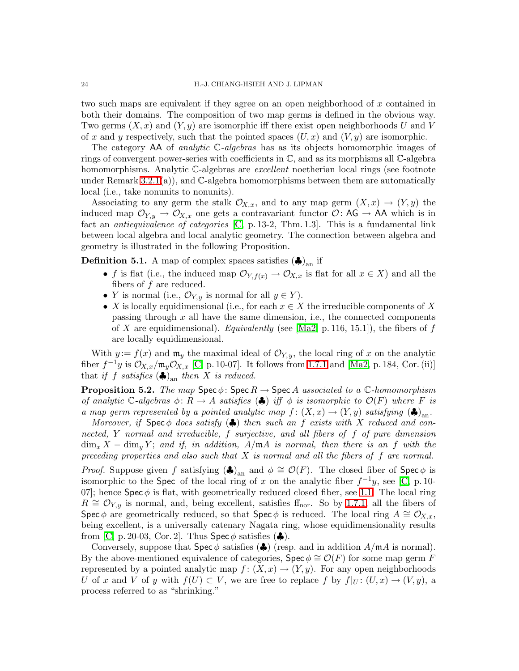two such maps are equivalent if they agree on an open neighborhood of  $x$  contained in both their domains. The composition of two map germs is defined in the obvious way. Two germs  $(X, x)$  and  $(Y, y)$  are isomorphic iff there exist open neighborhoods U and V of x and y respectively, such that the pointed spaces  $(U, x)$  and  $(V, y)$  are isomorphic.

The category  $AA$  of *analytic*  $C$ -*algebras* has as its objects homomorphic images of rings of convergent power-series with coefficients in C, and as its morphisms all C-algebra homomorphisms. Analytic C-algebras are *excellent* noetherian local rings (see footnote under Remark  $3.2.1(a)$ , and  $\mathbb{C}$ -algebra homomorphisms between them are automatically local (i.e., take nonunits to nonunits).

Associating to any germ the stalk  $\mathcal{O}_{X,x}$ , and to any map germ  $(X,x) \to (Y,y)$  the induced map  $\mathcal{O}_{Y,y} \to \mathcal{O}_{X,x}$  one gets a contravariant functor  $\mathcal{O} \colon AG \to AA$  which is in fact an *antiequivalence of categories* [\[C,](#page-33-10) p. 13-2, Thm. 1.3]. This is a fundamental link between local algebra and local analytic geometry. The connection between algebra and geometry is illustrated in the following Proposition.

<span id="page-23-0"></span>**Definition 5.1.** A map of complex spaces satisfies  $(\clubsuit)_{\text{an}}$  if

- f is flat (i.e., the induced map  $\mathcal{O}_{Y, f(x)} \to \mathcal{O}_{X, x}$  is flat for all  $x \in X$ ) and all the fibers of  $f$  are reduced.
- Y is normal (i.e.,  $\mathcal{O}_{Y,y}$  is normal for all  $y \in Y$ ).
- X is locally equidimensional (i.e., for each  $x \in X$  the irreducible components of X passing through  $x$  all have the same dimension, i.e., the connected components of X are equidimensional). Equivalently (see  $[Ma2, p.116, 15.1]$ ), the fibers of f are locally equidimensional.

With  $y := f(x)$  and  $\mathfrak{m}_y$  the maximal ideal of  $\mathcal{O}_{Y,y}$ , the local ring of x on the analytic fiber  $f^{-1}y$  is  $\mathcal{O}_{X,x}/\mathfrak{m}_y\mathcal{O}_{X,x}$  [\[C,](#page-33-10) p. 10-07]. It follows from [1.7.1](#page-5-1) and [\[Ma2,](#page-33-6) p. 184, Cor. (ii)] that if f satisfies  $(\clubsuit)_{\text{an}}$  then X is reduced.

<span id="page-23-1"></span>**Proposition 5.2.** The map  $Spec \phi$ :  $Spec R \rightarrow Spec A$  associated to a  $\mathbb{C}$ -homomorphism of analytic C-algebras  $\phi: R \to A$  satisfies  $(\clubsuit)$  iff  $\phi$  is isomorphic to  $\mathcal{O}(F)$  where F is a map germ represented by a pointed analytic map  $f: (X,x) \to (Y,y)$  satisfying  $(\clubsuit)_{\text{an}}$ .

Moreover, if  $Spec \phi$  does satisfy  $\clubsuit$  then such an f exists with X reduced and connected, Y normal and irreducible, f surjective, and all fibers of f of pure dimension  $\dim_x X - \dim_y Y$ ; and if, in addition,  $A/\mathfrak{m}A$  is normal, then there is an f with the preceding properties and also such that  $X$  is normal and all the fibers of  $f$  are normal. *Proof.* Suppose given f satisfying  $(\clubsuit)_{\text{an}}$  and  $\phi \cong \mathcal{O}(F)$ . The closed fiber of  $\text{Spec } \phi$  is isomorphic to the Spec of the local ring of x on the analytic fiber  $f^{-1}y$ , see [\[C,](#page-33-10) p. 10-07; hence  $\text{Spec } \phi$  is flat, with geometrically reduced closed fiber, see [1.1.](#page-3-3) The local ring  $R \cong \mathcal{O}_{Y,y}$  is normal, and, being excellent, satisfies f<sub>fluor</sub>. So by [1.7.1,](#page-5-1) all the fibers of Spec  $\phi$  are geometrically reduced, so that Spec  $\phi$  is reduced. The local ring  $A \cong \mathcal{O}_{X,x}$ , being excellent, is a universally catenary Nagata ring, whose equidimensionality results from [\[C,](#page-33-10) p. 20-03, Cor. 2]. Thus  $\text{Spec } \phi$  satisfies ( $\clubsuit$ ).

Conversely, suppose that  $\text{Spec } \phi$  satisfies ( $\clubsuit$ ) (resp. and in addition  $A/\mathfrak{m}A$  is normal). By the above-mentioned equivalence of categories,  $\text{Spec } \phi \cong \mathcal{O}(F)$  for some map germ F represented by a pointed analytic map  $f : (X, x) \to (Y, y)$ . For any open neighborhoods U of x and V of y with  $f(U) \subset V$ , we are free to replace f by  $f|_{U} : (U,x) \to (V,y)$ , a process referred to as "shrinking."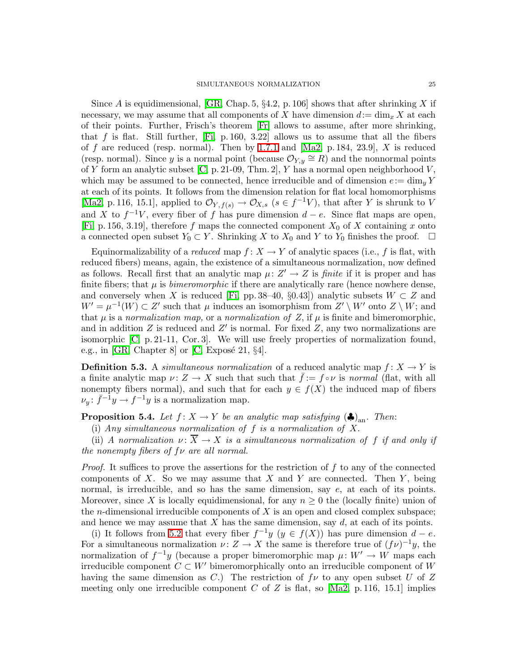Since A is equidimensional, [\[GR,](#page-33-17) Chap. 5,  $\S 4.2$ , p. 106] shows that after shrinking X if necessary, we may assume that all components of X have dimension  $d:=\dim_x X$  at each of their points. Further, Frisch's theorem [\[Fr\]](#page-33-18) allows to assume, after more shrinking, that f is flat. Still further,  $[Fi, p. 160, 3.22]$  allows us to assume that all the fibers of f are reduced (resp. normal). Then by [1.7.1](#page-5-1) and  $[Ma2, p. 184, 23.9], X$  is reduced (resp. normal). Since y is a normal point (because  $\mathcal{O}_{Y,y} \cong R$ ) and the nonnormal points of Y form an analytic subset [\[C,](#page-33-10) p. 21-09, Thm. 2], Y has a normal open neighborhood  $V$ , which may be assumed to be connected, hence irreducible and of dimension  $e:=\dim_u Y$ at each of its points. It follows from the dimension relation for flat local homomorphisms [\[Ma2,](#page-33-6) p. 116, 15.1], applied to  $\mathcal{O}_{Y, f(s)} \to \mathcal{O}_{X, s}$  ( $s \in f^{-1}V$ ), that after Y is shrunk to V and X to  $f^{-1}V$ , every fiber of f has pure dimension  $d - e$ . Since flat maps are open, [\[Fi,](#page-33-19) p. 156, 3.19], therefore f maps the connected component  $X_0$  of X containing x onto a connected open subset  $Y_0 \subset Y$ . Shrinking X to  $X_0$  and Y to  $Y_0$  finishes the proof.  $\Box$ 

Equinormalizability of a *reduced* map  $f: X \to Y$  of analytic spaces (i.e., f is flat, with reduced fibers) means, again, the existence of a simultaneous normalization, now defined as follows. Recall first that an analytic map  $\mu: Z' \to Z$  is *finite* if it is proper and has finite fibers; that  $\mu$  is *bimeromorphic* if there are analytically rare (hence nowhere dense, and conversely when X is reduced [\[Fi,](#page-33-19) pp. 38–40, §0.43]) analytic subsets  $W \subset Z$  and  $W' = \mu^{-1}(W) \subset Z'$  such that  $\mu$  induces an isomorphism from  $Z' \setminus W'$  onto  $Z \setminus W$ ; and that  $\mu$  is a normalization map, or a normalization of Z, if  $\mu$  is finite and bimeromorphic, and in addition  $Z$  is reduced and  $Z'$  is normal. For fixed  $Z$ , any two normalizations are isomorphic [\[C,](#page-33-10) p. 21-11, Cor. 3]. We will use freely properties of normalization found, e.g., in [\[GR,](#page-33-17) Chapter 8] or [\[C,](#page-33-10) Exposé 21,  $\S 4$ ].

**Definition 5.3.** A simultaneous normalization of a reduced analytic map  $f: X \to Y$  is a finite analytic map  $\nu: Z \to X$  such that such that  $f := f \circ \nu$  is normal (flat, with all nonempty fibers normal), and such that for each  $y \in f(X)$  the induced map of fibers  $\nu_y: \bar{f}^{-1}y \to f^{-1}y$  is a normalization map.

<span id="page-24-0"></span>**Proposition 5.4.** Let  $f: X \to Y$  be an analytic map satisfying  $(\clubsuit)_{an}$ . Then:

(i) Any simultaneous normalization of  $f$  is a normalization of  $X$ .

(ii) A normalization  $\nu: \overline{X} \to X$  is a simultaneous normalization of f if and only if the nonempty fibers of  $f\nu$  are all normal.

*Proof.* It suffices to prove the assertions for the restriction of f to any of the connected components of X. So we may assume that X and Y are connected. Then  $Y$ , being normal, is irreducible, and so has the same dimension, say e, at each of its points. Moreover, since X is locally equidimensional, for any  $n \geq 0$  the (locally finite) union of the *n*-dimensional irreducible components of  $X$  is an open and closed complex subspace; and hence we may assume that  $X$  has the same dimension, say  $d$ , at each of its points.

(i) It follows from [5.2](#page-23-1) that every fiber  $f^{-1}y$   $(y \in f(X))$  has pure dimension  $d - e$ . For a simultaneous normalization  $\nu: Z \to X$  the same is therefore true of  $(f\nu)^{-1}y$ , the normalization of  $f^{-1}y$  (because a proper bimeromorphic map  $\mu: W' \to W$  maps each irreducible component  $C \subset W'$  bimeromorphically onto an irreducible component of W having the same dimension as C.) The restriction of  $f\nu$  to any open subset U of Z meeting only one irreducible component C of Z is flat, so  $[Ma2, p.116, 15.1]$  implies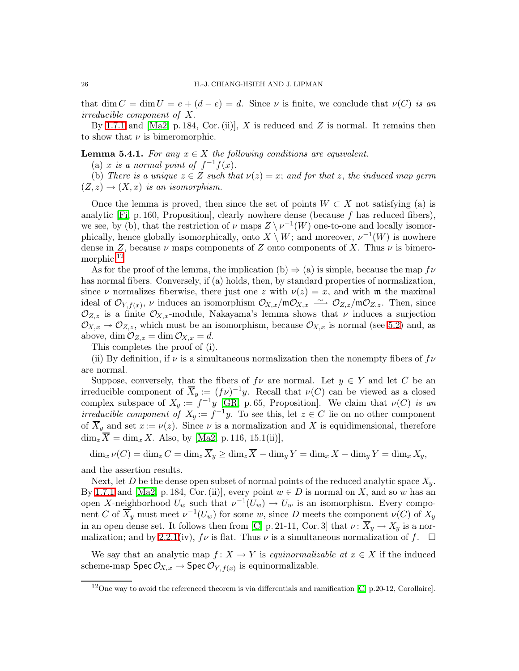that dim  $C = \dim U = e + (d - e) = d$ . Since  $\nu$  is finite, we conclude that  $\nu(C)$  is an irreducible component of X.

By [1.7.1](#page-5-1) and  $[Ma2, p. 184, Cor. (ii)], X$  is reduced and Z is normal. It remains then to show that  $\nu$  is bimeromorphic.

**Lemma 5.4.1.** For any  $x \in X$  the following conditions are equivalent.

(a) x is a normal point of  $f^{-1}f(x)$ .

(b) There is a unique  $z \in Z$  such that  $\nu(z) = x$ ; and for that z, the induced map germ  $(Z, z) \rightarrow (X, x)$  is an isomorphism.

Once the lemma is proved, then since the set of points  $W \subset X$  not satisfying (a) is analytic  $[F_i, p. 160, Proposition]$ , clearly nowhere dense (because f has reduced fibers), we see, by (b), that the restriction of  $\nu$  maps  $Z \setminus \nu^{-1}(W)$  one-to-one and locally isomorphically, hence globally isomorphically, onto  $X \setminus W$ ; and moreover,  $\nu^{-1}(W)$  is nowhere dense in Z, because  $\nu$  maps components of Z onto components of X. Thus  $\nu$  is bimero-morphic.<sup>[12](#page-25-0)</sup>

As for the proof of the lemma, the implication (b)  $\Rightarrow$  (a) is simple, because the map  $f\nu$ has normal fibers. Conversely, if (a) holds, then, by standard properties of normalization, since  $\nu$  normalizes fiberwise, there just one z with  $\nu(z) = x$ , and with m the maximal ideal of  $\mathcal{O}_{Y,f(x)}$ ,  $\nu$  induces an isomorphism  $\mathcal{O}_{X,x}/\mathfrak{m}\mathcal{O}_{X,x} \longrightarrow \mathcal{O}_{Z,z}/\mathfrak{m}\mathcal{O}_{Z,z}$ . Then, since  $\mathcal{O}_{Z,z}$  is a finite  $\mathcal{O}_{X,x}$ -module, Nakayama's lemma shows that  $\nu$  induces a surjection  $\mathcal{O}_{X,x} \to \mathcal{O}_{Z,z}$ , which must be an isomorphism, because  $\mathcal{O}_{X,x}$  is normal (see [5.2\)](#page-23-1) and, as above, dim  $\mathcal{O}_{Z,z} = \dim \mathcal{O}_{X,x} = d$ .

This completes the proof of (i).

(ii) By definition, if  $\nu$  is a simultaneous normalization then the nonempty fibers of  $f\nu$ are normal.

Suppose, conversely, that the fibers of  $f\nu$  are normal. Let  $y \in Y$  and let C be an irreducible component of  $\overline{X}_y := (f\nu)^{-1}y$ . Recall that  $\nu(C)$  can be viewed as a closed complex subspace of  $X_y := f^{-1}y$  [\[GR,](#page-33-17) p. 65, Proposition]. We claim that  $\nu(C)$  is an irreducible component of  $X_y := f^{-1}y$ . To see this, let  $z \in C$  lie on no other component of  $\overline{X}_y$  and set  $x := \nu(z)$ . Since  $\nu$  is a normalization and X is equidimensional, therefore  $\dim_{\mathbb{Z}} \overline{X} = \dim_{\mathbb{Z}} X$ . Also, by [\[Ma2,](#page-33-6) p. 116, 15.1(ii)],

 $\dim_x \nu(C) = \dim_z C = \dim_z \overline{X}_y \ge \dim_z \overline{X} - \dim_y Y = \dim_x X - \dim_y Y = \dim_x X_y,$ 

and the assertion results.

Next, let D be the dense open subset of normal points of the reduced analytic space  $X_y$ . By [1.7.1](#page-5-1) and [\[Ma2,](#page-33-6) p. 184, Cor. (ii)], every point  $w \in D$  is normal on X, and so w has an open X-neighborhood  $U_w$  such that  $\nu^{-1}(U_w) \to U_w$  is an isomorphism. Every component C of  $\overline{X}_y$  must meet  $\nu^{-1}(U_w)$  for some w, since D meets the component  $\nu(C)$  of  $X_y$ in an open dense set. It follows then from [\[C,](#page-33-10) p. 21-11, Cor. 3] that  $\nu \colon \overline{X}_y \to X_y$  is a nor-malization; and by [2.2.1\(](#page-8-0)iv),  $f\nu$  is flat. Thus  $\nu$  is a simultaneous normalization of f.  $\square$ 

<span id="page-25-1"></span>We say that an analytic map  $f: X \to Y$  is equinormalizable at  $x \in X$  if the induced scheme-map  $\mathsf{Spec}\,\mathcal{O}_{X,x}\to \mathsf{Spec}\,\mathcal{O}_{Y,f(x)}$  is equinormalizable.

<span id="page-25-0"></span><sup>12</sup>One way to avoid the referenced theorem is via differentials and ramification [\[C,](#page-33-10) p.20-12, Corollaire].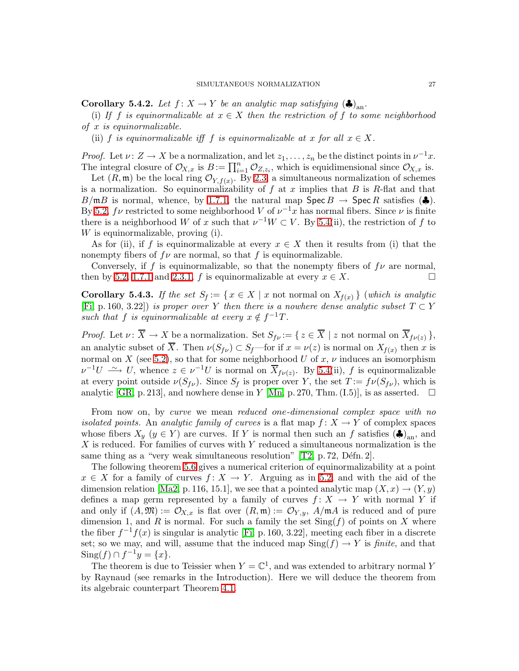**Corollary 5.4.2.** Let  $f: X \to Y$  be an analytic map satisfying  $(\clubsuit)_{\text{an}}$ .

(i) If f is equinormalizable at  $x \in X$  then the restriction of f to some neighborhood of x is equinormalizable.

(ii) f is equinormalizable iff f is equinormalizable at x for all  $x \in X$ .

*Proof.* Let  $\nu: Z \to X$  be a normalization, and let  $z_1, \ldots, z_n$  be the distinct points in  $\nu^{-1}x$ . The integral closure of  $\mathcal{O}_{X,x}$  is  $B := \prod_{i=1}^n \mathcal{O}_{Z,z_i}$ , which is equidimensional since  $\mathcal{O}_{X,x}$  is.

Let  $(R, \mathfrak{m})$  be the local ring  $\mathcal{O}_{Y, f(x)}$ . By [2.3,](#page-11-0) a simultaneous normalization of schemes is a normalization. So equinormalizability of f at x implies that B is R-flat and that  $B/\mathfrak{m}B$  is normal, whence, by [1.7.1,](#page-5-1) the natural map  $\operatorname{Spec} B \to \operatorname{Spec} R$  satisfies  $(\clubsuit)$ . By [5.2,](#page-23-1)  $f\nu$  restricted to some neighborhood V of  $\nu^{-1}x$  has normal fibers. Since  $\nu$  is finite there is a neighborhood W of x such that  $\nu^{-1}W \subset V$ . By [5.4\(](#page-24-0)ii), the restriction of f to W is equinormalizable, proving (i).

As for (ii), if f is equinormalizable at every  $x \in X$  then it results from (i) that the nonempty fibers of  $f\nu$  are normal, so that f is equinormalizable.

Conversely, if f is equinormalizable, so that the nonempty fibers of  $f\nu$  are normal, then by [5.2,](#page-23-1) [1.7.1](#page-5-1) and [2.3.1,](#page-11-1) f is equinormalizable at every  $x \in X$ .

<span id="page-26-0"></span>**Corollary 5.4.3.** If the set  $S_f := \{ x \in X \mid x \text{ not normal on } X_{f(x)} \}$  (which is analytic [\[Fi,](#page-33-19) p. 160, 3.22]) is proper over Y then there is a nowhere dense analytic subset  $T \subset Y$ such that f is equinormalizable at every  $x \notin f^{-1}T$ .

*Proof.* Let  $\nu: \overline{X} \to X$  be a normalization. Set  $S_{f\nu} := \{ z \in \overline{X} \mid z \text{ not normal on } \overline{X}_{f\nu(z)} \},$ an analytic subset of X. Then  $\nu(S_{f\nu}) \subset S_f$ —for if  $x = \nu(z)$  is normal on  $X_{f(x)}$  then x is normal on X (see [5.2\)](#page-23-1), so that for some neighborhood U of  $x, \nu$  induces an isomorphism  $\nu^{-1}U \longrightarrow U$ , whence  $z \in \nu^{-1}U$  is normal on  $\overline{X}_{f\nu(z)}$ . By [5.4\(](#page-24-0)ii), f is equinormalizable at every point outside  $\nu(S_{f\nu})$ . Since  $S_f$  is proper over Y, the set  $T := f\nu(S_{f\nu})$ , which is analytic [\[GR,](#page-33-17) p. 213], and nowhere dense in Y [\[Mn,](#page-33-20) p. 270, Thm. (I.5)], is as asserted.  $\square$ 

From now on, by curve we mean reduced one-dimensional complex space with no isolated points. An analytic family of curves is a flat map  $f: X \to Y$  of complex spaces whose fibers  $X_y$   $(y \in Y)$  are curves. If Y is normal then such an f satisfies  $(\clubsuit)_{\text{an}}$ , and X is reduced. For families of curves with Y reduced a simultaneous normalization is the same thing as a "very weak simultaneous resolution"  $[T2, p. 72, D\acute{e}fn. 2]$ .

The following theorem [5.6](#page-27-0) gives a numerical criterion of equinormalizability at a point  $x \in X$  for a family of curves  $f: X \to Y$ . Arguing as in [5.2,](#page-23-1) and with the aid of the dimension relation [\[Ma2,](#page-33-6) p. 116, 15.1], we see that a pointed analytic map  $(X, x) \rightarrow (Y, y)$ defines a map germ represented by a family of curves  $f: X \to Y$  with normal Y if and only if  $(A, \mathfrak{M}) := \mathcal{O}_{X,x}$  is flat over  $(R, \mathfrak{m}) := \mathcal{O}_{Y,y}$ ,  $A/\mathfrak{m}A$  is reduced and of pure dimension 1, and R is normal. For such a family the set  $\text{Sing}(f)$  of points on X where the fiber  $f^{-1}f(x)$  is singular is analytic [\[Fi,](#page-33-19) p. 160, 3.22], meeting each fiber in a discrete set; so we may, and will, assume that the induced map  $\text{Sing}(f) \to Y$  is finite, and that  $\text{Sing}(f) \cap f^{-1}y = \{x\}.$ 

The theorem is due to Teissier when  $Y = \mathbb{C}^1$ , and was extended to arbitrary normal Y by Raynaud (see remarks in the Introduction). Here we will deduce the theorem from its algebraic counterpart Theorem [4.1.](#page-16-3)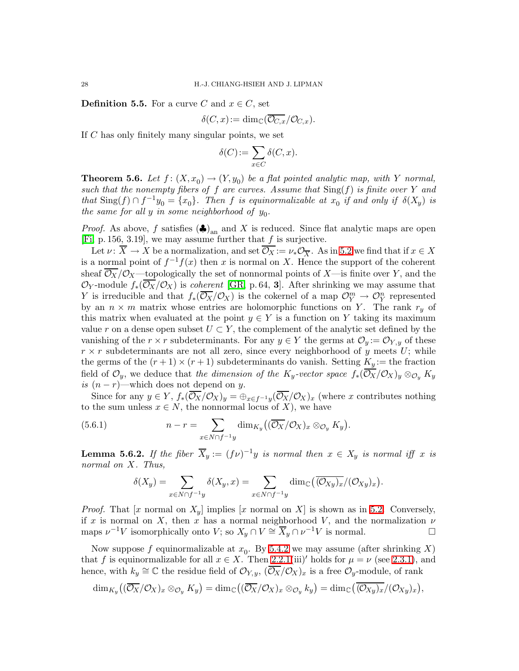**Definition 5.5.** For a curve C and  $x \in C$ , set

$$
\delta(C, x) := \dim_{\mathbb{C}}(\overline{\mathcal{O}_{C,x}}/\mathcal{O}_{C,x}).
$$

If  $C$  has only finitely many singular points, we set

$$
\delta(C) := \sum_{x \in C} \delta(C, x).
$$

<span id="page-27-0"></span>**Theorem 5.6.** Let  $f: (X, x_0) \to (Y, y_0)$  be a flat pointed analytic map, with Y normal, such that the nonempty fibers of f are curves. Assume that  $\text{Sing}(f)$  is finite over Y and that  $\text{Sing}(f) \cap f^{-1}y_0 = \{x_0\}$ . Then f is equinormalizable at  $x_0$  if and only if  $\delta(X_y)$  is the same for all  $y$  in some neighborhood of  $y_0$ .

*Proof.* As above, f satisfies  $(\clubsuit)_{\text{an}}$  and X is reduced. Since flat analytic maps are open [\[Fi,](#page-33-19) p. 156, 3.19], we may assume further that  $f$  is surjective.

Let  $\nu: \overline{X} \to X$  be a normalization, and set  $\overline{\mathcal{O}_X} := \nu_* \mathcal{O}_{\overline{X}}$ . As in [5.2](#page-23-1) we find that if  $x \in X$ is a normal point of  $f^{-1}f(x)$  then x is normal on X. Hence the support of the coherent sheaf  $\overline{\mathcal{O}_X}/\mathcal{O}_X$ —topologically the set of nonnormal points of X—is finite over Y, and the  $\mathcal{O}_Y$ -module  $f_*(\overline{\mathcal{O}_X}/\mathcal{O}_X)$  is *coherent* [\[GR,](#page-33-17) p. 64, **3**]. After shrinking we may assume that Y is irreducible and that  $f_*(\overline{\mathcal{O}_X}/\mathcal{O}_X)$  is the cokernel of a map  $\mathcal{O}_Y^m \to \mathcal{O}_Y^n$  represented by an  $n \times m$  matrix whose entries are holomorphic functions on Y. The rank  $r_y$  of this matrix when evaluated at the point  $y \in Y$  is a function on Y taking its maximum value r on a dense open subset  $U \subset Y$ , the complement of the analytic set defined by the vanishing of the  $r \times r$  subdeterminants. For any  $y \in Y$  the germs at  $\mathcal{O}_y := \mathcal{O}_{Y,y}$  of these  $r \times r$  subdeterminants are not all zero, since every neighborhood of y meets U; while the germs of the  $(r+1) \times (r+1)$  subdeterminants do vanish. Setting  $K_y :=$  the fraction field of  $\mathcal{O}_y$ , we deduce that the dimension of the K<sub>y</sub>-vector space  $f_*(\overline{\mathcal{O}_X}/\mathcal{O}_X)_y \otimes_{\mathcal{O}_y} K_y$ is  $(n - r)$ —which does not depend on y.

Since for any  $y \in Y$ ,  $f_*(\mathcal{O}_X/\mathcal{O}_X)_y = \bigoplus_{x \in f^{-1}y} (\mathcal{O}_X/\mathcal{O}_X)_x$  (where x contributes nothing to the sum unless  $x \in N$ , the nonnormal locus of X), we have

<span id="page-27-1"></span>(5.6.1) 
$$
n-r = \sum_{x \in N \cap f^{-1}y} \dim_{K_y}((\overline{\mathcal{O}_X}/\mathcal{O}_X)_x \otimes_{\mathcal{O}_y} K_y).
$$

<span id="page-27-2"></span>**Lemma 5.6.2.** If the fiber  $\overline{X}_y := (f\nu)^{-1}y$  is normal then  $x \in X_y$  is normal iff x is normal on X. Thus,

$$
\delta(X_y) = \sum_{x \in N \cap f^{-1}y} \delta(X_y, x) = \sum_{x \in N \cap f^{-1}y} \dim_{\mathbb{C}}(\overline{(\mathcal{O}_{Xy})_x}/(\mathcal{O}_{Xy})_x).
$$

*Proof.* That [x normal on  $X_y$ ] implies [x normal on X] is shown as in [5.2.](#page-23-1) Conversely, if x is normal on X, then x has a normal neighborhood V, and the normalization  $\nu$ maps  $\nu^{-1}V$  isomorphically onto  $V$ ; so  $X_y \cap V \cong \overline{X}_y \cap \nu^{-1}V$  is normal.

Now suppose  $f$  equinormalizable at  $x_0$ . By [5.4.2](#page-25-1) we may assume (after shrinking X) that f is equinormalizable for all  $x \in X$ . Then [2.2.1\(](#page-8-0)iii)' holds for  $\mu = \nu$  (see [2.3.1\)](#page-11-1), and hence, with  $k_y \cong \mathbb{C}$  the residue field of  $\mathcal{O}_{Y,y}$ ,  $(\overline{\mathcal{O}_X}/\mathcal{O}_X)_x$  is a free  $\mathcal{O}_y$ -module, of rank

$$
\dim_{K_y}\bigl((\overline{\mathcal{O}_X}/\mathcal{O}_X)_x\otimes_{\mathcal{O}_y}K_y\bigr)=\dim_{\mathbb{C}}\bigl((\overline{\mathcal{O}_X}/\mathcal{O}_X)_x\otimes_{\mathcal{O}_y}k_y\bigr)=\dim_{\mathbb{C}}\bigl(\overline{(\mathcal{O}_{Xy})_x}/(\mathcal{O}_{Xy})_x\bigr),
$$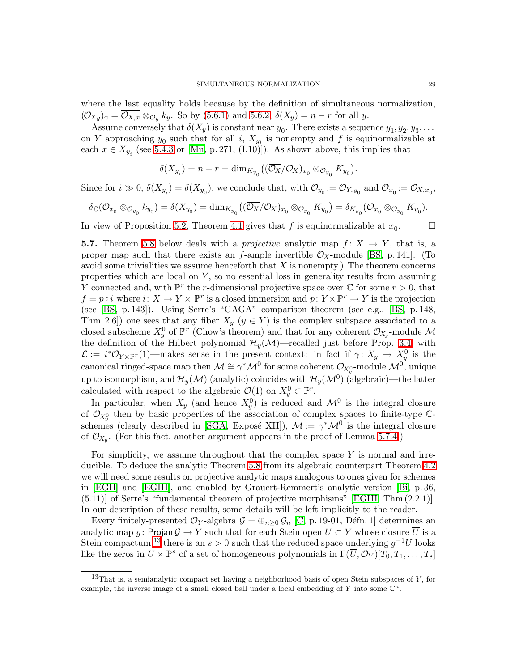where the last equality holds because by the definition of simultaneous normalization,  $(\mathcal{O}_{X_y})_x = \mathcal{O}_{X,x} \otimes_{\mathcal{O}_y} k_y$ . So by [\(5.6.1\)](#page-27-1) and [5.6.2,](#page-27-2)  $\delta(X_y) = n - r$  for all y.

Assume conversely that  $\delta(X_y)$  is constant near  $y_0$ . There exists a sequence  $y_1, y_2, y_3, \ldots$ on Y approaching  $y_0$  such that for all i,  $X_{y_i}$  is nonempty and f is equinormalizable at each  $x \in X_{y_i}$  (see [5.4.3](#page-26-0) or [\[Mn,](#page-33-20) p. 271, (I.10)]). As shown above, this implies that

$$
\delta(X_{y_i}) = n - r = \dim_{K_{y_0}}\left( (\overline{O_X}/O_X)_{x_0} \otimes_{O_{y_0}} K_{y_0} \right).
$$

Since for  $i \gg 0$ ,  $\delta(X_{y_i}) = \delta(X_{y_0})$ , we conclude that, with  $\mathcal{O}_{y_0} := \mathcal{O}_{Y, y_0}$  and  $\mathcal{O}_{x_0} := \mathcal{O}_{X, x_0}$ ,

$$
\delta_{\mathbb C}({\mathcal O}_{x_0}\otimes_{{\mathcal O}_{y_0}}k_{y_0})=\delta(X_{y_0})=\dim_{K_{y_0}}\bigl((\overline{{\mathcal O}_X}/{\mathcal O}_X)_{x_0}\otimes_{{\mathcal O}_{y_0}}K_{y_0}\bigr)=\delta_{K_{y_0}}({\mathcal O}_{x_0}\otimes_{{\mathcal O}_{y_0}}K_{y_0}).
$$

In view of Proposition [5.2,](#page-23-1) Theorem [4.1](#page-16-3) gives that f is equinormalizable at  $x_0$ .  $\Box$ 

**5.7.** Theorem [5.8](#page-31-0) below deals with a *projective* analytic map  $f: X \to Y$ , that is, a proper map such that there exists an f-ample invertible  $\mathcal{O}_X$ -module [\[BS,](#page-33-21) p. 141]. (To avoid some trivialities we assume henceforth that  $X$  is nonempty.) The theorem concerns properties which are local on  $Y$ , so no essential loss in generality results from assuming Y connected and, with  $\mathbb{P}^r$  the r-dimensional projective space over  $\mathbb C$  for some  $r > 0$ , that  $f = p \circ i$  where  $i: X \to Y \times \mathbb{P}^r$  is a closed immersion and  $p: Y \times \mathbb{P}^r \to Y$  is the projection (see [\[BS,](#page-33-21) p. 143]). Using Serre's "GAGA" comparison theorem (see e.g., [\[BS,](#page-33-21) p. 148, Thm. 2.6]) one sees that any fiber  $X_y$   $(y \in Y)$  is the complex subspace associated to a closed subscheme  $X_y^0$  of  $\mathbb{P}^r$  (Chow's theorem) and that for any coherent  $\mathcal{O}_{X_y}$ -module  $\mathcal M$ the definition of the Hilbert polynomial  $\mathcal{H}_{y}(\mathcal{M})$ —recalled just before Prop. [3.4,](#page-14-1) with  $\mathcal{L} := i^*\mathcal{O}_{Y\times \mathbb{P}^r}(1)$ —makes sense in the present context: in fact if  $\gamma: X_y \to X_y^0$  is the canonical ringed-space map then  $\mathcal{M} \cong \gamma^* \mathcal{M}^0$  for some coherent  $\mathcal{O}_{X_y^0}$ -module  $\mathcal{M}^0$ , unique up to isomorphism, and  $\mathcal{H}_y(\mathcal{M})$  (analytic) coincides with  $\mathcal{H}_y(\mathcal{M}^0)$  (algebraic)—the latter calculated with respect to the algebraic  $\mathcal{O}(1)$  on  $X_y^0 \subset \mathbb{P}^r$ .

In particular, when  $X_y$  (and hence  $X_y^0$ ) is reduced and  $\mathcal{M}^0$  is the integral closure of  $\mathcal{O}_{X_y^0}$  then by basic properties of the association of complex spaces to finite-type  $\mathbb{C}$ -schemes (clearly described in [\[SGA,](#page-33-22) Exposé XII]),  $M := \gamma^* M^0$  is the integral closure of  $\mathcal{O}_{X_y}$ . (For this fact, another argument appears in the proof of Lemma [5.7.4.](#page-30-0))

For simplicity, we assume throughout that the complex space  $Y$  is normal and irreducible. To deduce the analytic Theorem [5.8](#page-31-0) from its algebraic counterpart Theorem [4.2](#page-19-0) we will need some results on projective analytic maps analogous to ones given for schemes in [\[EGII\]](#page-33-15) and [\[EGIII\]](#page-33-2), and enabled by Grauert-Remmert's analytic version [\[Bi,](#page-33-23) p. 36, (5.11)] of Serre's "fundamental theorem of projective morphisms" [\[EGIII,](#page-33-2) Thm (2.2.1)]. In our description of these results, some details will be left implicitly to the reader.

Every finitely-presented  $\mathcal{O}_Y$ -algebra  $\mathcal{G} = \bigoplus_{n \geq 0} \mathcal{G}_n$  [\[C,](#page-33-10) p. 19-01, Défn. 1] determines an analytic map g: Projan  $\mathcal{G} \to Y$  such that for each Stein open  $U \subset Y$  whose closure  $\overline{U}$  is a Stein compactum,<sup>[13](#page-28-0)</sup> there is an  $s > 0$  such that the reduced space underlying  $g^{-1}U$  looks like the zeros in  $U \times \mathbb{P}^s$  of a set of homogeneous polynomials in  $\Gamma(\overline{U}, \mathcal{O}_Y)[T_0, T_1, \ldots, T_s]$ 

<span id="page-28-0"></span><sup>&</sup>lt;sup>13</sup>That is, a semianalytic compact set having a neighborhood basis of open Stein subspaces of  $Y$ , for example, the inverse image of a small closed ball under a local embedding of Y into some  $\mathbb{C}^n$ .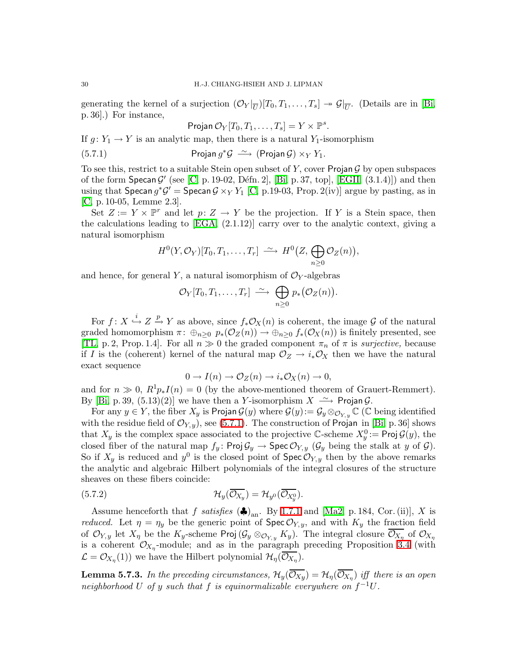generating the kernel of a surjection  $(\mathcal{O}_Y|_{\overline{U}})[T_0, T_1, \ldots, T_s] \to \mathcal{G}|_{\overline{U}}$ . (Details are in [\[Bi,](#page-33-23) p. 36].) For instance,

$$
Projan O_Y[T_0, T_1, \ldots, T_s] = Y \times \mathbb{P}^s.
$$

<span id="page-29-0"></span>If  $g: Y_1 \to Y$  is an analytic map, then there is a natural  $Y_1$ -isomorphism

(5.7.1) Projan  $g^* \mathcal{G} \stackrel{\sim}{\longrightarrow} (\text{Projan } \mathcal{G}) \times_Y Y_1$ .

To see this, restrict to a suitable Stein open subset of Y, cover Projan  $\mathcal G$  by open subspaces of the form  $\textsf{Specan}\,\mathcal{G}'$  (see [\[C,](#page-33-10) p. 19-02, Défn. 2], [\[Bi,](#page-33-23) p. 37, top], [\[EGII,](#page-33-15) (3.1.4)]) and then using that  $\text{Specan } g^* \mathcal{G}' = \text{Specan } \mathcal{G} \times_Y Y_1$  [\[C,](#page-33-10) p.19-03, Prop. 2(iv)] argue by pasting, as in [\[C,](#page-33-10) p. 10-05, Lemme 2.3].

Set  $Z := Y \times \mathbb{P}^r$  and let  $p: Z \to Y$  be the projection. If Y is a Stein space, then the calculations leading to  $[EGA, (2.1.12)]$  carry over to the analytic context, giving a natural isomorphism

$$
H^{0}(Y,\mathcal{O}_{Y})[T_{0},T_{1},\ldots,T_{r}] \stackrel{\sim}{\longrightarrow} H^{0}(Z,\bigoplus_{n\geq 0} \mathcal{O}_{Z}(n)),
$$

and hence, for general Y, a natural isomorphism of  $\mathcal{O}_Y$ -algebras

$$
\mathcal{O}_Y[T_0,T_1,\ldots,T_r] \stackrel{\sim}{\longrightarrow} \bigoplus_{n\geq 0} p_*(\mathcal{O}_Z(n)).
$$

For  $f: X \stackrel{i}{\hookrightarrow} Z \stackrel{p}{\to} Y$  as above, since  $f_*\mathcal{O}_X(n)$  is coherent, the image G of the natural graded homomorphism  $\pi: \bigoplus_{n>0} p_*(\mathcal{O}_Z(n)) \to \bigoplus_{n>0} f_*(\mathcal{O}_X(n))$  is finitely presented, see [\[TL,](#page-34-10) p. 2, Prop. 1.4]. For all  $n \gg 0$  the graded component  $\pi_n$  of  $\pi$  is *surjective*, because if I is the (coherent) kernel of the natural map  $\mathcal{O}_Z \to i_* \mathcal{O}_X$  then we have the natural exact sequence

$$
0 \to I(n) \to \mathcal{O}_Z(n) \to i_*\mathcal{O}_X(n) \to 0,
$$

and for  $n \gg 0$ ,  $R^1p_*I(n) = 0$  (by the above-mentioned theorem of Grauert-Remmert). By [\[Bi,](#page-33-23) p. 39, (5.13)(2)] we have then a Y-isomorphism  $X \longrightarrow \mathsf{Projan}\mathcal{G}$ .

For any  $y \in Y$ , the fiber  $X_y$  is Projan  $\mathcal{G}(y)$  where  $\mathcal{G}(y) := \mathcal{G}_y \otimes_{\mathcal{O}_{Y,y}} \mathbb{C}$  ( $\mathbb{C}$  being identified with the residue field of  $\mathcal{O}_{Y,y}$ , see [\(5.7.1\)](#page-29-0). The construction of Projan in [\[Bi,](#page-33-23) p. 36] shows that  $X_y$  is the complex space associated to the projective C-scheme  $X_y^0 := \text{Proj } \mathcal{G}(y)$ , the closed fiber of the natural map  $f_y$ : Proj $\mathcal{G}_y \to \text{Spec } \mathcal{O}_{Y,y}$  ( $\mathcal{G}_y$  being the stalk at y of  $\mathcal{G}$ ). So if  $X_y$  is reduced and  $y^0$  is the closed point of  $\text{Spec } \mathcal{O}_{Y,y}$  then by the above remarks the analytic and algebraic Hilbert polynomials of the integral closures of the structure sheaves on these fibers coincide:

<span id="page-29-1"></span>(5.7.2) 
$$
\mathcal{H}_y(\overline{\mathcal{O}_{X_y}}) = \mathcal{H}_{y^0}(\overline{\mathcal{O}_{X_y^0}}).
$$

Assume henceforth that f satisfies  $(\clubsuit)_{\text{an}}$ . By [1.7.1](#page-5-1) and [\[Ma2,](#page-33-6) p. 184, Cor. (ii)], X is *reduced.* Let  $\eta = \eta_y$  be the generic point of  $\text{Spec } \mathcal{O}_{Y,y}$ , and with  $K_y$  the fraction field of  $\mathcal{O}_{Y,y}$  let  $X_\eta$  be the  $K_y$ -scheme Proj  $(\mathcal{G}_y \otimes_{\mathcal{O}_{Y,y}} K_y)$ . The integral closure  $\overline{\mathcal{O}_{X_\eta}}$  of  $\mathcal{O}_{X_\eta}$ is a coherent  $\mathcal{O}_{X_{\eta}}$ -module; and as in the paragraph preceding Proposition [3.4](#page-14-1) (with  $\mathcal{L} = \mathcal{O}_{X_{\eta}}(1)$  we have the Hilbert polynomial  $\mathcal{H}_{\eta}(\mathcal{O}_{X_{\eta}})$ .

<span id="page-29-2"></span>**Lemma 5.7.3.** In the preceding circumstances,  $\mathcal{H}_y(\mathcal{O}_{Xy}) = \mathcal{H}_\eta(\mathcal{O}_{X_\eta})$  iff there is an open neighborhood U of y such that f is equinormalizable everywhere on  $f^{-1}U$ .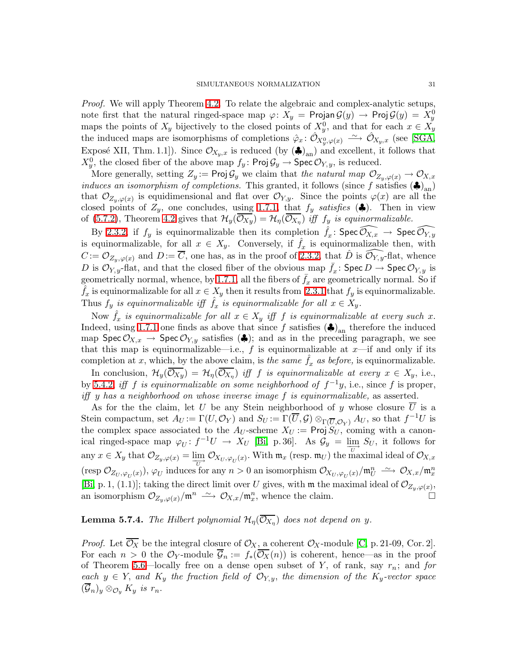Proof. We will apply Theorem [4.2.](#page-19-0) To relate the algebraic and complex-analytic setups, note first that the natural ringed-space map  $\varphi\colon X_y = \mathsf{Projan}\,\mathcal{G}(y) \to \mathsf{Proj}\,\mathcal{G}(y) = X_y^0$ maps the points of  $X_y$  bijectively to the closed points of  $X_y^0$ , and that for each  $x \in X_y$ the induced maps are isomorphisms of completions  $\hat{\varphi}_x \colon \hat{\mathcal{O}}_{X_y^0,\varphi(x)} \longrightarrow \hat{\mathcal{O}}_{X_y,x}$  (see [\[SGA,](#page-33-22) Exposé XII, Thm. 1.1]). Since  $\mathcal{O}_{X_y,x}$  is reduced (by  $(\clubsuit)_{\text{an}}$ ) and excellent, it follows that  $X_y^0$ , the closed fiber of the above map  $f_y$ : Proj $\mathcal{G}_y \to \mathsf{Spec}\,\mathcal{O}_{Y,y}$ , is reduced.

More generally, setting  $Z_y := \text{Proj } \mathcal{G}_y$  we claim that the natural map  $\mathcal{O}_{Z_y, \varphi(x)} \to \mathcal{O}_{X, x}$ induces an isomorphism of completions. This granted, it follows (since f satisfies  $(\clubsuit)_{an}$ ) that  $\mathcal{O}_{Z_y,\varphi(x)}$  is equidimensional and flat over  $\mathcal{O}_{Y,y}$ . Since the points  $\varphi(x)$  are all the closed points of  $Z_y$ , one concludes, using [1.7.1,](#page-5-1) that  $f_y$  satisfies ( $\clubsuit$ ). Then in view of [\(5.7.2\)](#page-29-1), Theorem [4.2](#page-19-0) gives that  $\mathcal{H}_y(\mathcal{O}_{X_y}) = \mathcal{H}_\eta(\mathcal{O}_{X_\eta})$  iff  $f_y$  is equinormalizable.

By [2.3.2,](#page-11-2) if  $f_y$  is equinormalizable then its completion  $\hat{f}_x \colon \mathsf{Spec}\,\widehat{\mathcal{O}_{X,x}} \to \mathsf{Spec}\,\widehat{\mathcal{O}_{Y,y}}$ is equinormalizable, for all  $x \in X_y$ . Conversely, if  $\hat{f}_x$  is equinormalizable then, with  $C := \mathcal{O}_{Z_n, \varphi(x)}$  and  $D := \overline{C}$ , one has, as in the proof of [2.3.2,](#page-11-2) that  $\hat{D}$  is  $\mathcal{O}_{Y,y}$ -flat, whence D is  $\mathcal{O}_{Y,y}$ -flat, and that the closed fiber of the obvious map  $\bar{f}_x$ : Spec  $D \to \text{Spec } \mathcal{O}_{Y,y}$  is geometrically normal, whence, by [1.7.1,](#page-5-1) all the fibers of  $\bar{f}_x$  are geometrically normal. So if  $\hat{f}_x$  is equinormalizable for all  $x \in X_y$  then it results from [2.3.1](#page-11-1) that  $f_y$  is equinormalizable. Thus  $f_y$  is equinormalizable iff  $\hat{f}_x$  is equinormalizable for all  $x \in \check{X}_y$ .

Now  $\hat{f}_x$  is equinormalizable for all  $x \in X_y$  iff f is equinormalizable at every such x. Indeed, using [1.7.1](#page-5-1) one finds as above that since f satisfies  $(\clubsuit)_{\text{an}}$  therefore the induced map Spec  $\mathcal{O}_{X,x} \to \text{Spec } \mathcal{O}_{Y,y}$  satisfies  $\langle \clubsuit \rangle$ ; and as in the preceding paragraph, we see that this map is equinormalizable—i.e., f is equinormalizable at  $x$ —if and only if its completion at x, which, by the above claim, is the same  $f_x$  as before, is equinormalizable.

In conclusion,  $\mathcal{H}_y(\mathcal{O}_{Xy}) = \mathcal{H}_\eta(\mathcal{O}_{X_\eta})$  iff f is equinormalizable at every  $x \in X_y$ , i.e., by [5.4.2,](#page-25-1) iff f is equinormalizable on some neighborhood of  $f^{-1}y$ , i.e., since f is proper, iff y has a neighborhood on whose inverse image f is equinormalizable, as asserted.

As for the the claim, let U be any Stein neighborhood of y whose closure  $\overline{U}$  is a Stein compactum, set  $A_U := \Gamma(U, \mathcal{O}_Y)$  and  $S_U := \Gamma(\overline{U}, \mathcal{G}) \otimes_{\Gamma(\overline{U}, \mathcal{O}_Y)} A_U$ , so that  $f^{-1}U$  is the complex space associated to the  $A_U$ -scheme  $X_U := \mathsf{Proj}\, S_U$ , coming with a canonical ringed-space map  $\varphi_U: f^{-1}U \to X_U$  [\[Bi,](#page-33-23) p. 36]. As  $\mathcal{G}_y = \lim_{U \to \infty} S_U$ , it follows for any  $x \in X_y$  that  $\mathcal{O}_{Z_y,\varphi(x)} = \lim_{\overline{U}} \mathcal{O}_{X_U,\varphi_U(x)}$ . With  $\mathfrak{m}_x$  (resp.  $\mathfrak{m}_U$ ) the maximal ideal of  $\mathcal{O}_{X,x}$ (resp  $\mathcal{O}_{Z_U,\varphi_U(x)}$ ),  $\varphi_U$  induces for any  $n>0$  an isomorphism  $\mathcal{O}_{X_U,\varphi_U(x)}/\mathfrak{m}_U^n \longrightarrow \mathcal{O}_{X,x}/\mathfrak{m}_x^n$ [\[Bi,](#page-33-23) p. 1, (1.1)]; taking the direct limit over U gives, with  $\mathfrak{m}$  the maximal ideal of  $\mathcal{O}_{Z_y,\varphi(x)}$ , an isomorphism  $\mathcal{O}_{Z_y,\varphi(x)}/\mathfrak{m}^n \longrightarrow \mathcal{O}_{X,x}/\mathfrak{m}_x^n$ , whence the claim.

# <span id="page-30-0"></span>**Lemma 5.7.4.** The Hilbert polynomial  $\mathcal{H}_{\eta}(\overline{\mathcal{O}_{X_{\eta}}})$  does not depend on y.

*Proof.* Let  $\overline{\mathcal{O}_X}$  be the integral closure of  $\mathcal{O}_X$ , a coherent  $\mathcal{O}_X$ -module [\[C,](#page-33-10) p. 21-09, Cor. 2]. For each  $n > 0$  the  $\mathcal{O}_Y$ -module  $\overline{\mathcal{G}}_n := f_*(\overline{\mathcal{O}_X}(n))$  is coherent, hence—as in the proof of Theorem [5.6—](#page-27-0)locally free on a dense open subset of Y, of rank, say  $r_n$ ; and for each  $y \in Y$ , and  $K_y$  the fraction field of  $\mathcal{O}_{Y,y}$ , the dimension of the  $K_y$ -vector space  $(\mathcal{G}_n)_y \otimes_{\mathcal{O}_y} K_y$  is  $r_n$ .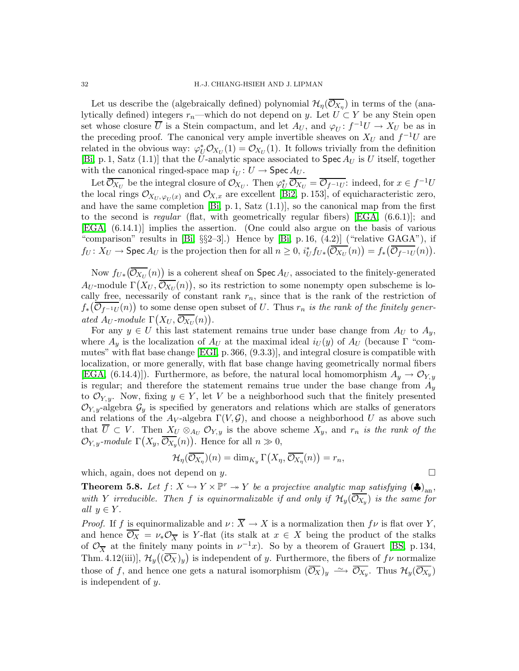Let us describe the (algebraically defined) polynomial  $\mathcal{H}_{\eta}(\mathcal{O}_{X_{\eta}})$  in terms of the (analytically defined) integers  $r_n$ —which do not depend on y. Let  $U \subset Y$  be any Stein open set whose closure  $\overline{U}$  is a Stein compactum, and let  $A_U$ , and  $\varphi_U: f^{-1}U \to X_U$  be as in the preceding proof. The canonical very ample invertible sheaves on  $X_U$  and  $f^{-1}U$  are related in the obvious way:  $\varphi_U^* \mathcal{O}_{X_U}(1) = \mathcal{O}_{X_U}(1)$ . It follows trivially from the definition [\[Bi,](#page-33-23) p. 1, Satz (1.1)] that the U-analytic space associated to Spec  $A_U$  is U itself, together with the canonical ringed-space map  $i_U: U \to \text{Spec } A_U$ .

Let  $\overline{\mathcal{O}_{X_U}}$  be the integral closure of  $\mathcal{O}_{X_U}$ . Then  $\varphi^*_{U} \overline{\mathcal{O}_{X_U}} = \overline{\mathcal{O}_{f^{-1}U}}$ : indeed, for  $x \in f^{-1}U$ the local rings  $\mathcal{O}_{X_U,\varphi_U(x)}$  and  $\mathcal{O}_{X,x}$  are excellent [\[Bi2,](#page-33-24) p. 153], of equicharacteristic zero, and have the same completion  $[Bi, p.1, Satz (1.1)],$  so the canonical map from the first to the second is regular (flat, with geometrically regular fibers) [\[EGA,](#page-33-5)  $(6.6.1)$ ]; and [\[EGA,](#page-33-5) (6.14.1)] implies the assertion. (One could also argue on the basis of various "comparison" results in [\[Bi,](#page-33-23) §§2–3].) Hence by [\[Bi,](#page-33-23) p. 16, (4.2)] ("relative GAGA"), if  $f_U: X_U \to \text{Spec } A_U$  is the projection then for all  $n \geq 0$ ,  $i_U^* f_{U*}(\overline{\mathcal{O}_{X_U}}(n)) = f_*(\overline{\mathcal{O}_{f^{-1}U}}(n)).$ 

Now  $f_{U*}(\overline{\mathcal{O}_{X_U}}(n))$  is a coherent sheaf on  $\mathsf{Spec}\, A_U$ , associated to the finitely-generated  $A_U$ -module  $\Gamma(X_U, \overline{\mathcal{O}_{X_U}}(n))$ , so its restriction to some nonempty open subscheme is locally free, necessarily of constant rank  $r_n$ , since that is the rank of the restriction of  $f_*\big(\overline{\mathcal{O}_{f^{-1}U}}(n)\big)$  to some dense open subset of U. Thus  $r_n$  is the rank of the finitely generated  $A_U$ -module  $\Gamma(X_U, \overline{\mathcal{O}_{X_U}}(n)).$ 

For any  $y \in U$  this last statement remains true under base change from  $A_U$  to  $A_y$ , where  $A_y$  is the localization of  $A_U$  at the maximal ideal  $i_U(y)$  of  $A_U$  (because  $\Gamma$  "commutes" with flat base change [\[EGI,](#page-33-7) p. 366, (9.3.3)], and integral closure is compatible with localization, or more generally, with flat base change having geometrically normal fibers [\[EGA,](#page-33-5)  $(6.14.4)$ ]). Furthermore, as before, the natural local homomorphism  $A_y \to \mathcal{O}_{Y,y}$ is regular; and therefore the statement remains true under the base change from  $A_y$ to  $\mathcal{O}_{Y,y}$ . Now, fixing  $y \in Y$ , let V be a neighborhood such that the finitely presented  $\mathcal{O}_{Y,y}$ -algebra  $\mathcal{G}_y$  is specified by generators and relations which are stalks of generators and relations of the  $A_V$ -algebra  $\Gamma(V, \mathcal{G})$ , and choose a neighborhood U as above such that  $\overline{U} \subset V$ . Then  $X_U \otimes_{A_U} \mathcal{O}_{Y,y}$  is the above scheme  $X_y$ , and  $r_n$  is the rank of the  $\mathcal{O}_{Y,y}$ -module  $\Gamma(X_y, \overline{\mathcal{O}_{X_y}}(n))$ . Hence for all  $n \gg 0$ ,

$$
\mathcal{H}_{\eta}(\overline{\mathcal{O}_{X_{\eta}}})(n) = \dim_{K_{\mathcal{Y}}} \Gamma(X_{\eta}, \overline{\mathcal{O}_{X_{\eta}}}(n)) = r_n,
$$

<span id="page-31-0"></span>which, again, does not depend on y.

**Theorem 5.8.** Let  $f: X \hookrightarrow Y \times \mathbb{P}^r \to Y$  be a projective analytic map satisfying  $(\clubsuit)_{\text{an}}$ , with Y irreducible. Then f is equinormalizable if and only if  $\mathcal{H}_y(\overline{O_{X_y}})$  is the same for all  $y \in Y$ .

*Proof.* If f is equinormalizable and  $\nu : \overline{X} \to X$  is a normalization then  $f\nu$  is flat over Y, and hence  $\overline{\mathcal{O}_X} = \nu_* \mathcal{O}_{\overline{X}}$  is Y-flat (its stalk at  $x \in X$  being the product of the stalks of  $\mathcal{O}_{\overline{X}}$  at the finitely many points in  $\nu^{-1}x$ ). So by a theorem of Grauert [\[BS,](#page-33-21) p. 134, Thm. 4.12(iii)],  $\mathcal{H}_y((\overline{\mathcal{O}_X})_y)$  is independent of y. Furthermore, the fibers of  $f\nu$  normalize those of f, and hence one gets a natural isomorphism  $(\overline{\mathcal{O}_X})_y \longrightarrow \overline{\mathcal{O}_{X_y}}$ . Thus  $\mathcal{H}_y(\overline{\mathcal{O}_{X_y}})$ is independent of y.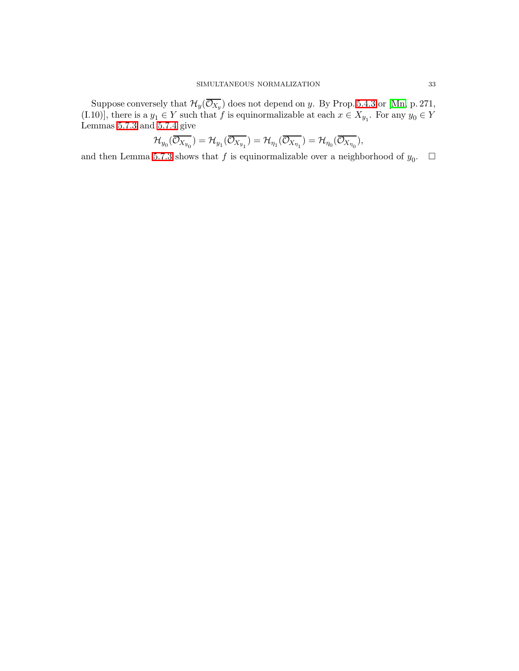Suppose conversely that  $\mathcal{H}_y(\mathcal{O}_{X_y})$  does not depend on y. By Prop. [5.4.3](#page-26-0) or [\[Mn,](#page-33-20) p. 271, (I.10)], there is a  $y_1 \in Y$  such that f is equinormalizable at each  $x \in X_{y_1}$ . For any  $y_0 \in Y$ Lemmas [5.7.3](#page-29-2) and [5.7.4](#page-30-0) give

$$
\mathcal{H}_{y_0}(\overline{\mathcal{O}_{X_{y_0}}}) = \mathcal{H}_{y_1}(\overline{\mathcal{O}_{X_{y_1}}}) = \mathcal{H}_{\eta_1}(\overline{\mathcal{O}_{X_{\eta_1}}}) = \mathcal{H}_{\eta_0}(\overline{\mathcal{O}_{X_{\eta_0}}}),
$$

and then Lemma [5.7.3](#page-29-2) shows that  $f$  is equinormalizable over a neighborhood of  $y_0$ .  $\Box$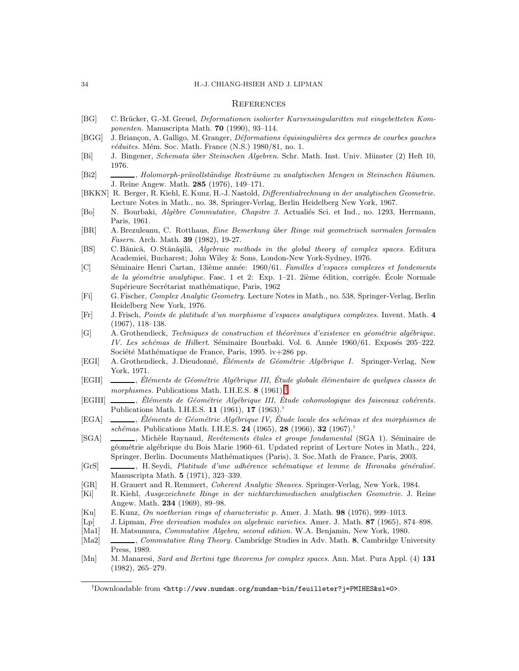#### **REFERENCES**

- <span id="page-33-4"></span><span id="page-33-1"></span>[BG] C. Brücker, G.-M. Greuel, Deformationen isolierter Kurvensingularitten mit eingebetteten Komponenten. Manuscripta Math. 70 (1990), 93–114.
- <span id="page-33-23"></span>[BGG] J. Briançon, A. Galligo, M. Granger, *Déformations équisingulières des germes de courbes gauches*  $r\acute{e}duites$ . Mém. Soc. Math. France (N.S.) 1980/81, no. 1.
- <span id="page-33-24"></span>[Bi] J. Bingener, Schemata ¨uber Steinschen Algebren. Schr. Math. Inst. Univ. M¨unster (2) Heft 10, 1976.
- <span id="page-33-12"></span>[Bi2] , Holomorph-prävollständige Resträume zu analytischen Mengen in Steinschen Räumen. J. Reine Angew. Math. 285 (1976), 149–171.
- <span id="page-33-8"></span>[BKKN] R. Berger, R. Kiehl, E. Kunz, H.-J. Nastold, Differentialrechnung in der analytischen Geometrie. Lecture Notes in Math., no. 38, Springer-Verlag, Berlin Heidelberg New York, 1967.
- <span id="page-33-9"></span>[Bo] N. Bourbaki, Algèbre Commutative, Chapitre 3. Actualiés Sci. et Ind., no. 1293, Herrmann, Paris, 1961.
- <span id="page-33-21"></span>[BR] A. Brezuleanu, C. Rotthaus, Eine Bemerkung über Ringe mit geometrisch normalen formalen Fasern. Arch. Math. 39 (1982), 19-27.
- <span id="page-33-10"></span>[BS] C. Bănică, O. Stănășilă, Algebraic methods in the global theory of complex spaces. Editura Academiei, Bucharest; John Wiley & Sons, London-New York-Sydney, 1976.
- [C] Séminaire Henri Cartan, 13ième année: 1960/61. Familles d'espaces complexes et fondements de la géométrie analytique. Fasc. 1 et 2: Exp. 1–21. 2ième édition, corrigée. École Normale Supérieure Secrétariat mathématique, Paris, 1962
- <span id="page-33-19"></span><span id="page-33-18"></span>[Fi] G. Fischer, Complex Analytic Geometry. Lecture Notes in Math., no. 538, Springer-Verlag, Berlin Heidelberg New York, 1976.
- <span id="page-33-16"></span>[Fr] J. Frisch, Points de platitude d'un morphisme d'espaces analytiques complexes. Invent. Math. 4 (1967), 118–138.
- [G] A. Grothendieck, Techniques de construction et théorèmes d'existence en géométrie algébrique. IV. Les schémas de Hilbert. Séminaire Bourbaki. Vol. 6. Année 1960/61. Exposés 205–222. Société Mathématique de France, Paris, 1995. iv $+286$  pp.
- <span id="page-33-15"></span><span id="page-33-7"></span>[EGI] A. Grothendieck, J. Dieudonné, Eléments de Géométrie Algébrique I. Springer-Verlag, New York, 1971.
- [EGII] \_\_\_\_, Éléments de Géométrie Algébrique III, Étude globale élémentaire de quelques classes de morphismes. Publications Math. I.H.E.S. 8 (1961).<sup>[†](#page-33-25)</sup>
- <span id="page-33-5"></span><span id="page-33-2"></span>[EGIII]  $\_\_\_\_\$ , Éléments de Géométrie Algébrique III, Étude cohomologique des faisceaux cohérents. Publications Math. I.H.E.S. 11 (1961), 17 (1963).†
- [EGA] , Éléments de Géométrie Algébrique IV, Étude locale des schémas et des morphismes de schémas. Publications Math. I.H.E.S. 24 (1965), 28 (1966), 32 (1967).<sup>†</sup>
- <span id="page-33-22"></span>[SGA] , Michèle Raynaud, Revêtements étales et groupe fondamental (SGA 1). Séminaire de géométrie algébrique du Bois Marie 1960–61. Updated reprint of Lecture Notes in Math., 224, Springer, Berlin. Documents Mathématiques (Paris), 3. Soc. Math de France, Paris, 2003.
- <span id="page-33-0"></span>[GrS]  $\_\_\_\_\_\_\$ , H. Seydi, Platitude d'une adhérence schématique et lemme de Hironaka généralisé. Manuscripta Math. 5 (1971), 323–339.
- <span id="page-33-17"></span><span id="page-33-14"></span>[GR] H. Grauert and R. Remmert, Coherent Analytic Sheaves. Springer-Verlag, New York, 1984.
- <span id="page-33-13"></span>[Ki] R. Kiehl, Ausgezeichnete Ringe in der nichtarchimedischen analytischen Geometrie. J. Reine Angew. Math. 234 (1969), 89–98.
- <span id="page-33-3"></span>[Ku] E. Kunz, On noetherian rings of characteristic p. Amer. J. Math. 98 (1976), 999–1013.
- <span id="page-33-11"></span>[Lp] J. Lipman, Free derivation modules on algebraic varieties. Amer. J. Math. 87 (1965), 874–898.
- <span id="page-33-6"></span>[Ma1] H. Matsumura, Commutative Algebra, second edition. W.A. Benjamin, New York, 1980.
- <span id="page-33-20"></span>[Ma2] , Commutative Ring Theory. Cambridge Studies in Adv. Math. 8, Cambridge University Press, 1989.
- <span id="page-33-25"></span>[Mn] M. Manaresi, Sard and Bertini type theorems for complex spaces. Ann. Mat. Pura Appl. (4) 131 (1982), 265–279.

<sup>†</sup>Downloadable from <http://www.numdam.org/numdam-bin/feuilleter?j=PMIHES&sl=0>.